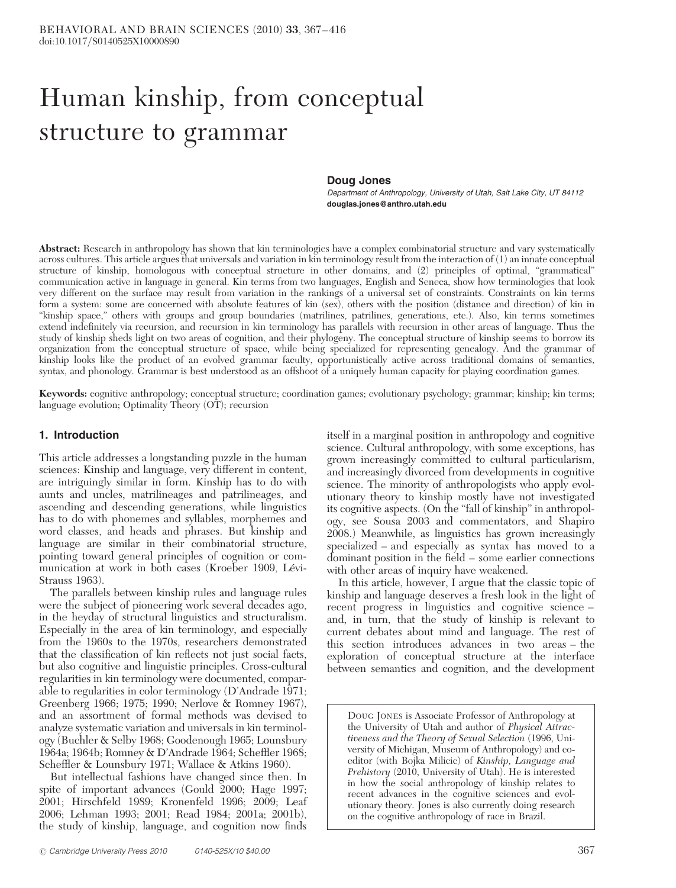# Human kinship, from conceptual structure to grammar

Doug Jones

Department of Anthropology, University of Utah, Salt Lake City, UT 84112 douglas.jones@anthro.utah.edu

Abstract: Research in anthropology has shown that kin terminologies have a complex combinatorial structure and vary systematically across cultures. This article argues that universals and variation in kin terminology result from the interaction of (1) an innate conceptual structure of kinship, homologous with conceptual structure in other domains, and (2) principles of optimal, "grammatical" communication active in language in general. Kin terms from two languages, English and Seneca, show how terminologies that look very different on the surface may result from variation in the rankings of a universal set of constraints. Constraints on kin terms form a system: some are concerned with absolute features of kin (sex), others with the position (distance and direction) of kin in "kinship space," others with groups and group boundaries (matrilines, patrilines, generations, etc.). Also, kin terms sometimes extend indefinitely via recursion, and recursion in kin terminology has parallels with recursion in other areas of language. Thus the study of kinship sheds light on two areas of cognition, and their phylogeny. The conceptual structure of kinship seems to borrow its organization from the conceptual structure of space, while being specialized for representing genealogy. And the grammar of kinship looks like the product of an evolved grammar faculty, opportunistically active across traditional domains of semantics, syntax, and phonology. Grammar is best understood as an offshoot of a uniquely human capacity for playing coordination games.

Keywords: cognitive anthropology; conceptual structure; coordination games; evolutionary psychology; grammar; kinship; kin terms; language evolution; Optimality Theory (OT); recursion

# 1. Introduction

This article addresses a longstanding puzzle in the human sciences: Kinship and language, very different in content, are intriguingly similar in form. Kinship has to do with aunts and uncles, matrilineages and patrilineages, and ascending and descending generations, while linguistics has to do with phonemes and syllables, morphemes and word classes, and heads and phrases. But kinship and language are similar in their combinatorial structure, pointing toward general principles of cognition or communication at work in both cases (Kroeber 1909, Lévi-Strauss 1963).

The parallels between kinship rules and language rules were the subject of pioneering work several decades ago, in the heyday of structural linguistics and structuralism. Especially in the area of kin terminology, and especially from the 1960s to the 1970s, researchers demonstrated that the classification of kin reflects not just social facts, but also cognitive and linguistic principles. Cross-cultural regularities in kin terminology were documented, comparable to regularities in color terminology (D'Andrade 1971; Greenberg 1966; 1975; 1990; Nerlove & Romney 1967), and an assortment of formal methods was devised to analyze systematic variation and universals in kin terminology (Buchler & Selby 1968; Goodenough 1965; Lounsbury 1964a; 1964b; Romney & D'Andrade 1964; Scheffler 1968; Scheffler & Lounsbury 1971; Wallace & Atkins 1960).

But intellectual fashions have changed since then. In spite of important advances (Gould 2000; Hage 1997; 2001; Hirschfeld 1989; Kronenfeld 1996; 2009; Leaf 2006; Lehman 1993; 2001; Read 1984; 2001a; 2001b), the study of kinship, language, and cognition now finds itself in a marginal position in anthropology and cognitive science. Cultural anthropology, with some exceptions, has grown increasingly committed to cultural particularism, and increasingly divorced from developments in cognitive science. The minority of anthropologists who apply evolutionary theory to kinship mostly have not investigated its cognitive aspects. (On the "fall of kinship" in anthropology, see Sousa 2003 and commentators, and Shapiro 2008.) Meanwhile, as linguistics has grown increasingly specialized – and especially as syntax has moved to a dominant position in the field – some earlier connections with other areas of inquiry have weakened.

In this article, however, I argue that the classic topic of kinship and language deserves a fresh look in the light of recent progress in linguistics and cognitive science – and, in turn, that the study of kinship is relevant to current debates about mind and language. The rest of this section introduces advances in two areas – the exploration of conceptual structure at the interface between semantics and cognition, and the development

DOUG JONES is Associate Professor of Anthropology at the University of Utah and author of Physical Attractiveness and the Theory of Sexual Selection (1996, University of Michigan, Museum of Anthropology) and coeditor (with Bojka Milicic) of Kinship, Language and Prehistory (2010, University of Utah). He is interested in how the social anthropology of kinship relates to recent advances in the cognitive sciences and evolutionary theory. Jones is also currently doing research on the cognitive anthropology of race in Brazil.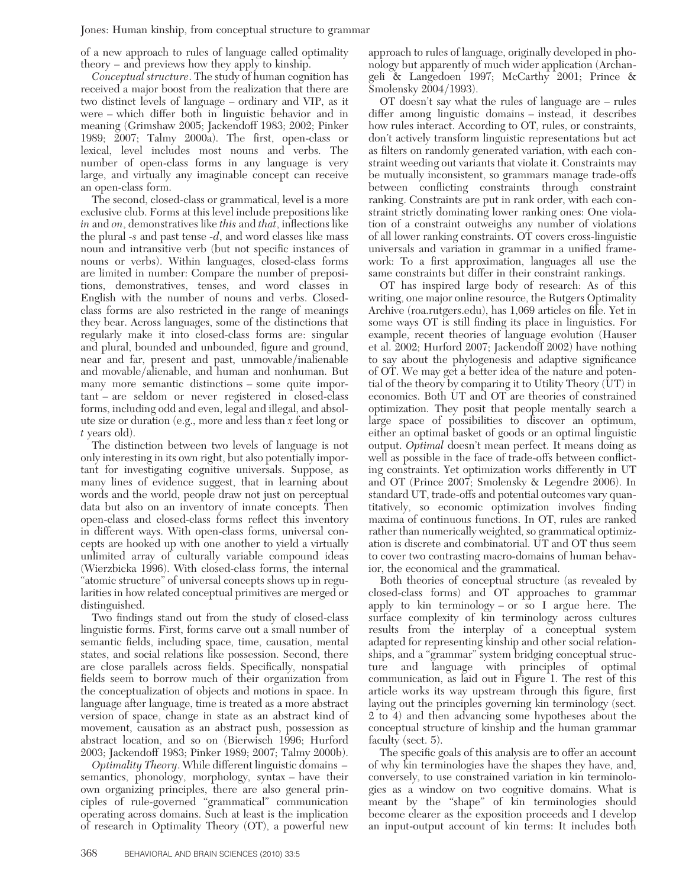of a new approach to rules of language called optimality theory – and previews how they apply to kinship.

Conceptual structure. The study of human cognition has received a major boost from the realization that there are two distinct levels of language – ordinary and VIP, as it were – which differ both in linguistic behavior and in meaning (Grimshaw 2005; Jackendoff 1983; 2002; Pinker 1989; 2007; Talmy 2000a). The first, open-class or lexical, level includes most nouns and verbs. The number of open-class forms in any language is very large, and virtually any imaginable concept can receive an open-class form.

The second, closed-class or grammatical, level is a more exclusive club. Forms at this level include prepositions like in and on, demonstratives like this and that, inflections like the plural -s and past tense  $-d$ , and word classes like mass noun and intransitive verb (but not specific instances of nouns or verbs). Within languages, closed-class forms are limited in number: Compare the number of prepositions, demonstratives, tenses, and word classes in English with the number of nouns and verbs. Closedclass forms are also restricted in the range of meanings they bear. Across languages, some of the distinctions that regularly make it into closed-class forms are: singular and plural, bounded and unbounded, figure and ground, near and far, present and past, unmovable/inalienable and movable/alienable, and human and nonhuman. But many more semantic distinctions – some quite important – are seldom or never registered in closed-class forms, including odd and even, legal and illegal, and absolute size or duration (e.g., more and less than x feet long or t years old).

The distinction between two levels of language is not only interesting in its own right, but also potentially important for investigating cognitive universals. Suppose, as many lines of evidence suggest, that in learning about words and the world, people draw not just on perceptual data but also on an inventory of innate concepts. Then open-class and closed-class forms reflect this inventory in different ways. With open-class forms, universal concepts are hooked up with one another to yield a virtually unlimited array of culturally variable compound ideas (Wierzbicka 1996). With closed-class forms, the internal "atomic structure" of universal concepts shows up in regularities in how related conceptual primitives are merged or distinguished.

Two findings stand out from the study of closed-class linguistic forms. First, forms carve out a small number of semantic fields, including space, time, causation, mental states, and social relations like possession. Second, there are close parallels across fields. Specifically, nonspatial fields seem to borrow much of their organization from the conceptualization of objects and motions in space. In language after language, time is treated as a more abstract version of space, change in state as an abstract kind of movement, causation as an abstract push, possession as abstract location, and so on (Bierwisch 1996; Hurford 2003; Jackendoff 1983; Pinker 1989; 2007; Talmy 2000b).

Optimality Theory. While different linguistic domains – semantics, phonology, morphology, syntax – have their own organizing principles, there are also general principles of rule-governed "grammatical" communication operating across domains. Such at least is the implication of research in Optimality Theory (OT), a powerful new approach to rules of language, originally developed in phonology but apparently of much wider application (Archangeli & Langedoen 1997; McCarthy 2001; Prince & Smolensky 2004/1993).

OT doesn't say what the rules of language are – rules differ among linguistic domains – instead, it describes how rules interact. According to OT, rules, or constraints, don't actively transform linguistic representations but act as filters on randomly generated variation, with each constraint weeding out variants that violate it. Constraints may be mutually inconsistent, so grammars manage trade-offs between conflicting constraints through constraint ranking. Constraints are put in rank order, with each constraint strictly dominating lower ranking ones: One violation of a constraint outweighs any number of violations of all lower ranking constraints. OT covers cross-linguistic universals and variation in grammar in a unified framework: To a first approximation, languages all use the same constraints but differ in their constraint rankings.

OT has inspired large body of research: As of this writing, one major online resource, the Rutgers Optimality Archive (roa.rutgers.edu), has 1,069 articles on file. Yet in some ways OT is still finding its place in linguistics. For example, recent theories of language evolution (Hauser et al. 2002; Hurford 2007; Jackendoff 2002) have nothing to say about the phylogenesis and adaptive significance of OT. We may get a better idea of the nature and potential of the theory by comparing it to Utility Theory (UT) in economics. Both UT and OT are theories of constrained optimization. They posit that people mentally search a large space of possibilities to discover an optimum, either an optimal basket of goods or an optimal linguistic output. Optimal doesn't mean perfect. It means doing as well as possible in the face of trade-offs between conflicting constraints. Yet optimization works differently in UT and OT (Prince 2007; Smolensky & Legendre 2006). In standard UT, trade-offs and potential outcomes vary quantitatively, so economic optimization involves finding maxima of continuous functions. In OT, rules are ranked rather than numerically weighted, so grammatical optimization is discrete and combinatorial. UT and OT thus seem to cover two contrasting macro-domains of human behavior, the economical and the grammatical.

Both theories of conceptual structure (as revealed by closed-class forms) and OT approaches to grammar apply to kin terminology – or so I argue here. The surface complexity of kin terminology across cultures results from the interplay of a conceptual system adapted for representing kinship and other social relationships, and a "grammar" system bridging conceptual structure and language with principles of optimal communication, as laid out in Figure 1. The rest of this article works its way upstream through this figure, first laying out the principles governing kin terminology (sect. 2 to 4) and then advancing some hypotheses about the conceptual structure of kinship and the human grammar faculty (sect. 5).

The specific goals of this analysis are to offer an account of why kin terminologies have the shapes they have, and, conversely, to use constrained variation in kin terminologies as a window on two cognitive domains. What is meant by the "shape" of kin terminologies should become clearer as the exposition proceeds and I develop an input-output account of kin terms: It includes both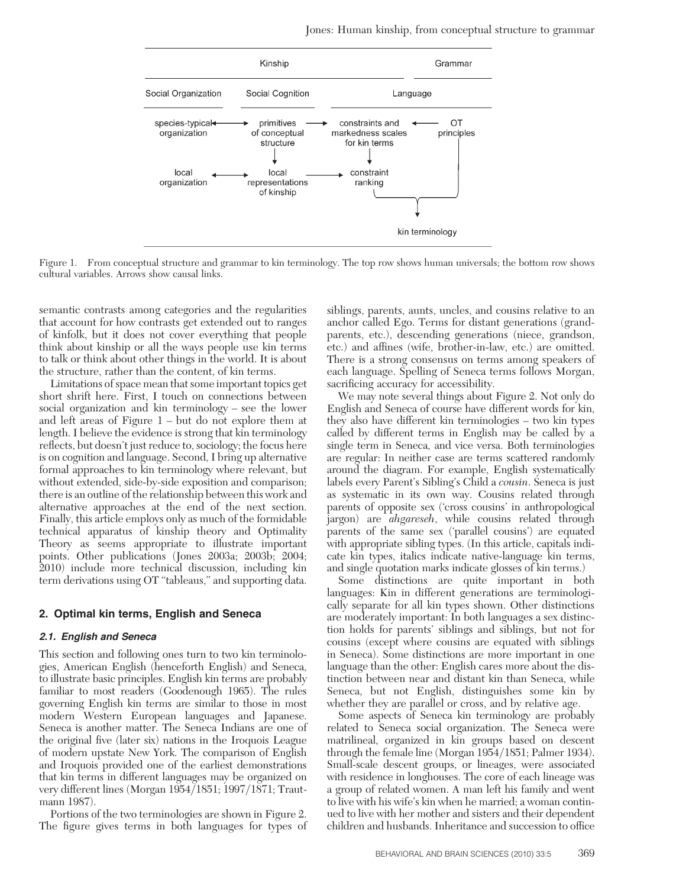

Figure 1. From conceptual structure and grammar to kin terminology. The top row shows human universals; the bottom row shows cultural variables. Arrows show causal links.

semantic contrasts among categories and the regularities that account for how contrasts get extended out to ranges of kinfolk, but it does not cover everything that people think about kinship or all the ways people use kin terms to talk or think about other things in the world. It is about the structure, rather than the content, of kin terms.

Limitations of space mean that some important topics get short shrift here. First, I touch on connections between social organization and kin terminology – see the lower and left areas of Figure 1 – but do not explore them at length. I believe the evidence is strong that kin terminology reflects, but doesn't just reduce to, sociology; the focus here is on cognition and language. Second, I bring up alternative formal approaches to kin terminology where relevant, but without extended, side-by-side exposition and comparison; there is an outline of the relationship between this work and alternative approaches at the end of the next section. Finally, this article employs only as much of the formidable technical apparatus of kinship theory and Optimality Theory as seems appropriate to illustrate important points. Other publications (Jones 2003a; 2003b; 2004; 2010) include more technical discussion, including kin term derivations using OT "tableaus," and supporting data.

# 2. Optimal kin terms, English and Seneca

#### 2.1. English and Seneca

This section and following ones turn to two kin terminologies, American English (henceforth English) and Seneca, to illustrate basic principles. English kin terms are probably familiar to most readers (Goodenough 1965). The rules governing English kin terms are similar to those in most modern Western European languages and Japanese. Seneca is another matter. The Seneca Indians are one of the original five (later six) nations in the Iroquois League of modern upstate New York. The comparison of English and Iroquois provided one of the earliest demonstrations that kin terms in different languages may be organized on very different lines (Morgan 1954/1851; 1997/1871; Trautmann 1987).

Portions of the two terminologies are shown in Figure 2. The figure gives terms in both languages for types of siblings, parents, aunts, uncles, and cousins relative to an anchor called Ego. Terms for distant generations (grandparents, etc.), descending generations (niece, grandson, etc.) and affines (wife, brother-in-law, etc.) are omitted. There is a strong consensus on terms among speakers of each language. Spelling of Seneca terms follows Morgan, sacrificing accuracy for accessibility.

We may note several things about Figure 2. Not only do English and Seneca of course have different words for kin, they also have different kin terminologies – two kin types called by different terms in English may be called by a single term in Seneca, and vice versa. Both terminologies are regular: In neither case are terms scattered randomly around the diagram. For example, English systematically labels every Parent's Sibling's Child a cousin. Seneca is just as systematic in its own way. Cousins related through parents of opposite sex ('cross cousins' in anthropological  $j$ argon) are  $\hat{a}$ hgareseh, while cousins related through parents of the same sex ('parallel cousins') are equated with appropriate sibling types. (In this article, capitals indicate kin types, italics indicate native-language kin terms, and single quotation marks indicate glosses of kin terms.)

Some distinctions are quite important in both languages: Kin in different generations are terminologically separate for all kin types shown. Other distinctions are moderately important: In both languages a sex distinction holds for parents' siblings and siblings, but not for cousins (except where cousins are equated with siblings in Seneca). Some distinctions are more important in one language than the other: English cares more about the distinction between near and distant kin than Seneca, while Seneca, but not English, distinguishes some kin by whether they are parallel or cross, and by relative age.

Some aspects of Seneca kin terminology are probably related to Seneca social organization. The Seneca were matrilineal, organized in kin groups based on descent through the female line (Morgan 1954/1851; Palmer 1934). Small-scale descent groups, or lineages, were associated with residence in longhouses. The core of each lineage was a group of related women. A man left his family and went to live with his wife's kin when he married; a woman continued to live with her mother and sisters and their dependent children and husbands. Inheritance and succession to office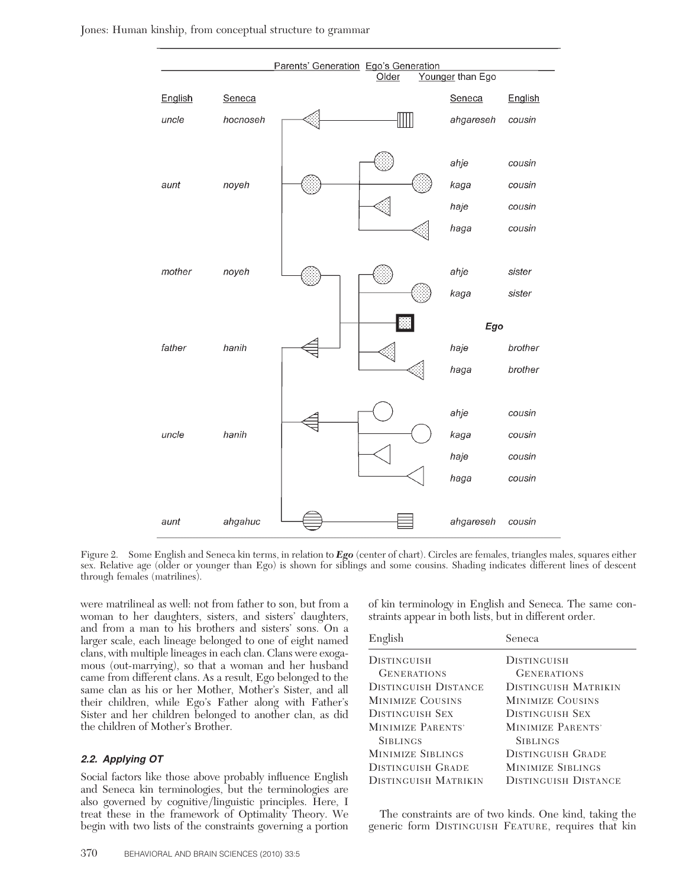

Figure 2. Some English and Seneca kin terms, in relation to Ego (center of chart). Circles are females, triangles males, squares either sex. Relative age (older or younger than Ego) is shown for siblings and some cousins. Shading indicates different lines of descent through females (matrilines).

were matrilineal as well: not from father to son, but from a woman to her daughters, sisters, and sisters' daughters, and from a man to his brothers and sisters' sons. On a larger scale, each lineage belonged to one of eight named clans, with multiple lineages in each clan. Clans were exogamous (out-marrying), so that a woman and her husband came from different clans. As a result, Ego belonged to the same clan as his or her Mother, Mother's Sister, and all their children, while Ego's Father along with Father's Sister and her children belonged to another clan, as did the children of Mother's Brother.

#### 2.2. Applying OT

Social factors like those above probably influence English and Seneca kin terminologies, but the terminologies are also governed by cognitive/linguistic principles. Here, I treat these in the framework of Optimality Theory. We begin with two lists of the constraints governing a portion of kin terminology in English and Seneca. The same constraints appear in both lists, but in different order.

| English                     | Seneca                      |
|-----------------------------|-----------------------------|
| <b>DISTINGUISH</b>          | <b>DISTINGUISH</b>          |
| <b>GENERATIONS</b>          | <b>GENERATIONS</b>          |
| <b>DISTINGUISH DISTANCE</b> | <b>DISTINGUISH MATRIKIN</b> |
| <b>MINIMIZE COUSINS</b>     | <b>MINIMIZE COUSINS</b>     |
| <b>DISTINGUISH SEX</b>      | <b>DISTINGUISH SEX</b>      |
| <b>MINIMIZE PARENTS'</b>    | <b>MINIMIZE PARENTS'</b>    |
| <b>SIBLINGS</b>             | <b>SIBLINGS</b>             |
| <b>MINIMIZE SIBLINGS</b>    | <b>DISTINGUISH GRADE</b>    |
| <b>DISTINGUISH GRADE</b>    | <b>MINIMIZE SIBLINGS</b>    |
| <b>DISTINGUISH MATRIKIN</b> | <b>DISTINGUISH DISTANCE</b> |

The constraints are of two kinds. One kind, taking the generic form DISTINGUISH FEATURE, requires that kin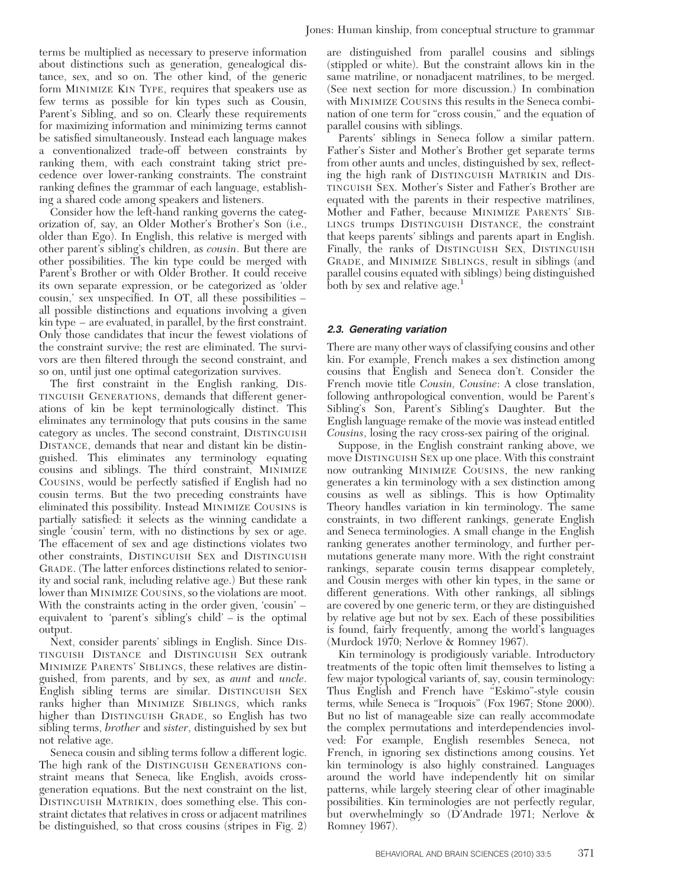terms be multiplied as necessary to preserve information about distinctions such as generation, genealogical distance, sex, and so on. The other kind, of the generic form MINIMIZE KIN TYPE, requires that speakers use as few terms as possible for kin types such as Cousin, Parent's Sibling, and so on. Clearly these requirements for maximizing information and minimizing terms cannot be satisfied simultaneously. Instead each language makes a conventionalized trade-off between constraints by ranking them, with each constraint taking strict precedence over lower-ranking constraints. The constraint ranking defines the grammar of each language, establishing a shared code among speakers and listeners.

Consider how the left-hand ranking governs the categorization of, say, an Older Mother's Brother's Son (i.e., older than Ego). In English, this relative is merged with other parent's sibling's children, as cousin. But there are other possibilities. The kin type could be merged with Parent's Brother or with Older Brother. It could receive its own separate expression, or be categorized as 'older cousin,' sex unspecified. In OT, all these possibilities – all possible distinctions and equations involving a given kin type – are evaluated, in parallel, by the first constraint. Only those candidates that incur the fewest violations of the constraint survive; the rest are eliminated. The survivors are then filtered through the second constraint, and so on, until just one optimal categorization survives.

The first constraint in the English ranking, DIS-TINGUISH GENERATIONS, demands that different generations of kin be kept terminologically distinct. This eliminates any terminology that puts cousins in the same category as uncles. The second constraint, DISTINGUISH DISTANCE, demands that near and distant kin be distinguished. This eliminates any terminology equating cousins and siblings. The third constraint, MINIMIZE COUSINS, would be perfectly satisfied if English had no cousin terms. But the two preceding constraints have eliminated this possibility. Instead MINIMIZE COUSINS is partially satisfied: it selects as the winning candidate a single 'cousin' term, with no distinctions by sex or age. The effacement of sex and age distinctions violates two other constraints, DISTINGUISH SEX and DISTINGUISH GRADE. (The latter enforces distinctions related to seniority and social rank, including relative age.) But these rank lower than MINIMIZE COUSINS, so the violations are moot. With the constraints acting in the order given, 'cousin' – equivalent to 'parent's sibling's child' – is the optimal output.

Next, consider parents' siblings in English. Since DIS-TINGUISH DISTANCE and DISTINGUISH SEX outrank MINIMIZE PARENTS' SIBLINGS, these relatives are distinguished, from parents, and by sex, as aunt and uncle. English sibling terms are similar. DISTINGUISH SEX ranks higher than MINIMIZE SIBLINGS, which ranks higher than DISTINGUISH GRADE, so English has two sibling terms, brother and sister, distinguished by sex but not relative age.

Seneca cousin and sibling terms follow a different logic. The high rank of the DISTINGUISH GENERATIONS constraint means that Seneca, like English, avoids crossgeneration equations. But the next constraint on the list, DISTINGUISH MATRIKIN, does something else. This constraint dictates that relatives in cross or adjacent matrilines be distinguished, so that cross cousins (stripes in Fig. 2) are distinguished from parallel cousins and siblings (stippled or white). But the constraint allows kin in the same matriline, or nonadjacent matrilines, to be merged. (See next section for more discussion.) In combination with MINIMIZE COUSINS this results in the Seneca combination of one term for "cross cousin," and the equation of parallel cousins with siblings.

Parents' siblings in Seneca follow a similar pattern. Father's Sister and Mother's Brother get separate terms from other aunts and uncles, distinguished by sex, reflecting the high rank of DISTINGUISH MATRIKIN and DIS-TINGUISH SEX. Mother's Sister and Father's Brother are equated with the parents in their respective matrilines, Mother and Father, because MINIMIZE PARENTS' SIB-LINGS trumps DISTINGUISH DISTANCE, the constraint that keeps parents' siblings and parents apart in English. Finally, the ranks of DISTINGUISH SEX, DISTINGUISH GRADE, and MINIMIZE SIBLINGS, result in siblings (and parallel cousins equated with siblings) being distinguished both by sex and relative age.<sup>1</sup>

#### 2.3. Generating variation

There are many other ways of classifying cousins and other kin. For example, French makes a sex distinction among cousins that English and Seneca don't. Consider the French movie title Cousin, Cousine: A close translation, following anthropological convention, would be Parent's Sibling's Son, Parent's Sibling's Daughter. But the English language remake of the movie was instead entitled Cousins, losing the racy cross-sex pairing of the original.

Suppose, in the English constraint ranking above, we move DISTINGUISH SEX up one place. With this constraint now outranking MINIMIZE COUSINS, the new ranking generates a kin terminology with a sex distinction among cousins as well as siblings. This is how Optimality Theory handles variation in kin terminology. The same constraints, in two different rankings, generate English and Seneca terminologies. A small change in the English ranking generates another terminology, and further permutations generate many more. With the right constraint rankings, separate cousin terms disappear completely, and Cousin merges with other kin types, in the same or different generations. With other rankings, all siblings are covered by one generic term, or they are distinguished by relative age but not by sex. Each of these possibilities is found, fairly frequently, among the world's languages (Murdock 1970; Nerlove & Romney 1967).

Kin terminology is prodigiously variable. Introductory treatments of the topic often limit themselves to listing a few major typological variants of, say, cousin terminology: Thus English and French have "Eskimo"-style cousin terms, while Seneca is "Iroquois" (Fox 1967; Stone 2000). But no list of manageable size can really accommodate the complex permutations and interdependencies involved: For example, English resembles Seneca, not French, in ignoring sex distinctions among cousins. Yet kin terminology is also highly constrained. Languages around the world have independently hit on similar patterns, while largely steering clear of other imaginable possibilities. Kin terminologies are not perfectly regular, but overwhelmingly so (D'Andrade 1971; Nerlove & Romney 1967).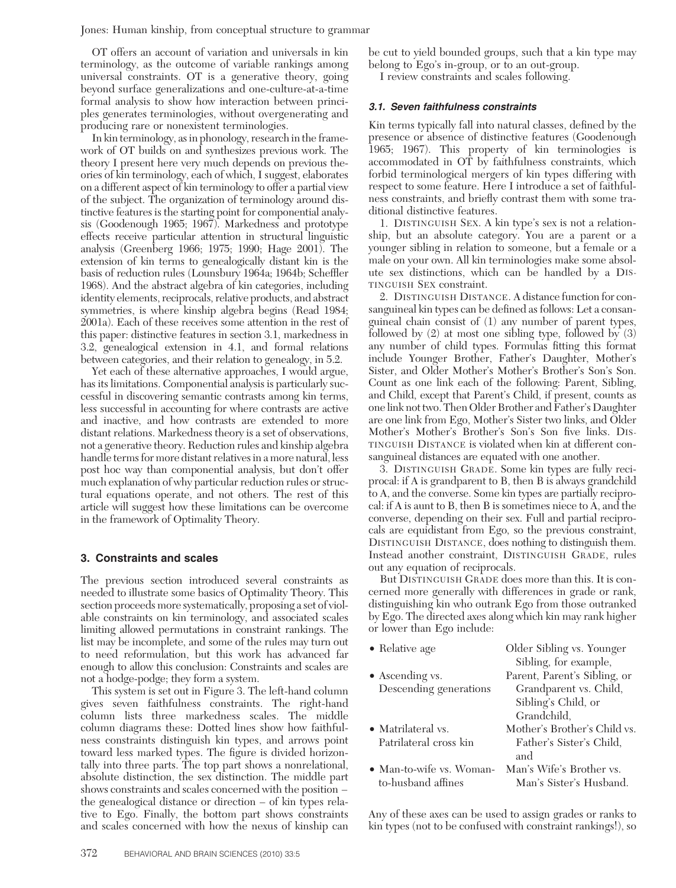Jones: Human kinship, from conceptual structure to grammar

OT offers an account of variation and universals in kin terminology, as the outcome of variable rankings among universal constraints. OT is a generative theory, going beyond surface generalizations and one-culture-at-a-time formal analysis to show how interaction between principles generates terminologies, without overgenerating and producing rare or nonexistent terminologies.

In kin terminology, as in phonology, research in the framework of OT builds on and synthesizes previous work. The theory I present here very much depends on previous theories of kin terminology, each of which, I suggest, elaborates on a different aspect of kin terminology to offer a partial view of the subject. The organization of terminology around distinctive features is the starting point for componential analysis (Goodenough 1965; 1967). Markedness and prototype effects receive particular attention in structural linguistic analysis (Greenberg 1966; 1975; 1990; Hage 2001). The extension of kin terms to genealogically distant kin is the basis of reduction rules (Lounsbury 1964a; 1964b; Scheffler 1968). And the abstract algebra of kin categories, including identity elements, reciprocals, relative products, and abstract symmetries, is where kinship algebra begins (Read 1984; 2001a). Each of these receives some attention in the rest of this paper: distinctive features in section 3.1, markedness in 3.2, genealogical extension in 4.1, and formal relations between categories, and their relation to genealogy, in 5.2.

Yet each of these alternative approaches, I would argue, has its limitations. Componential analysis is particularly successful in discovering semantic contrasts among kin terms, less successful in accounting for where contrasts are active and inactive, and how contrasts are extended to more distant relations. Markedness theory is a set of observations, not a generative theory. Reduction rules and kinship algebra handle terms for more distant relatives in a more natural, less post hoc way than componential analysis, but don't offer much explanation of why particular reduction rules or structural equations operate, and not others. The rest of this article will suggest how these limitations can be overcome in the framework of Optimality Theory.

# 3. Constraints and scales

The previous section introduced several constraints as needed to illustrate some basics of Optimality Theory. This section proceeds more systematically, proposing a set of violable constraints on kin terminology, and associated scales limiting allowed permutations in constraint rankings. The list may be incomplete, and some of the rules may turn out to need reformulation, but this work has advanced far enough to allow this conclusion: Constraints and scales are not a hodge-podge; they form a system.

This system is set out in Figure 3. The left-hand column gives seven faithfulness constraints. The right-hand column lists three markedness scales. The middle column diagrams these: Dotted lines show how faithfulness constraints distinguish kin types, and arrows point toward less marked types. The figure is divided horizontally into three parts. The top part shows a nonrelational, absolute distinction, the sex distinction. The middle part shows constraints and scales concerned with the position – the genealogical distance or direction – of kin types relative to Ego. Finally, the bottom part shows constraints and scales concerned with how the nexus of kinship can be cut to yield bounded groups, such that a kin type may belong to Ego's in-group, or to an out-group.

I review constraints and scales following.

# 3.1. Seven faithfulness constraints

Kin terms typically fall into natural classes, defined by the presence or absence of distinctive features (Goodenough 1965; 1967). This property of kin terminologies is accommodated in OT by faithfulness constraints, which forbid terminological mergers of kin types differing with respect to some feature. Here I introduce a set of faithfulness constraints, and briefly contrast them with some traditional distinctive features.

1. DISTINGUISH SEX. A kin type's sex is not a relationship, but an absolute category. You are a parent or a younger sibling in relation to someone, but a female or a male on your own. All kin terminologies make some absolute sex distinctions, which can be handled by a DIS-TINGUISH SEX constraint.

2. DISTINGUISH DISTANCE. A distance function for consanguineal kin types can be defined as follows: Let a consanguineal chain consist of (1) any number of parent types, followed by (2) at most one sibling type, followed by (3) any number of child types. Formulas fitting this format include Younger Brother, Father's Daughter, Mother's Sister, and Older Mother's Mother's Brother's Son's Son. Count as one link each of the following: Parent, Sibling, and Child, except that Parent's Child, if present, counts as one link not two. Then Older Brother and Father's Daughter are one link from Ego, Mother's Sister two links, and Older Mother's Mother's Brother's Son's Son five links. DIS-TINGUISH DISTANCE is violated when kin at different consanguineal distances are equated with one another.

3. DISTINGUISH GRADE. Some kin types are fully reciprocal: if A is grandparent to B, then B is always grandchild to A, and the converse. Some kin types are partially reciprocal: if A is aunt to B, then B is sometimes niece to A, and the converse, depending on their sex. Full and partial reciprocals are equidistant from Ego, so the previous constraint, DISTINGUISH DISTANCE, does nothing to distinguish them. Instead another constraint, DISTINGUISH GRADE, rules out any equation of reciprocals.

But DISTINGUISH GRADE does more than this. It is concerned more generally with differences in grade or rank, distinguishing kin who outrank Ego from those outranked by Ego. The directed axes along which kin may rank higher or lower than Ego include:

| • Relative age                   | Older Sibling vs. Younger    |
|----------------------------------|------------------------------|
|                                  | Sibling, for example,        |
| • Ascending vs.                  | Parent, Parent's Sibling, or |
| Descending generations           | Grandparent vs. Child,       |
|                                  | Sibling's Child, or          |
|                                  | Grandchild,                  |
| $\bullet$ Matrilateral vs.       | Mother's Brother's Child vs. |
| Patrilateral cross kin           | Father's Sister's Child,     |
|                                  | and                          |
| $\bullet$ Man-to-wife vs. Woman- | Man's Wife's Brother vs.     |
| to-husband affines               | Man's Sister's Husband.      |

Any of these axes can be used to assign grades or ranks to kin types (not to be confused with constraint rankings!), so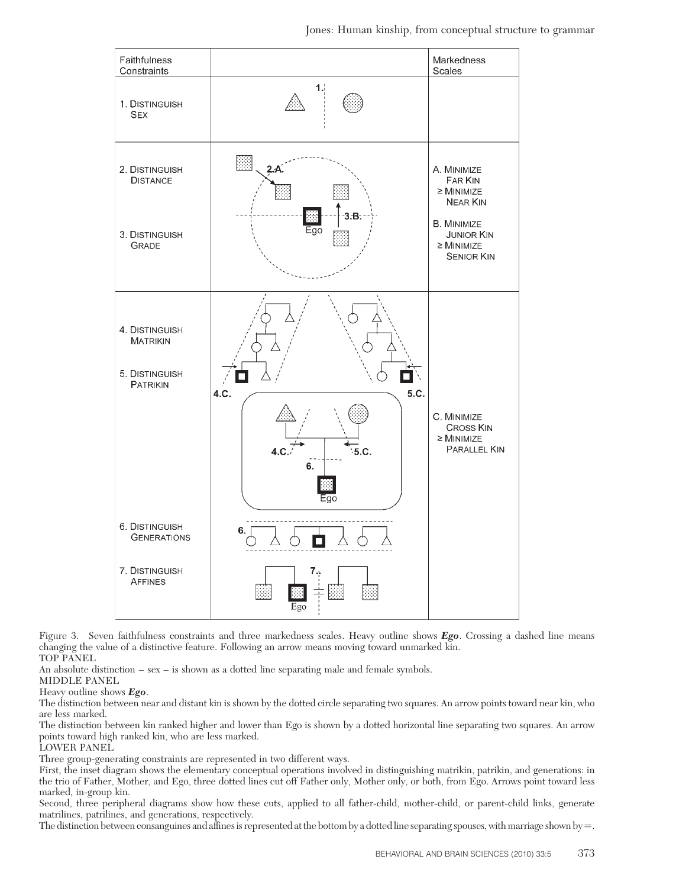

Figure 3. Seven faithfulness constraints and three markedness scales. Heavy outline shows Ego. Crossing a dashed line means changing the value of a distinctive feature. Following an arrow means moving toward unmarked kin. TOP PANEL

An absolute distinction – sex – is shown as a dotted line separating male and female symbols.

MIDDLE PANEL

Heavy outline shows  $Ego$ .

The distinction between near and distant kin is shown by the dotted circle separating two squares. An arrow points toward near kin, who are less marked.

The distinction between kin ranked higher and lower than Ego is shown by a dotted horizontal line separating two squares. An arrow points toward high ranked kin, who are less marked.

LOWER PANEL

Three group-generating constraints are represented in two different ways.

First, the inset diagram shows the elementary conceptual operations involved in distinguishing matrikin, patrikin, and generations: in the trio of Father, Mother, and Ego, three dotted lines cut off Father only, Mother only, or both, from Ego. Arrows point toward less marked, in-group kin.

Second, three peripheral diagrams show how these cuts, applied to all father-child, mother-child, or parent-child links, generate matrilines, patrilines, and generations, respectively.

The distinction between consanguines and affines is represented at the bottom by a dotted line separating spouses, with marriage shown by  $=$ .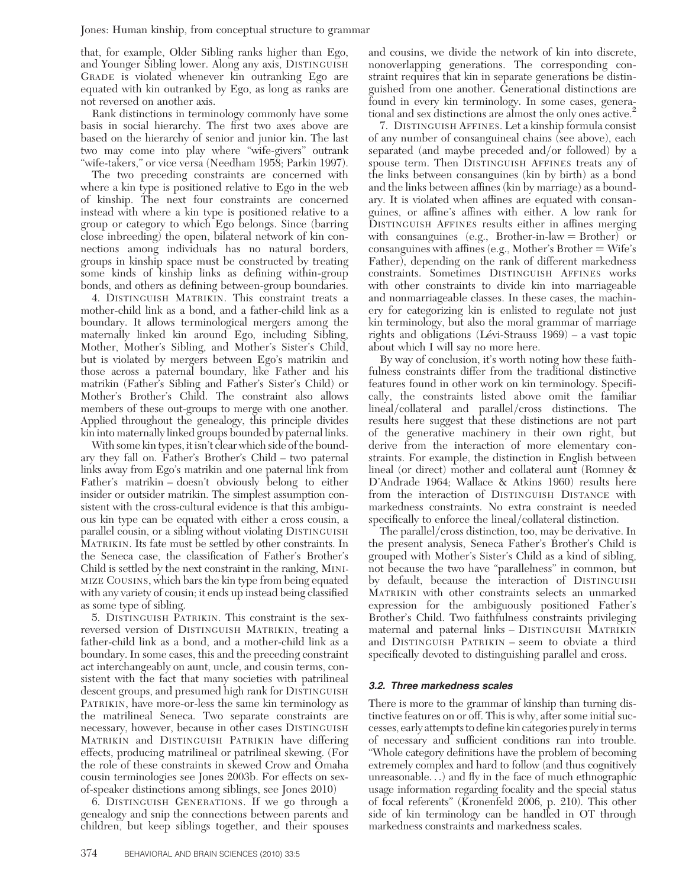that, for example, Older Sibling ranks higher than Ego, and Younger Sibling lower. Along any axis, DISTINGUISH GRADE is violated whenever kin outranking Ego are equated with kin outranked by Ego, as long as ranks are not reversed on another axis.

Rank distinctions in terminology commonly have some basis in social hierarchy. The first two axes above are based on the hierarchy of senior and junior kin. The last two may come into play where "wife-givers" outrank "wife-takers," or vice versa (Needham 1958; Parkin 1997).

The two preceding constraints are concerned with where a kin type is positioned relative to Ego in the web of kinship. The next four constraints are concerned instead with where a kin type is positioned relative to a group or category to which Ego belongs. Since (barring close inbreeding) the open, bilateral network of kin connections among individuals has no natural borders, groups in kinship space must be constructed by treating some kinds of kinship links as defining within-group bonds, and others as defining between-group boundaries.

4. DISTINGUISH MATRIKIN. This constraint treats a mother-child link as a bond, and a father-child link as a boundary. It allows terminological mergers among the maternally linked kin around Ego, including Sibling, Mother, Mother's Sibling, and Mother's Sister's Child, but is violated by mergers between Ego's matrikin and those across a paternal boundary, like Father and his matrikin (Father's Sibling and Father's Sister's Child) or Mother's Brother's Child. The constraint also allows members of these out-groups to merge with one another. Applied throughout the genealogy, this principle divides kin into maternally linked groups bounded by paternal links.

With some kin types, it isn't clear which side of the boundary they fall on. Father's Brother's Child – two paternal links away from Ego's matrikin and one paternal link from Father's matrikin – doesn't obviously belong to either insider or outsider matrikin. The simplest assumption consistent with the cross-cultural evidence is that this ambiguous kin type can be equated with either a cross cousin, a parallel cousin, or a sibling without violating DISTINGUISH MATRIKIN. Its fate must be settled by other constraints. In the Seneca case, the classification of Father's Brother's Child is settled by the next constraint in the ranking, MINI-MIZE COUSINS, which bars the kin type from being equated with any variety of cousin; it ends up instead being classified as some type of sibling.

5. DISTINGUISH PATRIKIN. This constraint is the sexreversed version of DISTINGUISH MATRIKIN, treating a father-child link as a bond, and a mother-child link as a boundary. In some cases, this and the preceding constraint act interchangeably on aunt, uncle, and cousin terms, consistent with the fact that many societies with patrilineal descent groups, and presumed high rank for DISTINGUISH PATRIKIN, have more-or-less the same kin terminology as the matrilineal Seneca. Two separate constraints are necessary, however, because in other cases DISTINGUISH MATRIKIN and DISTINGUISH PATRIKIN have differing effects, producing matrilineal or patrilineal skewing. (For the role of these constraints in skewed Crow and Omaha cousin terminologies see Jones 2003b. For effects on sexof-speaker distinctions among siblings, see Jones 2010)

6. DISTINGUISH GENERATIONS. If we go through a genealogy and snip the connections between parents and children, but keep siblings together, and their spouses

and cousins, we divide the network of kin into discrete, nonoverlapping generations. The corresponding constraint requires that kin in separate generations be distinguished from one another. Generational distinctions are found in every kin terminology. In some cases, generational and sex distinctions are almost the only ones active.<sup>2</sup>

7. DISTINGUISH AFFINES. Let a kinship formula consist of any number of consanguineal chains (see above), each separated (and maybe preceded and/or followed) by a spouse term. Then DISTINGUISH AFFINES treats any of the links between consanguines (kin by birth) as a bond and the links between affines (kin by marriage) as a boundary. It is violated when affines are equated with consanguines, or affine's affines with either. A low rank for DISTINGUISH AFFINES results either in affines merging with consanguines (e.g., Brother-in-law  $=$  Brother) or consanguines with affines (e.g., Mother's Brother  $=$  Wife's Father), depending on the rank of different markedness constraints. Sometimes DISTINGUISH AFFINES works with other constraints to divide kin into marriageable and nonmarriageable classes. In these cases, the machinery for categorizing kin is enlisted to regulate not just kin terminology, but also the moral grammar of marriage rights and obligations (Lévi-Strauss  $1969$ ) – a vast topic about which I will say no more here.

By way of conclusion, it's worth noting how these faithfulness constraints differ from the traditional distinctive features found in other work on kin terminology. Specifically, the constraints listed above omit the familiar lineal/collateral and parallel/cross distinctions. The results here suggest that these distinctions are not part of the generative machinery in their own right, but derive from the interaction of more elementary constraints. For example, the distinction in English between lineal (or direct) mother and collateral aunt (Romney & D'Andrade 1964; Wallace & Atkins 1960) results here from the interaction of DISTINGUISH DISTANCE with markedness constraints. No extra constraint is needed specifically to enforce the lineal/collateral distinction.

The parallel/cross distinction, too, may be derivative. In the present analysis, Seneca Father's Brother's Child is grouped with Mother's Sister's Child as a kind of sibling, not because the two have "parallelness" in common, but by default, because the interaction of DISTINGUISH MATRIKIN with other constraints selects an unmarked expression for the ambiguously positioned Father's Brother's Child. Two faithfulness constraints privileging maternal and paternal links – DISTINGUISH MATRIKIN and DISTINGUISH PATRIKIN – seem to obviate a third specifically devoted to distinguishing parallel and cross.

# 3.2. Three markedness scales

There is more to the grammar of kinship than turning distinctive features on or off. This is why, after some initial successes, early attempts to define kin categories purely in terms of necessary and sufficient conditions ran into trouble. "Whole category definitions have the problem of becoming extremely complex and hard to follow (and thus cognitively unreasonable...) and fly in the face of much ethnographic usage information regarding focality and the special status of focal referents" (Kronenfeld 2006, p. 210). This other side of kin terminology can be handled in OT through markedness constraints and markedness scales.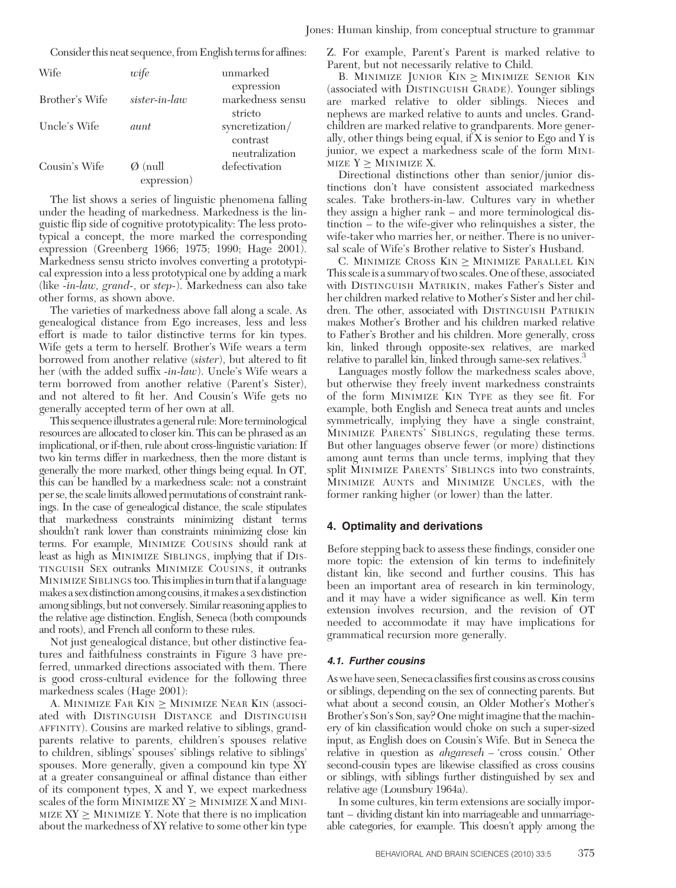Consider this neat sequence, from English terms for affines:

| Wife           | wife                             | unmarked                                    |
|----------------|----------------------------------|---------------------------------------------|
| Brother's Wife | sister-in-law                    | expression<br>markedness sensu              |
| Uncle's Wife   | aunt                             | stricto<br>syncretization/                  |
| Cousin's Wife  |                                  | contrast<br>neutralization<br>defectivation |
|                | $\emptyset$ (null<br>expression) |                                             |

The list shows a series of linguistic phenomena falling under the heading of markedness. Markedness is the linguistic flip side of cognitive prototypicality: The less prototypical a concept, the more marked the corresponding expression (Greenberg 1966; 1975; 1990; Hage 2001). Markedness sensu stricto involves converting a prototypical expression into a less prototypical one by adding a mark (like -in-law, grand-, or step-). Markedness can also take other forms, as shown above.

The varieties of markedness above fall along a scale. As genealogical distance from Ego increases, less and less effort is made to tailor distinctive terms for kin types. Wife gets a term to herself. Brother's Wife wears a term borrowed from another relative (sister), but altered to fit her (with the added suffix -in-law). Uncle's Wife wears a term borrowed from another relative (Parent's Sister), and not altered to fit her. And Cousin's Wife gets no generally accepted term of her own at all.

This sequence illustrates a general rule: More terminological resources are allocated to closer kin. This can be phrased as an implicational, or if-then, rule about cross-linguistic variation: If two kin terms differ in markedness, then the more distant is generally the more marked, other things being equal. In OT, this can be handled by a markedness scale: not a constraint per se, the scale limits allowed permutations of constraint rankings. In the case of genealogical distance, the scale stipulates that markedness constraints minimizing distant terms shouldn't rank lower than constraints minimizing close kin terms. For example, MINIMIZE COUSINS should rank at least as high as MINIMIZE SIBLINGS, implying that if DIS-TINGUISH SEX outranks MINIMIZE COUSINS, it outranks MINIMIZE SIBLINGS too. This implies in turn that if a language makes a sex distinction among cousins, it makes a sex distinction among siblings, but not conversely. Similar reasoning applies to the relative age distinction. English, Seneca (both compounds and roots), and French all conform to these rules.

Not just genealogical distance, but other distinctive features and faithfulness constraints in Figure 3 have preferred, unmarked directions associated with them. There is good cross-cultural evidence for the following three markedness scales (Hage 2001):

A. MINIMIZE FAR  $\text{Kin} \geq \text{Minimize}$  Near Kin (associated with DISTINGUISH DISTANCE and DISTINGUISH AFFINITY). Cousins are marked relative to siblings, grandparents relative to parents, children's spouses relative to children, siblings' spouses' siblings relative to siblings' spouses. More generally, given a compound kin type XY at a greater consanguineal or affinal distance than either of its component types, X and Y, we expect markedness scales of the form MINIMIZE  $XY \geq MINIMIZE X$  and MINI-MIZE  $XY \geq MINIMIZE$  Y. Note that there is no implication about the markedness of XY relative to some other kin type

Z. For example, Parent's Parent is marked relative to Parent, but not necessarily relative to Child.

B. MINIMIZE JUNIOR  $\mathrm{Kin} \geq \mathrm{Minimize}$  Senior Kin (associated with DISTINGUISH GRADE). Younger siblings are marked relative to older siblings. Nieces and nephews are marked relative to aunts and uncles. Grandchildren are marked relative to grandparents. More generally, other things being equal, if X is senior to Ego and Y is junior, we expect a markedness scale of the form MINI-MIZE  $Y \geq M$ INIMIZE X.

Directional distinctions other than senior/junior distinctions don't have consistent associated markedness scales. Take brothers-in-law. Cultures vary in whether they assign a higher rank – and more terminological distinction – to the wife-giver who relinquishes a sister, the wife-taker who marries her, or neither. There is no universal scale of Wife's Brother relative to Sister's Husband.

C. MINIMIZE CROSS  $Kn \geq MINIMIZE$  Parallel Kin This scale is a summary of two scales. One of these, associated with DISTINGUISH MATRIKIN, makes Father's Sister and her children marked relative to Mother's Sister and her children. The other, associated with DISTINGUISH PATRIKIN makes Mother's Brother and his children marked relative to Father's Brother and his children. More generally, cross kin, linked through opposite-sex relatives, are marked relative to parallel kin, linked through same-sex relatives.<sup>3</sup>

Languages mostly follow the markedness scales above, but otherwise they freely invent markedness constraints of the form MINIMIZE KIN TYPE as they see fit. For example, both English and Seneca treat aunts and uncles symmetrically, implying they have a single constraint, MINIMIZE PARENTS' SIBLINGS, regulating these terms. But other languages observe fewer (or more) distinctions among aunt terms than uncle terms, implying that they split MINIMIZE PARENTS' SIBLINGS into two constraints, MINIMIZE AUNTS and MINIMIZE UNCLES, with the former ranking higher (or lower) than the latter.

#### 4. Optimality and derivations

Before stepping back to assess these findings, consider one more topic: the extension of kin terms to indefinitely distant kin, like second and further cousins. This has been an important area of research in kin terminology, and it may have a wider significance as well. Kin term extension involves recursion, and the revision of OT needed to accommodate it may have implications for grammatical recursion more generally.

#### 4.1. Further cousins

As we have seen, Seneca classifies first cousins as cross cousins or siblings, depending on the sex of connecting parents. But what about a second cousin, an Older Mother's Mother's Brother's Son's Son, say? One might imagine that the machinery of kin classification would choke on such a super-sized input, as English does on Cousin's Wife. But in Seneca the relative in question as ahgareseh – 'cross cousin.' Other second-cousin types are likewise classified as cross cousins or siblings, with siblings further distinguished by sex and relative age (Lounsbury 1964a).

In some cultures, kin term extensions are socially important – dividing distant kin into marriageable and unmarriageable categories, for example. This doesn't apply among the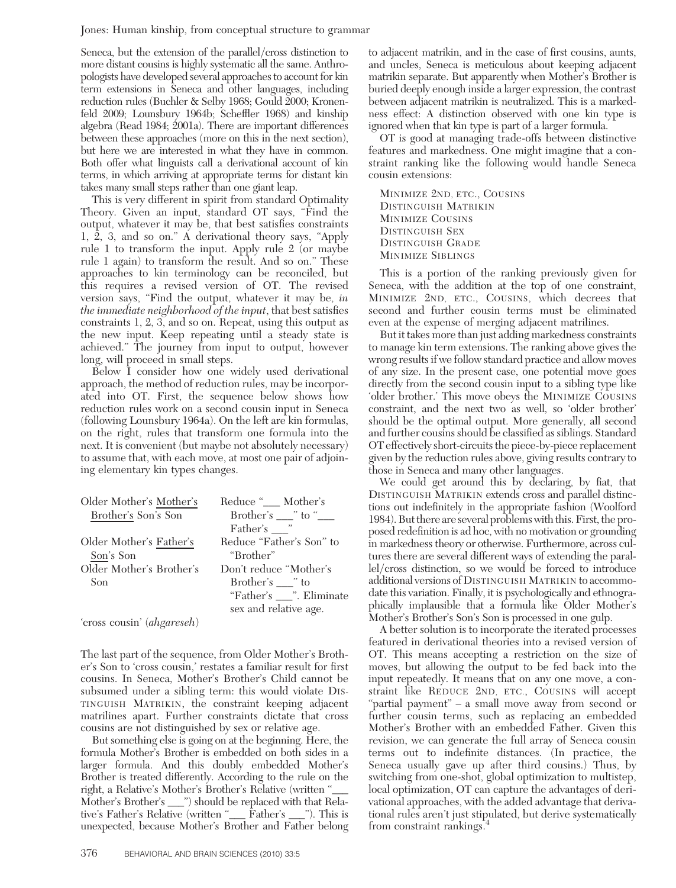Seneca, but the extension of the parallel/cross distinction to more distant cousins is highly systematic all the same. Anthropologists have developed several approaches to account for kin term extensions in Seneca and other languages, including reduction rules (Buchler & Selby 1968; Gould 2000; Kronenfeld 2009; Lounsbury 1964b; Scheffler 1968) and kinship algebra (Read 1984; 2001a). There are important differences between these approaches (more on this in the next section), but here we are interested in what they have in common. Both offer what linguists call a derivational account of kin terms, in which arriving at appropriate terms for distant kin takes many small steps rather than one giant leap.

This is very different in spirit from standard Optimality Theory. Given an input, standard OT says, "Find the output, whatever it may be, that best satisfies constraints 1, 2, 3, and so on." A derivational theory says, "Apply rule 1 to transform the input. Apply rule 2 (or maybe rule 1 again) to transform the result. And so on." These approaches to kin terminology can be reconciled, but this requires a revised version of OT. The revised version says, "Find the output, whatever it may be, in the immediate neighborhood of the input, that best satisfies constraints 1, 2, 3, and so on. Repeat, using this output as the new input. Keep repeating until a steady state is achieved." The journey from input to output, however long, will proceed in small steps.

Below I consider how one widely used derivational approach, the method of reduction rules, may be incorporated into OT. First, the sequence below shows how reduction rules work on a second cousin input in Seneca (following Lounsbury 1964a). On the left are kin formulas, on the right, rules that transform one formula into the next. It is convenient (but maybe not absolutely necessary) to assume that, with each move, at most one pair of adjoining elementary kin types changes.

| Older Mother's Mother's  | Reduce "Mother's          |
|--------------------------|---------------------------|
| Brother's Son's Son      | Brother's "to"            |
|                          | Father's "                |
| Older Mother's Father's  | Reduce "Father's Son" to  |
| Son's Son                | "Brother"                 |
| Older Mother's Brother's | Don't reduce "Mother's    |
| Son                      | Brother's $\equiv$ "to    |
|                          | "Father's ___". Eliminate |
|                          | sex and relative age.     |

'cross cousin' (ahgareseh)

The last part of the sequence, from Older Mother's Brother's Son to 'cross cousin,' restates a familiar result for first cousins. In Seneca, Mother's Brother's Child cannot be subsumed under a sibling term: this would violate DIS-TINGUISH MATRIKIN, the constraint keeping adjacent matrilines apart. Further constraints dictate that cross cousins are not distinguished by sex or relative age.

But something else is going on at the beginning. Here, the formula Mother's Brother is embedded on both sides in a larger formula. And this doubly embedded Mother's Brother is treated differently. According to the rule on the right, a Relative's Mother's Brother's Relative (written "\_\_\_ Mother's Brother's \_\_\_") should be replaced with that Relative's Father's Relative (written "\_\_\_ Father's \_\_\_"). This is unexpected, because Mother's Brother and Father belong

OT is good at managing trade-offs between distinctive features and markedness. One might imagine that a constraint ranking like the following would handle Seneca cousin extensions:

MINIMIZE 2ND, ETC., COUSINS DISTINGUISH MATRIKIN MINIMIZE COUSINS DISTINGUISH SEX DISTINGUISH GRADE MINIMIZE SIBLINGS

This is a portion of the ranking previously given for Seneca, with the addition at the top of one constraint, MINIMIZE 2ND, ETC., COUSINS, which decrees that second and further cousin terms must be eliminated even at the expense of merging adjacent matrilines.

But it takes more than just adding markedness constraints to manage kin term extensions. The ranking above gives the wrong results if we follow standard practice and allow moves of any size. In the present case, one potential move goes directly from the second cousin input to a sibling type like 'older brother.' This move obeys the MINIMIZE COUSINS constraint, and the next two as well, so 'older brother' should be the optimal output. More generally, all second and further cousins should be classified as siblings. Standard OT effectively short-circuits the piece-by-piece replacement given by the reduction rules above, giving results contrary to those in Seneca and many other languages.

We could get around this by declaring, by fiat, that DISTINGUISH MATRIKIN extends cross and parallel distinctions out indefinitely in the appropriate fashion (Woolford 1984). But there are several problems with this. First, the proposed redefinition is ad hoc, with no motivation or grounding in markedness theory or otherwise. Furthermore, across cultures there are several different ways of extending the parallel/cross distinction, so we would be forced to introduce additional versions of DISTINGUISH MATRIKIN to accommodate this variation. Finally, it is psychologically and ethnographically implausible that a formula like Older Mother's Mother's Brother's Son's Son is processed in one gulp.

A better solution is to incorporate the iterated processes featured in derivational theories into a revised version of OT. This means accepting a restriction on the size of moves, but allowing the output to be fed back into the input repeatedly. It means that on any one move, a constraint like REDUCE 2ND, ETC., COUSINS will accept "partial payment" – a small move away from second or further cousin terms, such as replacing an embedded Mother's Brother with an embedded Father. Given this revision, we can generate the full array of Seneca cousin terms out to indefinite distances. (In practice, the Seneca usually gave up after third cousins.) Thus, by switching from one-shot, global optimization to multistep, local optimization, OT can capture the advantages of derivational approaches, with the added advantage that derivational rules aren't just stipulated, but derive systematically from constraint rankings.<sup>4</sup>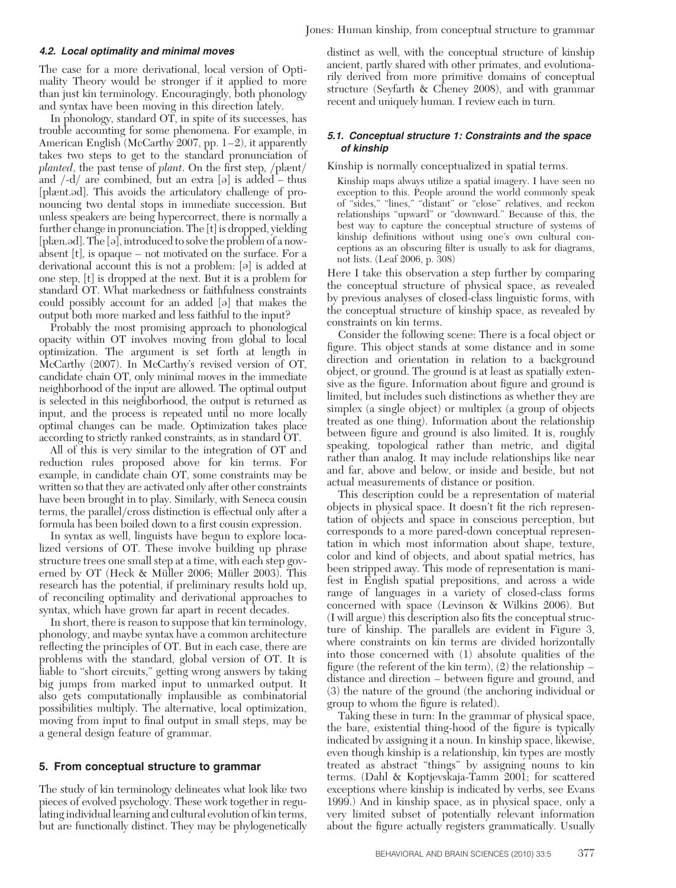#### 4.2. Local optimality and minimal moves

The case for a more derivational, local version of Optimality Theory would be stronger if it applied to more than just kin terminology. Encouragingly, both phonology and syntax have been moving in this direction lately.

In phonology, standard OT, in spite of its successes, has trouble accounting for some phenomena. For example, in American English (McCarthy 2007, pp. 1–2), it apparently takes two steps to get to the standard pronunciation of planted, the past tense of plant. On the first step, /plænt/ and /-d/ are combined, but an extra [ə] is added – thus [plænt. ad]. This avoids the articulatory challenge of pronouncing two dental stops in immediate succession. But unless speakers are being hypercorrect, there is normally a further change in pronunciation. The [t] is dropped, yielding [plæn.əd]. The [ə], introduced to solve the problem of a nowabsent [t], is opaque – not motivated on the surface. For a derivational account this is not a problem: [ə] is added at one step, [t] is dropped at the next. But it is a problem for standard OT. What markedness or faithfulness constraints could possibly account for an added [ə] that makes the output both more marked and less faithful to the input?

Probably the most promising approach to phonological opacity within OT involves moving from global to local optimization. The argument is set forth at length in McCarthy (2007). In McCarthy's revised version of OT, candidate chain OT, only minimal moves in the immediate neighborhood of the input are allowed. The optimal output is selected in this neighborhood, the output is returned as input, and the process is repeated until no more locally optimal changes can be made. Optimization takes place according to strictly ranked constraints, as in standard OT.

All of this is very similar to the integration of OT and reduction rules proposed above for kin terms. For example, in candidate chain OT, some constraints may be written so that they are activated only after other constraints have been brought in to play. Similarly, with Seneca cousin terms, the parallel/cross distinction is effectual only after a formula has been boiled down to a first cousin expression.

In syntax as well, linguists have begun to explore localized versions of OT. These involve building up phrase structure trees one small step at a time, with each step governed by OT (Heck  $\&$  Müller 2006; Müller 2003). This research has the potential, if preliminary results hold up, of reconciling optimality and derivational approaches to syntax, which have grown far apart in recent decades.

In short, there is reason to suppose that kin terminology, phonology, and maybe syntax have a common architecture reflecting the principles of OT. But in each case, there are problems with the standard, global version of OT. It is liable to "short circuits," getting wrong answers by taking big jumps from marked input to unmarked output. It also gets computationally implausible as combinatorial possibilities multiply. The alternative, local optimization, moving from input to final output in small steps, may be a general design feature of grammar.

#### 5. From conceptual structure to grammar

The study of kin terminology delineates what look like two pieces of evolved psychology. These work together in regulating individual learning and cultural evolution of kin terms, but are functionally distinct. They may be phylogenetically

distinct as well, with the conceptual structure of kinship ancient, partly shared with other primates, and evolutionarily derived from more primitive domains of conceptual structure (Seyfarth & Cheney 2008), and with grammar recent and uniquely human. I review each in turn.

#### 5.1. Conceptual structure 1: Constraints and the space of kinship

Kinship is normally conceptualized in spatial terms.

Kinship maps always utilize a spatial imagery. I have seen no exception to this. People around the world commonly speak of "sides," "lines," "distant" or "close" relatives, and reckon relationships "upward" or "downward." Because of this, the best way to capture the conceptual structure of systems of kinship definitions without using one's own cultural conceptions as an obscuring filter is usually to ask for diagrams, not lists. (Leaf 2006, p. 308)

Here I take this observation a step further by comparing the conceptual structure of physical space, as revealed by previous analyses of closed-class linguistic forms, with the conceptual structure of kinship space, as revealed by constraints on kin terms.

Consider the following scene: There is a focal object or figure. This object stands at some distance and in some direction and orientation in relation to a background object, or ground. The ground is at least as spatially extensive as the figure. Information about figure and ground is limited, but includes such distinctions as whether they are simplex (a single object) or multiplex (a group of objects treated as one thing). Information about the relationship between figure and ground is also limited. It is, roughly speaking, topological rather than metric, and digital rather than analog. It may include relationships like near and far, above and below, or inside and beside, but not actual measurements of distance or position.

This description could be a representation of material objects in physical space. It doesn't fit the rich representation of objects and space in conscious perception, but corresponds to a more pared-down conceptual representation in which most information about shape, texture, color and kind of objects, and about spatial metrics, has been stripped away. This mode of representation is manifest in English spatial prepositions, and across a wide range of languages in a variety of closed-class forms concerned with space (Levinson & Wilkins 2006). But (I will argue) this description also fits the conceptual structure of kinship. The parallels are evident in Figure 3, where constraints on kin terms are divided horizontally into those concerned with (1) absolute qualities of the figure (the referent of the kin term), (2) the relationship – distance and direction – between figure and ground, and (3) the nature of the ground (the anchoring individual or group to whom the figure is related).

Taking these in turn: In the grammar of physical space, the bare, existential thing-hood of the figure is typically indicated by assigning it a noun. In kinship space, likewise, even though kinship is a relationship, kin types are mostly treated as abstract "things" by assigning nouns to kin terms. (Dahl & Koptjevskaja-Tamm 2001; for scattered exceptions where kinship is indicated by verbs, see Evans 1999.) And in kinship space, as in physical space, only a very limited subset of potentially relevant information about the figure actually registers grammatically. Usually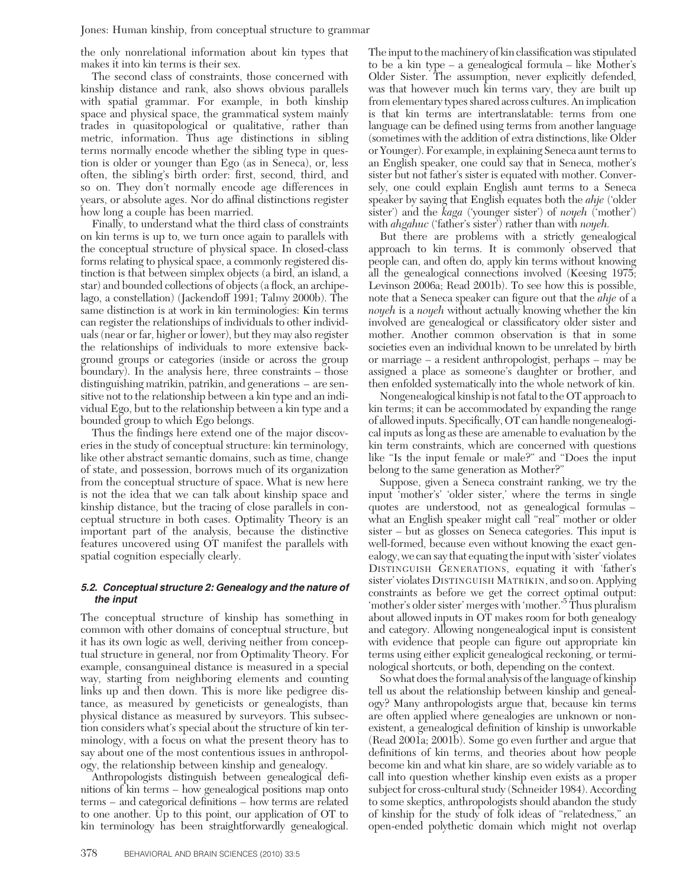the only nonrelational information about kin types that makes it into kin terms is their sex.

The second class of constraints, those concerned with kinship distance and rank, also shows obvious parallels with spatial grammar. For example, in both kinship space and physical space, the grammatical system mainly trades in quasitopological or qualitative, rather than metric, information. Thus age distinctions in sibling terms normally encode whether the sibling type in question is older or younger than Ego (as in Seneca), or, less often, the sibling's birth order: first, second, third, and so on. They don't normally encode age differences in years, or absolute ages. Nor do affinal distinctions register how long a couple has been married.

Finally, to understand what the third class of constraints on kin terms is up to, we turn once again to parallels with the conceptual structure of physical space. In closed-class forms relating to physical space, a commonly registered distinction is that between simplex objects (a bird, an island, a star) and bounded collections of objects (a flock, an archipelago, a constellation) (Jackendoff 1991; Talmy 2000b). The same distinction is at work in kin terminologies: Kin terms can register the relationships of individuals to other individuals (near or far, higher or lower), but they may also register the relationships of individuals to more extensive background groups or categories (inside or across the group boundary). In the analysis here, three constraints – those distinguishing matrikin, patrikin, and generations – are sensitive not to the relationship between a kin type and an individual Ego, but to the relationship between a kin type and a bounded group to which Ego belongs.

Thus the findings here extend one of the major discoveries in the study of conceptual structure: kin terminology, like other abstract semantic domains, such as time, change of state, and possession, borrows much of its organization from the conceptual structure of space. What is new here is not the idea that we can talk about kinship space and kinship distance, but the tracing of close parallels in conceptual structure in both cases. Optimality Theory is an important part of the analysis, because the distinctive features uncovered using OT manifest the parallels with spatial cognition especially clearly.

# 5.2. Conceptual structure 2: Genealogy and the nature of the input

The conceptual structure of kinship has something in common with other domains of conceptual structure, but it has its own logic as well, deriving neither from conceptual structure in general, nor from Optimality Theory. For example, consanguineal distance is measured in a special way, starting from neighboring elements and counting links up and then down. This is more like pedigree distance, as measured by geneticists or genealogists, than physical distance as measured by surveyors. This subsection considers what's special about the structure of kin terminology, with a focus on what the present theory has to say about one of the most contentious issues in anthropology, the relationship between kinship and genealogy.

Anthropologists distinguish between genealogical definitions of kin terms – how genealogical positions map onto terms – and categorical definitions – how terms are related to one another. Up to this point, our application of OT to kin terminology has been straightforwardly genealogical.

The input to the machinery of kin classification was stipulated to be a kin type – a genealogical formula – like Mother's Older Sister. The assumption, never explicitly defended, was that however much kin terms vary, they are built up from elementary types shared across cultures. An implication is that kin terms are intertranslatable: terms from one language can be defined using terms from another language (sometimes with the addition of extra distinctions, like Older or Younger). For example, in explaining Seneca aunt terms to an English speaker, one could say that in Seneca, mother's sister but not father's sister is equated with mother. Conversely, one could explain English aunt terms to a Seneca speaker by saying that English equates both the *ahje* ('older sister') and the *kaga* ('younger sister') of *noyeh* ('mother') with *ahgahuc* ('father's sister') rather than with *noyeh*.

But there are problems with a strictly genealogical approach to kin terms. It is commonly observed that people can, and often do, apply kin terms without knowing all the genealogical connections involved (Keesing 1975; Levinson 2006a; Read 2001b). To see how this is possible, note that a Seneca speaker can figure out that the *ahje* of a noyeh is a noyeh without actually knowing whether the kin involved are genealogical or classificatory older sister and mother. Another common observation is that in some societies even an individual known to be unrelated by birth or marriage – a resident anthropologist, perhaps – may be assigned a place as someone's daughter or brother, and then enfolded systematically into the whole network of kin.

Nongenealogical kinship is not fatal to the OT approach to kin terms; it can be accommodated by expanding the range of allowed inputs. Specifically, OT can handle nongenealogical inputs as long as these are amenable to evaluation by the kin term constraints, which are concerned with questions like "Is the input female or male?" and "Does the input belong to the same generation as Mother?"

Suppose, given a Seneca constraint ranking, we try the input 'mother's' 'older sister,' where the terms in single quotes are understood, not as genealogical formulas – what an English speaker might call "real" mother or older sister – but as glosses on Seneca categories. This input is well-formed, because even without knowing the exact genealogy, we can say that equating the input with 'sister' violates DISTINGUISH GENERATIONS, equating it with 'father's sister' violates DISTINGUISH MATRIKIN, and so on. Applying constraints as before we get the correct optimal output: 'mother's older sister' merges with 'mother.'5 Thus pluralism about allowed inputs in OT makes room for both genealogy and category. Allowing nongenealogical input is consistent with evidence that people can figure out appropriate kin terms using either explicit genealogical reckoning, or terminological shortcuts, or both, depending on the context.

So what does the formal analysis of the language of kinship tell us about the relationship between kinship and genealogy? Many anthropologists argue that, because kin terms are often applied where genealogies are unknown or nonexistent, a genealogical definition of kinship is unworkable (Read 2001a; 2001b). Some go even further and argue that definitions of kin terms, and theories about how people become kin and what kin share, are so widely variable as to call into question whether kinship even exists as a proper subject for cross-cultural study (Schneider 1984). According to some skeptics, anthropologists should abandon the study of kinship for the study of folk ideas of "relatedness," an open-ended polythetic domain which might not overlap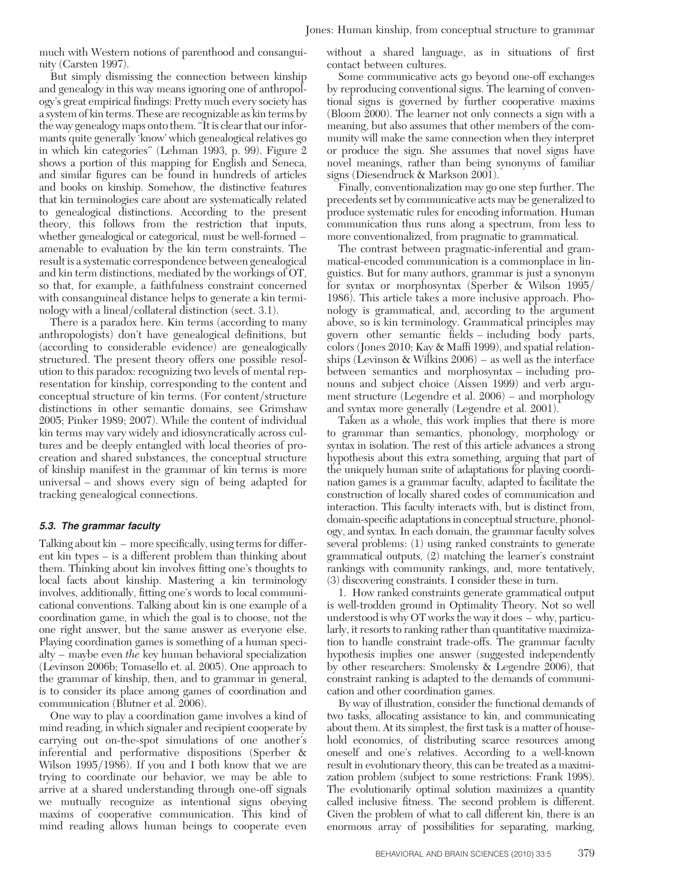much with Western notions of parenthood and consanguinity (Carsten 1997).

But simply dismissing the connection between kinship and genealogy in this way means ignoring one of anthropology's great empirical findings: Pretty much every society has a system of kin terms. These are recognizable as kin terms by the way genealogy maps onto them. "It is clear that our informants quite generally 'know' which genealogical relatives go in which kin categories" (Lehman 1993, p. 99). Figure 2 shows a portion of this mapping for English and Seneca, and similar figures can be found in hundreds of articles and books on kinship. Somehow, the distinctive features that kin terminologies care about are systematically related to genealogical distinctions. According to the present theory, this follows from the restriction that inputs, whether genealogical or categorical, must be well-formed – amenable to evaluation by the kin term constraints. The result is a systematic correspondence between genealogical and kin term distinctions, mediated by the workings of OT, so that, for example, a faithfulness constraint concerned with consanguineal distance helps to generate a kin terminology with a lineal/collateral distinction (sect. 3.1).

There is a paradox here. Kin terms (according to many anthropologists) don't have genealogical definitions, but (according to considerable evidence) are genealogically structured. The present theory offers one possible resolution to this paradox: recognizing two levels of mental representation for kinship, corresponding to the content and conceptual structure of kin terms. (For content/structure distinctions in other semantic domains, see Grimshaw 2005; Pinker 1989; 2007). While the content of individual kin terms may vary widely and idiosyncratically across cultures and be deeply entangled with local theories of procreation and shared substances, the conceptual structure of kinship manifest in the grammar of kin terms is more universal – and shows every sign of being adapted for tracking genealogical connections.

#### 5.3. The grammar faculty

Talking about kin – more specifically, using terms for different kin types – is a different problem than thinking about them. Thinking about kin involves fitting one's thoughts to local facts about kinship. Mastering a kin terminology involves, additionally, fitting one's words to local communicational conventions. Talking about kin is one example of a coordination game, in which the goal is to choose, not the one right answer, but the same answer as everyone else. Playing coordination games is something of a human specialty – maybe even the key human behavioral specialization (Levinson 2006b; Tomasello et. al. 2005). One approach to the grammar of kinship, then, and to grammar in general, is to consider its place among games of coordination and communication (Blutner et al. 2006).

One way to play a coordination game involves a kind of mind reading, in which signaler and recipient cooperate by carrying out on-the-spot simulations of one another's inferential and performative dispositions (Sperber & Wilson 1995/1986). If you and I both know that we are trying to coordinate our behavior, we may be able to arrive at a shared understanding through one-off signals we mutually recognize as intentional signs obeying maxims of cooperative communication. This kind of mind reading allows human beings to cooperate even

without a shared language, as in situations of first contact between cultures.

Some communicative acts go beyond one-off exchanges by reproducing conventional signs. The learning of conventional signs is governed by further cooperative maxims (Bloom 2000). The learner not only connects a sign with a meaning, but also assumes that other members of the community will make the same connection when they interpret or produce the sign. She assumes that novel signs have novel meanings, rather than being synonyms of familiar signs (Diesendruck & Markson 2001).

Finally, conventionalization may go one step further. The precedents set by communicative acts may be generalized to produce systematic rules for encoding information. Human communication thus runs along a spectrum, from less to more conventionalized, from pragmatic to grammatical.

The contrast between pragmatic-inferential and grammatical-encoded communication is a commonplace in linguistics. But for many authors, grammar is just a synonym for syntax or morphosyntax (Sperber & Wilson 1995/ 1986). This article takes a more inclusive approach. Phonology is grammatical, and, according to the argument above, so is kin terminology. Grammatical principles may govern other semantic fields – including body parts, colors (Jones 2010; Kay & Maffi 1999), and spatial relationships (Levinson & Wilkins 2006) – as well as the interface between semantics and morphosyntax – including pronouns and subject choice (Aissen 1999) and verb argument structure (Legendre et al. 2006) – and morphology and syntax more generally (Legendre et al. 2001).

Taken as a whole, this work implies that there is more to grammar than semantics, phonology, morphology or syntax in isolation. The rest of this article advances a strong hypothesis about this extra something, arguing that part of the uniquely human suite of adaptations for playing coordination games is a grammar faculty, adapted to facilitate the construction of locally shared codes of communication and interaction. This faculty interacts with, but is distinct from, domain-specific adaptations in conceptual structure, phonology, and syntax. In each domain, the grammar faculty solves several problems: (1) using ranked constraints to generate grammatical outputs, (2) matching the learner's constraint rankings with community rankings, and, more tentatively, (3) discovering constraints. I consider these in turn.

1. How ranked constraints generate grammatical output is well-trodden ground in Optimality Theory. Not so well understood is why OT works the way it does – why, particularly, it resorts to ranking rather than quantitative maximization to handle constraint trade-offs. The grammar faculty hypothesis implies one answer (suggested independently by other researchers: Smolensky & Legendre 2006), that constraint ranking is adapted to the demands of communication and other coordination games.

By way of illustration, consider the functional demands of two tasks, allocating assistance to kin, and communicating about them. At its simplest, the first task is a matter of household economics, of distributing scarce resources among oneself and one's relatives. According to a well-known result in evolutionary theory, this can be treated as a maximization problem (subject to some restrictions: Frank 1998). The evolutionarily optimal solution maximizes a quantity called inclusive fitness. The second problem is different. Given the problem of what to call different kin, there is an enormous array of possibilities for separating, marking,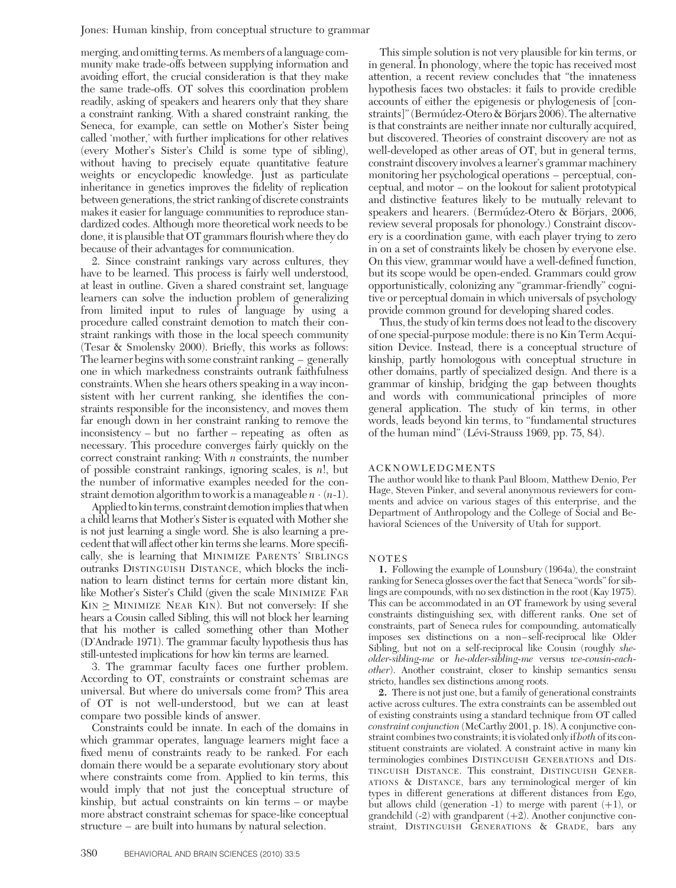merging, and omitting terms. As members of a language community make trade-offs between supplying information and avoiding effort, the crucial consideration is that they make the same trade-offs. OT solves this coordination problem readily, asking of speakers and hearers only that they share a constraint ranking. With a shared constraint ranking, the Seneca, for example, can settle on Mother's Sister being called 'mother,' with further implications for other relatives (every Mother's Sister's Child is some type of sibling), without having to precisely equate quantitative feature weights or encyclopedic knowledge. Just as particulate inheritance in genetics improves the fidelity of replication between generations, the strict ranking of discrete constraints makes it easier for language communities to reproduce standardized codes. Although more theoretical work needs to be done, it is plausible that OT grammars flourish where they do because of their advantages for communication.

2. Since constraint rankings vary across cultures, they have to be learned. This process is fairly well understood, at least in outline. Given a shared constraint set, language learners can solve the induction problem of generalizing from limited input to rules of language by using a procedure called constraint demotion to match their constraint rankings with those in the local speech community (Tesar & Smolensky 2000). Briefly, this works as follows: The learner begins with some constraint ranking – generally one in which markedness constraints outrank faithfulness constraints. When she hears others speaking in a way inconsistent with her current ranking, she identifies the constraints responsible for the inconsistency, and moves them far enough down in her constraint ranking to remove the inconsistency – but no farther – repeating as often as necessary. This procedure converges fairly quickly on the correct constraint ranking: With n constraints, the number of possible constraint rankings, ignoring scales, is  $n!$ , but the number of informative examples needed for the constraint demotion algorithm to work is a manageable  $n \cdot (n-1)$ .

Applied to kin terms, constraint demotion implies that when a child learns that Mother's Sister is equated with Mother she is not just learning a single word. She is also learning a precedent that will affect other kin terms she learns. More specifically, she is learning that MINIMIZE PARENTS' SIBLINGS outranks DISTINGUISH DISTANCE, which blocks the inclination to learn distinct terms for certain more distant kin, like Mother's Sister's Child (given the scale MINIMIZE FAR  $\text{KIN} \geq \text{MINIMIZE}$  NEAR  $\text{KIN}$ ). But not conversely: If she hears a Cousin called Sibling, this will not block her learning that his mother is called something other than Mother (D'Andrade 1971). The grammar faculty hypothesis thus has still-untested implications for how kin terms are learned.

3. The grammar faculty faces one further problem. According to OT, constraints or constraint schemas are universal. But where do universals come from? This area of OT is not well-understood, but we can at least compare two possible kinds of answer.

Constraints could be innate. In each of the domains in which grammar operates, language learners might face a fixed menu of constraints ready to be ranked. For each domain there would be a separate evolutionary story about where constraints come from. Applied to kin terms, this would imply that not just the conceptual structure of kinship, but actual constraints on kin terms – or maybe more abstract constraint schemas for space-like conceptual structure – are built into humans by natural selection.

This simple solution is not very plausible for kin terms, or in general. In phonology, where the topic has received most attention, a recent review concludes that "the innateness hypothesis faces two obstacles: it fails to provide credible accounts of either the epigenesis or phylogenesis of [constraints]" (Bermúdez-Otero & Börjars 2006). The alternative is that constraints are neither innate nor culturally acquired, but discovered. Theories of constraint discovery are not as well-developed as other areas of OT, but in general terms, constraint discovery involves a learner's grammar machinery monitoring her psychological operations – perceptual, conceptual, and motor – on the lookout for salient prototypical and distinctive features likely to be mutually relevant to speakers and hearers. (Bermúdez-Otero & Börjars, 2006, review several proposals for phonology.) Constraint discovery is a coordination game, with each player trying to zero in on a set of constraints likely be chosen by everyone else. On this view, grammar would have a well-defined function, but its scope would be open-ended. Grammars could grow opportunistically, colonizing any "grammar-friendly" cognitive or perceptual domain in which universals of psychology provide common ground for developing shared codes.

Thus, the study of kin terms does not lead to the discovery of one special-purpose module: there is no Kin Term Acquisition Device. Instead, there is a conceptual structure of kinship, partly homologous with conceptual structure in other domains, partly of specialized design. And there is a grammar of kinship, bridging the gap between thoughts and words with communicational principles of more general application. The study of kin terms, in other words, leads beyond kin terms, to "fundamental structures of the human mind" (Lévi-Strauss 1969, pp. 75, 84).

#### ACKNOWLEDGMENTS

The author would like to thank Paul Bloom, Matthew Denio, Per Hage, Steven Pinker, and several anonymous reviewers for comments and advice on various stages of this enterprise, and the Department of Anthropology and the College of Social and Behavioral Sciences of the University of Utah for support.

#### **NOTES**

1. Following the example of Lounsbury (1964a), the constraint ranking for Seneca glosses over the fact that Seneca "words" for siblings are compounds, with no sex distinction in the root (Kay 1975). This can be accommodated in an OT framework by using several constraints distinguishing sex, with different ranks. One set of constraints, part of Seneca rules for compounding, automatically imposes sex distinctions on a non–self-reciprocal like Older Sibling, but not on a self-reciprocal like Cousin (roughly sheolder-sibling-me or he-older-sibling-me versus we-cousin-eachother). Another constraint, closer to kinship semantics sensu stricto, handles sex distinctions among roots.

2. There is not just one, but a family of generational constraints active across cultures. The extra constraints can be assembled out of existing constraints using a standard technique from OT called constraint conjunction (McCarthy 2001, p. 18). A conjunctive constraint combines two constraints; it is violated only if both of its constituent constraints are violated. A constraint active in many kin terminologies combines DISTINGUISH GENERATIONS and DIS-TINGUISH DISTANCE. This constraint, DISTINGUISH GENER-ATIONS & DISTANCE, bars any terminological merger of kin types in different generations at different distances from Ego, but allows child (generation -1) to merge with parent  $(+1)$ , or grandchild  $(-2)$  with grandparent  $(+2)$ . Another conjunctive constraint, DISTINGUISH GENERATIONS & GRADE, bars any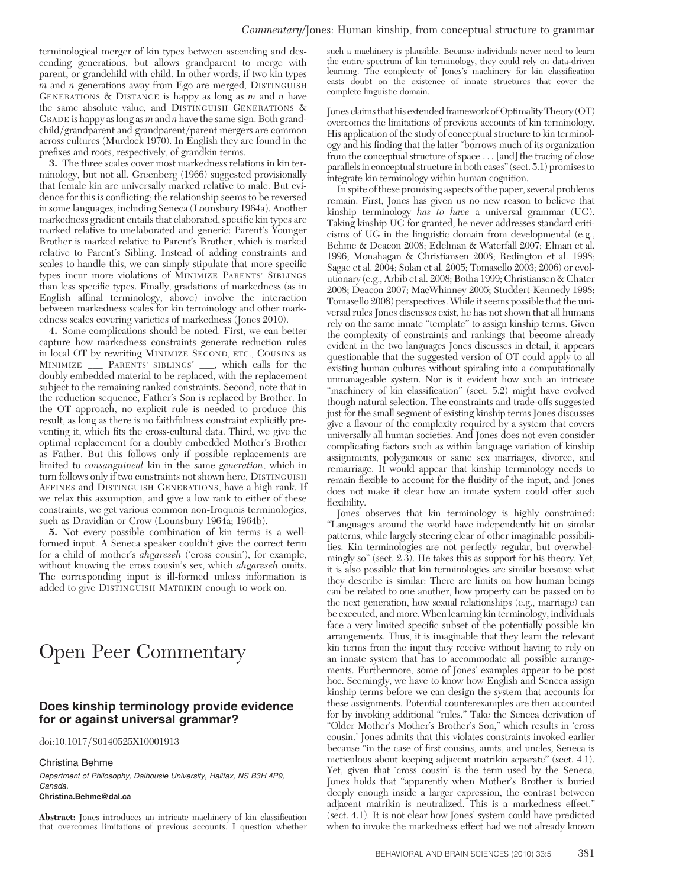terminological merger of kin types between ascending and descending generations, but allows grandparent to merge with parent, or grandchild with child. In other words, if two kin types  $m$  and  $n$  generations away from Ego are merged, DISTINGUISH GENERATIONS & DISTANCE is happy as long as  $m$  and  $n$  have the same absolute value, and DISTINGUISH GENERATIONS & GRADE is happy as long as  $m$  and  $n$  have the same sign. Both grandchild/grandparent and grandparent/parent mergers are common across cultures (Murdock 1970). In English they are found in the prefixes and roots, respectively, of grandkin terms.

3. The three scales cover most markedness relations in kin terminology, but not all. Greenberg (1966) suggested provisionally that female kin are universally marked relative to male. But evidence for this is conflicting; the relationship seems to be reversed in some languages, including Seneca (Lounsbury 1964a). Another markedness gradient entails that elaborated, specific kin types are marked relative to unelaborated and generic: Parent's Younger Brother is marked relative to Parent's Brother, which is marked relative to Parent's Sibling. Instead of adding constraints and scales to handle this, we can simply stipulate that more specific types incur more violations of MINIMIZE PARENTS' SIBLINGS than less specific types. Finally, gradations of markedness (as in English affinal terminology, above) involve the interaction between markedness scales for kin terminology and other markedness scales covering varieties of markedness (Jones 2010).

4. Some complications should be noted. First, we can better capture how markedness constraints generate reduction rules in local OT by rewriting MINIMIZE SECOND, ETC., COUSINS as MINIMIZE \_\_\_ PARENTS' SIBLINGS' \_\_\_, which calls for the doubly embedded material to be replaced, with the replacement subject to the remaining ranked constraints. Second, note that in the reduction sequence, Father's Son is replaced by Brother. In the OT approach, no explicit rule is needed to produce this result, as long as there is no faithfulness constraint explicitly preventing it, which fits the cross-cultural data. Third, we give the optimal replacement for a doubly embedded Mother's Brother as Father. But this follows only if possible replacements are limited to consanguineal kin in the same generation, which in turn follows only if two constraints not shown here, DISTINGUISH AFFINES and DISTINGUISH GENERATIONS, have a high rank. If we relax this assumption, and give a low rank to either of these constraints, we get various common non-Iroquois terminologies, such as Dravidian or Crow (Lounsbury 1964a; 1964b).

5. Not every possible combination of kin terms is a wellformed input. A Seneca speaker couldn't give the correct term for a child of mother's ahgareseh ('cross cousin'), for example, without knowing the cross cousin's sex, which ahgareseh omits. The corresponding input is ill-formed unless information is added to give DISTINGUISH MATRIKIN enough to work on.

# Open Peer Commentary

# Does kinship terminology provide evidence for or against universal grammar?

doi:10.1017/S0140525X10001913

#### Christina Behme

Department of Philosophy, Dalhousie University, Halifax, NS B3H 4P9, Canada.

#### Christina.Behme@dal.ca

Abstract: Jones introduces an intricate machinery of kin classification that overcomes limitations of previous accounts. I question whether

such a machinery is plausible. Because individuals never need to learn the entire spectrum of kin terminology, they could rely on data-driven learning. The complexity of Jones's machinery for kin classification casts doubt on the existence of innate structures that cover the complete linguistic domain.

Jones claims that his extended framework of Optimality Theory (OT) overcomes the limitations of previous accounts of kin terminology. His application of the study of conceptual structure to kin terminology and his finding that the latter "borrows much of its organization from the conceptual structure of space ... [and] the tracing of close parallels in conceptual structure in both cases" (sect. 5.1) promises to integrate kin terminology within human cognition.

In spite of these promising aspects of the paper, several problems remain. First, Jones has given us no new reason to believe that kinship terminology has to have a universal grammar (UG). Taking kinship UG for granted, he never addresses standard criticisms of UG in the linguistic domain from developmental (e.g., Behme & Deacon 2008; Edelman & Waterfall 2007; Elman et al. 1996; Monahagan & Christiansen 2008; Redington et al. 1998; Sagae et al. 2004; Solan et al. 2005; Tomasello 2003; 2006) or evolutionary (e.g., Arbib et al. 2008; Botha 1999; Christiansen & Chater 2008; Deacon 2007; MacWhinney 2005; Studdert-Kennedy 1998; Tomasello 2008) perspectives. While it seems possible that the universal rules Jones discusses exist, he has not shown that all humans rely on the same innate "template" to assign kinship terms. Given the complexity of constraints and rankings that become already evident in the two languages Jones discusses in detail, it appears questionable that the suggested version of OT could apply to all existing human cultures without spiraling into a computationally unmanageable system. Nor is it evident how such an intricate "machinery of kin classification" (sect. 5.2) might have evolved though natural selection. The constraints and trade-offs suggested just for the small segment of existing kinship terms Jones discusses give a flavour of the complexity required by a system that covers universally all human societies. And Jones does not even consider complicating factors such as within language variation of kinship assignments, polygamous or same sex marriages, divorce, and remarriage. It would appear that kinship terminology needs to remain flexible to account for the fluidity of the input, and Jones does not make it clear how an innate system could offer such flexibility.

Jones observes that kin terminology is highly constrained: "Languages around the world have independently hit on similar patterns, while largely steering clear of other imaginable possibilities. Kin terminologies are not perfectly regular, but overwhelmingly so" (sect. 2.3). He takes this as support for his theory. Yet, it is also possible that kin terminologies are similar because what they describe is similar: There are limits on how human beings can be related to one another, how property can be passed on to the next generation, how sexual relationships (e.g., marriage) can be executed, and more. When learning kin terminology, individuals face a very limited specific subset of the potentially possible kin arrangements. Thus, it is imaginable that they learn the relevant kin terms from the input they receive without having to rely on an innate system that has to accommodate all possible arrangements. Furthermore, some of Jones' examples appear to be post hoc. Seemingly, we have to know how English and Seneca assign kinship terms before we can design the system that accounts for these assignments. Potential counterexamples are then accounted for by invoking additional "rules." Take the Seneca derivation of "Older Mother's Mother's Brother's Son," which results in 'cross cousin.' Jones admits that this violates constraints invoked earlier because "in the case of first cousins, aunts, and uncles, Seneca is meticulous about keeping adjacent matrikin separate" (sect. 4.1). Yet, given that 'cross cousin' is the term used by the Seneca, Jones holds that "apparently when Mother's Brother is buried deeply enough inside a larger expression, the contrast between adjacent matrikin is neutralized. This is a markedness effect." (sect. 4.1). It is not clear how Jones' system could have predicted when to invoke the markedness effect had we not already known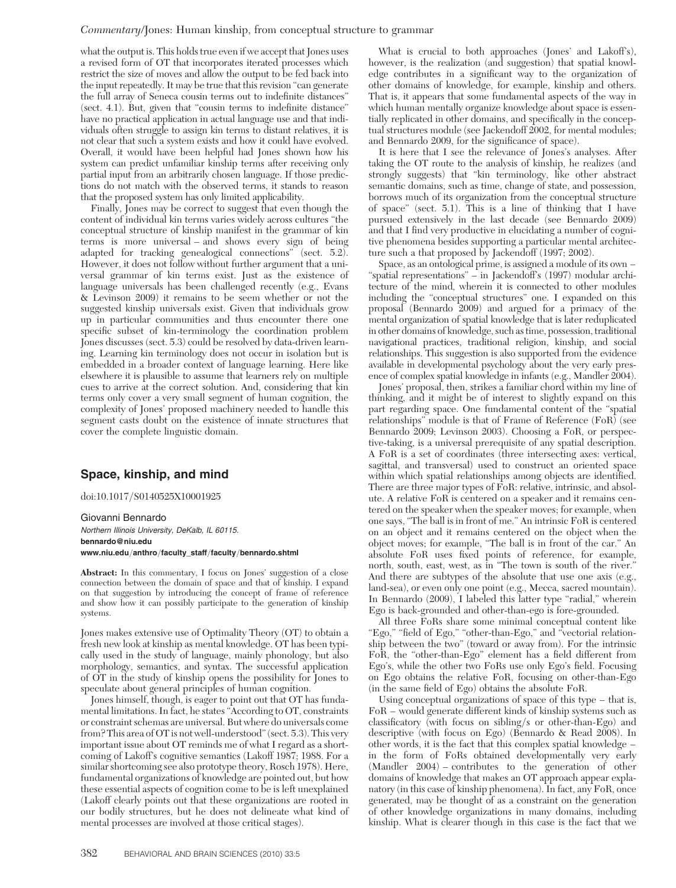what the output is. This holds true even if we accept that Jones uses a revised form of OT that incorporates iterated processes which restrict the size of moves and allow the output to be fed back into the input repeatedly. It may be true that this revision "can generate the full array of Seneca cousin terms out to indefinite distances" (sect. 4.1). But, given that "cousin terms to indefinite distance" have no practical application in actual language use and that individuals often struggle to assign kin terms to distant relatives, it is not clear that such a system exists and how it could have evolved. Overall, it would have been helpful had Jones shown how his system can predict unfamiliar kinship terms after receiving only partial input from an arbitrarily chosen language. If those predictions do not match with the observed terms, it stands to reason that the proposed system has only limited applicability.

Finally, Jones may be correct to suggest that even though the content of individual kin terms varies widely across cultures "the conceptual structure of kinship manifest in the grammar of kin terms is more universal – and shows every sign of being adapted for tracking genealogical connections" (sect. 5.2). However, it does not follow without further argument that a universal grammar of kin terms exist. Just as the existence of language universals has been challenged recently (e.g., Evans & Levinson 2009) it remains to be seem whether or not the suggested kinship universals exist. Given that individuals grow up in particular communities and thus encounter there one specific subset of kin-terminology the coordination problem Jones discusses (sect. 5.3) could be resolved by data-driven learning. Learning kin terminology does not occur in isolation but is embedded in a broader context of language learning. Here like elsewhere it is plausible to assume that learners rely on multiple cues to arrive at the correct solution. And, considering that kin terms only cover a very small segment of human cognition, the complexity of Jones' proposed machinery needed to handle this segment casts doubt on the existence of innate structures that cover the complete linguistic domain.

# Space, kinship, and mind

doi:10.1017/S0140525X10001925

Giovanni Bennardo Northern Illinois University, DeKalb, IL 60115. bennardo@niu.edu www.niu.edu/anthro/faculty\_staff/faculty/bennardo.shtml

Abstract: In this commentary, I focus on Jones' suggestion of a close connection between the domain of space and that of kinship. I expand on that suggestion by introducing the concept of frame of reference and show how it can possibly participate to the generation of kinship systems.

Jones makes extensive use of Optimality Theory (OT) to obtain a fresh new look at kinship as mental knowledge. OT has been typically used in the study of language, mainly phonology, but also morphology, semantics, and syntax. The successful application of OT in the study of kinship opens the possibility for Jones to speculate about general principles of human cognition.

Jones himself, though, is eager to point out that OT has fundamental limitations. In fact, he states "According to OT, constraints or constraint schemas are universal. But where do universals come from? This area of OT is not well-understood" (sect. 5.3). This very important issue about OT reminds me of what I regard as a shortcoming of Lakoff's cognitive semantics (Lakoff 1987; 1988. For a similar shortcoming see also prototype theory, Rosch 1978). Here, fundamental organizations of knowledge are pointed out, but how these essential aspects of cognition come to be is left unexplained (Lakoff clearly points out that these organizations are rooted in our bodily structures, but he does not delineate what kind of mental processes are involved at those critical stages).

What is crucial to both approaches (Jones' and Lakoff's), however, is the realization (and suggestion) that spatial knowledge contributes in a significant way to the organization of other domains of knowledge, for example, kinship and others. That is, it appears that some fundamental aspects of the way in which human mentally organize knowledge about space is essentially replicated in other domains, and specifically in the conceptual structures module (see Jackendoff 2002, for mental modules; and Bennardo 2009, for the significance of space).

It is here that I see the relevance of Jones's analyses. After taking the OT route to the analysis of kinship, he realizes (and strongly suggests) that "kin terminology, like other abstract semantic domains, such as time, change of state, and possession, borrows much of its organization from the conceptual structure of space" (sect. 5.1). This is a line of thinking that I have pursued extensively in the last decade (see Bennardo 2009) and that I find very productive in elucidating a number of cognitive phenomena besides supporting a particular mental architecture such a that proposed by Jackendoff (1997; 2002).

Space, as an ontological prime, is assigned a module of its own – "spatial representations" – in Jackendoff's (1997) modular architecture of the mind, wherein it is connected to other modules including the "conceptual structures" one. I expanded on this proposal (Bennardo 2009) and argued for a primacy of the mental organization of spatial knowledge that is later reduplicated in other domains of knowledge, such as time, possession, traditional navigational practices, traditional religion, kinship, and social relationships. This suggestion is also supported from the evidence available in developmental psychology about the very early presence of complex spatial knowledge in infants (e.g., Mandler 2004).

Jones' proposal, then, strikes a familiar chord within my line of thinking, and it might be of interest to slightly expand on this part regarding space. One fundamental content of the "spatial relationships" module is that of Frame of Reference (FoR) (see Bennardo 2009; Levinson 2003). Choosing a FoR, or perspective-taking, is a universal prerequisite of any spatial description. A FoR is a set of coordinates (three intersecting axes: vertical, sagittal, and transversal) used to construct an oriented space within which spatial relationships among objects are identified. There are three major types of FoR: relative, intrinsic, and absolute. A relative FoR is centered on a speaker and it remains centered on the speaker when the speaker moves; for example, when one says, "The ball is in front of me." An intrinsic FoR is centered on an object and it remains centered on the object when the object moves; for example, "The ball is in front of the car." An absolute FoR uses fixed points of reference, for example, north, south, east, west, as in "The town is south of the river." And there are subtypes of the absolute that use one axis (e.g., land-sea), or even only one point (e.g., Mecca, sacred mountain). In Bennardo (2009), I labeled this latter type "radial," wherein Ego is back-grounded and other-than-ego is fore-grounded.

All three FoRs share some minimal conceptual content like "Ego," "field of Ego," "other-than-Ego," and "vectorial relationship between the two" (toward or away from). For the intrinsic FoR, the "other-than-Ego" element has a field different from Ego's, while the other two FoRs use only Ego's field. Focusing on Ego obtains the relative FoR, focusing on other-than-Ego (in the same field of Ego) obtains the absolute FoR.

Using conceptual organizations of space of this type – that is, FoR – would generate different kinds of kinship systems such as classificatory (with focus on sibling/s or other-than-Ego) and descriptive (with focus on Ego) (Bennardo & Read 2008). In other words, it is the fact that this complex spatial knowledge – in the form of FoRs obtained developmentally very early (Mandler 2004) – contributes to the generation of other domains of knowledge that makes an OT approach appear explanatory (in this case of kinship phenomena). In fact, any FoR, once generated, may be thought of as a constraint on the generation of other knowledge organizations in many domains, including kinship. What is clearer though in this case is the fact that we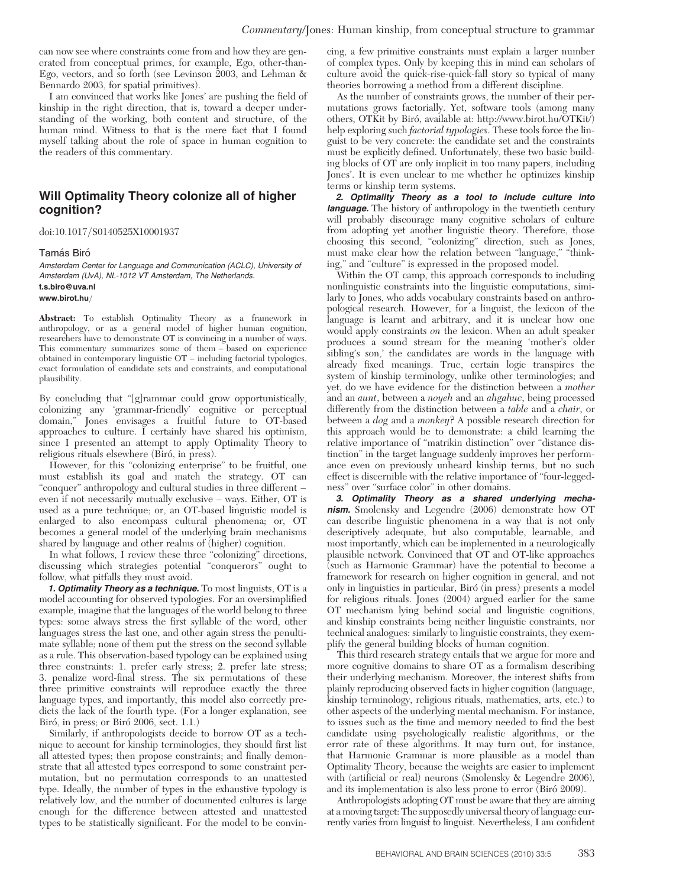can now see where constraints come from and how they are generated from conceptual primes, for example, Ego, other-than-Ego, vectors, and so forth (see Levinson 2003, and Lehman & Bennardo 2003, for spatial primitives).

I am convinced that works like Jones' are pushing the field of kinship in the right direction, that is, toward a deeper understanding of the working, both content and structure, of the human mind. Witness to that is the mere fact that I found myself talking about the role of space in human cognition to the readers of this commentary.

# Will Optimality Theory colonize all of higher cognition?

doi:10.1017/S0140525X10001937

Tamás Biró

Amsterdam Center for Language and Communication (ACLC), University of Amsterdam (UvA), NL-1012 VT Amsterdam, The Netherlands.

t.s.biro@uva.nl

www.birot.hu/

Abstract: To establish Optimality Theory as a framework in anthropology, or as a general model of higher human cognition, researchers have to demonstrate OT is convincing in a number of ways. This commentary summarizes some of them – based on experience obtained in contemporary linguistic OT – including factorial typologies, exact formulation of candidate sets and constraints, and computational plausibility.

By concluding that "[g]rammar could grow opportunistically, colonizing any 'grammar-friendly' cognitive or perceptual domain," Jones envisages a fruitful future to OT-based approaches to culture. I certainly have shared his optimism, since I presented an attempt to apply Optimality Theory to religious rituals elsewhere (Biró, in press).

However, for this "colonizing enterprise" to be fruitful, one must establish its goal and match the strategy. OT can "conquer" anthropology and cultural studies in three different – even if not necessarily mutually exclusive – ways. Either, OT is used as a pure technique; or, an OT-based linguistic model is enlarged to also encompass cultural phenomena; or, OT becomes a general model of the underlying brain mechanisms shared by language and other realms of (higher) cognition.

In what follows, I review these three "colonizing" directions, discussing which strategies potential "conquerors" ought to follow, what pitfalls they must avoid.

1. Optimality Theory as a technique. To most linguists, OT is a model accounting for observed typologies. For an oversimplified example, imagine that the languages of the world belong to three types: some always stress the first syllable of the word, other languages stress the last one, and other again stress the penultimate syllable; none of them put the stress on the second syllable as a rule. This observation-based typology can be explained using three constraints: 1. prefer early stress; 2. prefer late stress; 3. penalize word-final stress. The six permutations of these three primitive constraints will reproduce exactly the three language types, and importantly, this model also correctly predicts the lack of the fourth type. (For a longer explanation, see Biró, in press; or Biró 2006, sect. 1.1.)

Similarly, if anthropologists decide to borrow OT as a technique to account for kinship terminologies, they should first list all attested types; then propose constraints; and finally demonstrate that all attested types correspond to some constraint permutation, but no permutation corresponds to an unattested type. Ideally, the number of types in the exhaustive typology is relatively low, and the number of documented cultures is large enough for the difference between attested and unattested types to be statistically significant. For the model to be convincing, a few primitive constraints must explain a larger number of complex types. Only by keeping this in mind can scholars of culture avoid the quick-rise-quick-fall story so typical of many theories borrowing a method from a different discipline.

As the number of constraints grows, the number of their permutations grows factorially. Yet, software tools (among many others, OTKit by Biro´, available at: http://www.birot.hu/OTKit/) help exploring such factorial typologies. These tools force the linguist to be very concrete: the candidate set and the constraints must be explicitly defined. Unfortunately, these two basic building blocks of OT are only implicit in too many papers, including Jones'. It is even unclear to me whether he optimizes kinship terms or kinship term systems.

2. Optimality Theory as a tool to include culture into language. The history of anthropology in the twentieth century will probably discourage many cognitive scholars of culture from adopting yet another linguistic theory. Therefore, those choosing this second, "colonizing" direction, such as Jones, must make clear how the relation between "language," "thinking," and "culture" is expressed in the proposed model.

Within the OT camp, this approach corresponds to including nonlinguistic constraints into the linguistic computations, similarly to Jones, who adds vocabulary constraints based on anthropological research. However, for a linguist, the lexicon of the language is learnt and arbitrary, and it is unclear how one would apply constraints on the lexicon. When an adult speaker produces a sound stream for the meaning 'mother's older sibling's son,' the candidates are words in the language with already fixed meanings. True, certain logic transpires the system of kinship terminology, unlike other terminologies; and yet, do we have evidence for the distinction between a mother and an aunt, between a noyeh and an ahgahuc, being processed differently from the distinction between a table and a chair, or between a dog and a monkey? A possible research direction for this approach would be to demonstrate: a child learning the relative importance of "matrikin distinction" over "distance distinction" in the target language suddenly improves her performance even on previously unheard kinship terms, but no such effect is discernible with the relative importance of "four-leggedness" over "surface color" in other domains.

3. Optimality Theory as a shared underlying mechanism. Smolensky and Legendre (2006) demonstrate how OT can describe linguistic phenomena in a way that is not only descriptively adequate, but also computable, learnable, and most importantly, which can be implemented in a neurologically plausible network. Convinced that OT and OT-like approaches (such as Harmonic Grammar) have the potential to become a framework for research on higher cognition in general, and not only in linguistics in particular, Biró (in press) presents a model for religious rituals. Jones (2004) argued earlier for the same OT mechanism lying behind social and linguistic cognitions, and kinship constraints being neither linguistic constraints, nor technical analogues: similarly to linguistic constraints, they exemplify the general building blocks of human cognition.

This third research strategy entails that we argue for more and more cognitive domains to share OT as a formalism describing their underlying mechanism. Moreover, the interest shifts from plainly reproducing observed facts in higher cognition (language, kinship terminology, religious rituals, mathematics, arts, etc.) to other aspects of the underlying mental mechanism. For instance, to issues such as the time and memory needed to find the best candidate using psychologically realistic algorithms, or the error rate of these algorithms. It may turn out, for instance, that Harmonic Grammar is more plausible as a model than Optimality Theory, because the weights are easier to implement with (artificial or real) neurons (Smolensky & Legendre 2006), and its implementation is also less prone to error (Biró 2009).

Anthropologists adopting OT must be aware that they are aiming at a moving target: The supposedly universal theory of language currently varies from linguist to linguist. Nevertheless, I am confident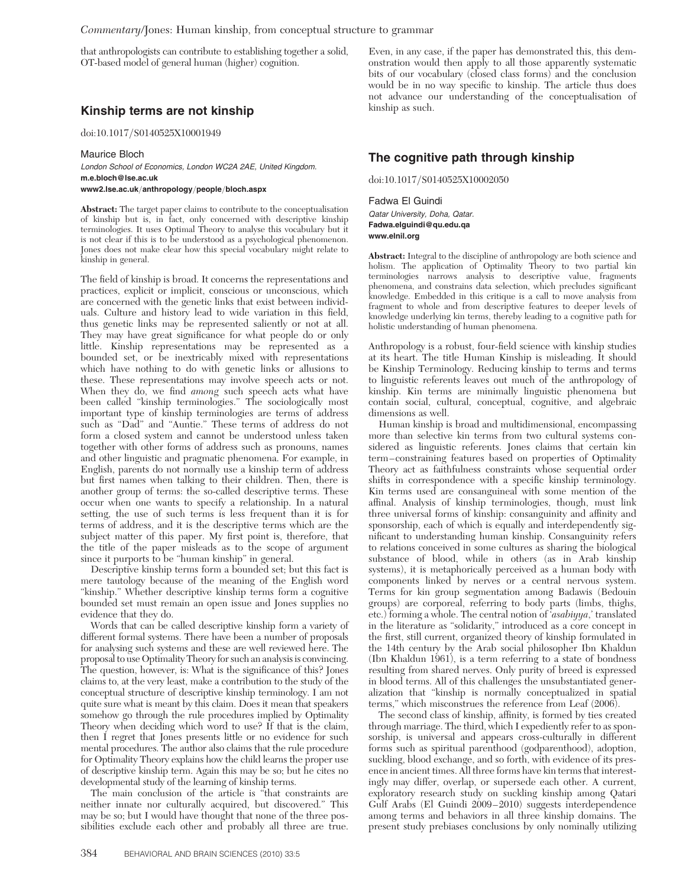that anthropologists can contribute to establishing together a solid, OT-based model of general human (higher) cognition.

# Kinship terms are not kinship

doi:10.1017/S0140525X10001949

Maurice Bloch

London School of Economics, London WC2A 2AE, United Kingdom. m.e.bloch@lse.ac.uk

www2.lse.ac.uk/anthropology/people/bloch.aspx

Abstract: The target paper claims to contribute to the conceptualisation of kinship but is, in fact, only concerned with descriptive kinship terminologies. It uses Optimal Theory to analyse this vocabulary but it is not clear if this is to be understood as a psychological phenomenon. Jones does not make clear how this special vocabulary might relate to kinship in general.

The field of kinship is broad. It concerns the representations and practices, explicit or implicit, conscious or unconscious, which are concerned with the genetic links that exist between individuals. Culture and history lead to wide variation in this field, thus genetic links may be represented saliently or not at all. They may have great significance for what people do or only little. Kinship representations may be represented as a bounded set, or be inextricably mixed with representations which have nothing to do with genetic links or allusions to these. These representations may involve speech acts or not. When they do, we find *among* such speech acts what have been called "kinship terminologies." The sociologically most important type of kinship terminologies are terms of address such as "Dad" and "Auntie." These terms of address do not form a closed system and cannot be understood unless taken together with other forms of address such as pronouns, names and other linguistic and pragmatic phenomena. For example, in English, parents do not normally use a kinship term of address but first names when talking to their children. Then, there is another group of terms: the so-called descriptive terms. These occur when one wants to specify a relationship. In a natural setting, the use of such terms is less frequent than it is for terms of address, and it is the descriptive terms which are the subject matter of this paper. My first point is, therefore, that the title of the paper misleads as to the scope of argument since it purports to be "human kinship" in general.

Descriptive kinship terms form a bounded set; but this fact is mere tautology because of the meaning of the English word "kinship." Whether descriptive kinship terms form a cognitive bounded set must remain an open issue and Jones supplies no evidence that they do.

Words that can be called descriptive kinship form a variety of different formal systems. There have been a number of proposals for analysing such systems and these are well reviewed here. The proposal to use Optimality Theory for such an analysis is convincing. The question, however, is: What is the significance of this? Jones claims to, at the very least, make a contribution to the study of the conceptual structure of descriptive kinship terminology. I am not quite sure what is meant by this claim. Does it mean that speakers somehow go through the rule procedures implied by Optimality Theory when deciding which word to use? If that is the claim, then I regret that Jones presents little or no evidence for such mental procedures. The author also claims that the rule procedure for Optimality Theory explains how the child learns the proper use of descriptive kinship term. Again this may be so; but he cites no developmental study of the learning of kinship terms.

The main conclusion of the article is "that constraints are neither innate nor culturally acquired, but discovered." This may be so; but I would have thought that none of the three possibilities exclude each other and probably all three are true.

Even, in any case, if the paper has demonstrated this, this demonstration would then apply to all those apparently systematic bits of our vocabulary (closed class forms) and the conclusion would be in no way specific to kinship. The article thus does not advance our understanding of the conceptualisation of kinship as such.

# The cognitive path through kinship

doi:10.1017/S0140525X10002050

Fadwa El Guindi Qatar University, Doha, Qatar. Fadwa.elguindi@qu.edu.qa www.elnil.org

Abstract: Integral to the discipline of anthropology are both science and holism. The application of Optimality Theory to two partial kin terminologies narrows analysis to descriptive value, fragments phenomena, and constrains data selection, which precludes significant knowledge. Embedded in this critique is a call to move analysis from fragment to whole and from descriptive features to deeper levels of knowledge underlying kin terms, thereby leading to a cognitive path for holistic understanding of human phenomena.

Anthropology is a robust, four-field science with kinship studies at its heart. The title Human Kinship is misleading. It should be Kinship Terminology. Reducing kinship to terms and terms to linguistic referents leaves out much of the anthropology of kinship. Kin terms are minimally linguistic phenomena but contain social, cultural, conceptual, cognitive, and algebraic dimensions as well.

Human kinship is broad and multidimensional, encompassing more than selective kin terms from two cultural systems considered as linguistic referents. Jones claims that certain kin term–constraining features based on properties of Optimality Theory act as faithfulness constraints whose sequential order shifts in correspondence with a specific kinship terminology. Kin terms used are consanguineal with some mention of the affinal. Analysis of kinship terminologies, though, must link three universal forms of kinship: consanguinity and affinity and sponsorship, each of which is equally and interdependently significant to understanding human kinship. Consanguinity refers to relations conceived in some cultures as sharing the biological substance of blood, while in others (as in Arab kinship systems), it is metaphorically perceived as a human body with components linked by nerves or a central nervous system. Terms for kin group segmentation among Badawis (Bedouin groups) are corporeal, referring to body parts (limbs, thighs, etc.) forming a whole. The central notion of 'asabiyya,' translated in the literature as "solidarity," introduced as a core concept in the first, still current, organized theory of kinship formulated in the 14th century by the Arab social philosopher Ibn Khaldun (Ibn Khaldun 1961), is a term referring to a state of bondness resulting from shared nerves. Only purity of breed is expressed in blood terms. All of this challenges the unsubstantiated generalization that "kinship is normally conceptualized in spatial terms," which misconstrues the reference from Leaf (2006).

The second class of kinship, affinity, is formed by ties created through marriage. The third, which I expediently refer to as sponsorship, is universal and appears cross-culturally in different forms such as spiritual parenthood (godparenthood), adoption, suckling, blood exchange, and so forth, with evidence of its presence in ancient times. All three forms have kin terms that interestingly may differ, overlap, or supersede each other. A current, exploratory research study on suckling kinship among Qatari Gulf Arabs (El Guindi 2009–2010) suggests interdependence among terms and behaviors in all three kinship domains. The present study prebiases conclusions by only nominally utilizing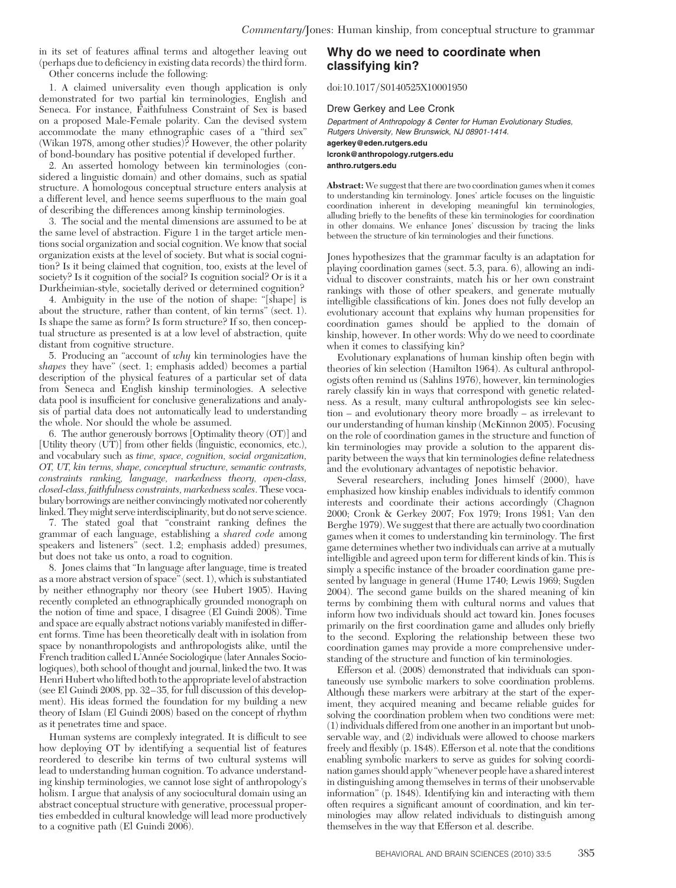in its set of features affinal terms and altogether leaving out (perhaps due to deficiency in existing data records) the third form. Other concerns include the following:

1. A claimed universality even though application is only demonstrated for two partial kin terminologies, English and Seneca. For instance, Faithfulness Constraint of Sex is based on a proposed Male-Female polarity. Can the devised system accommodate the many ethnographic cases of a "third sex" (Wikan 1978, among other studies)? However, the other polarity of bond-boundary has positive potential if developed further.

2. An asserted homology between kin terminologies (considered a linguistic domain) and other domains, such as spatial structure. A homologous conceptual structure enters analysis at a different level, and hence seems superfluous to the main goal of describing the differences among kinship terminologies.

3. The social and the mental dimensions are assumed to be at the same level of abstraction. Figure 1 in the target article mentions social organization and social cognition. We know that social organization exists at the level of society. But what is social cognition? Is it being claimed that cognition, too, exists at the level of society? Is it cognition of the social? Is cognition social? Or is it a Durkheimian-style, societally derived or determined cognition?

4. Ambiguity in the use of the notion of shape: "[shape] is about the structure, rather than content, of kin terms" (sect. 1). Is shape the same as form? Is form structure? If so, then conceptual structure as presented is at a low level of abstraction, quite distant from cognitive structure.

5. Producing an "account of why kin terminologies have the shapes they have" (sect. 1; emphasis added) becomes a partial description of the physical features of a particular set of data from Seneca and English kinship terminologies. A selective data pool is insufficient for conclusive generalizations and analysis of partial data does not automatically lead to understanding the whole. Nor should the whole be assumed.

6. The author generously borrows [Optimality theory (OT)] and [Utility theory (UT)] from other fields (linguistic, economics, etc.), and vocabulary such as time, space, cognition, social organization, OT, UT, kin terms, shape, conceptual structure, semantic contrasts, constraints ranking, language, markedness theory, open-class, closed-class, faithfulness constraints, markedness scales. These vocabulary borrowings are neither convincingly motivated nor coherently linked. They might serve interdisciplinarity, but do not serve science.

7. The stated goal that "constraint ranking defines the grammar of each language, establishing a shared code among speakers and listeners" (sect. 1.2; emphasis added) presumes, but does not take us onto, a road to cognition.

8. Jones claims that "In language after language, time is treated as a more abstract version of space" (sect. 1), which is substantiated by neither ethnography nor theory (see Hubert 1905). Having recently completed an ethnographically grounded monograph on the notion of time and space, I disagree (El Guindi 2008). Time and space are equally abstract notions variably manifested in different forms. Time has been theoretically dealt with in isolation from space by nonanthropologists and anthropologists alike, until the French tradition called L'Année Sociologique (later Annales Sociologiques), both school of thought and journal, linked the two. It was Henri Hubert who lifted both to the appropriate level of abstraction (see El Guindi 2008, pp. 32–35, for full discussion of this development). His ideas formed the foundation for my building a new theory of Islam (El Guindi 2008) based on the concept of rhythm as it penetrates time and space.

Human systems are complexly integrated. It is difficult to see how deploying OT by identifying a sequential list of features reordered to describe kin terms of two cultural systems will lead to understanding human cognition. To advance understanding kinship terminologies, we cannot lose sight of anthropology's holism. I argue that analysis of any sociocultural domain using an abstract conceptual structure with generative, processual properties embedded in cultural knowledge will lead more productively to a cognitive path (El Guindi 2006).

# Why do we need to coordinate when classifying kin?

doi:10.1017/S0140525X10001950

Drew Gerkey and Lee Cronk Department of Anthropology & Center for Human Evolutionary Studies, Rutgers University, New Brunswick, NJ 08901-1414. agerkey@eden.rutgers.edu lcronk@anthropology.rutgers.edu anthro.rutgers.edu

Abstract: We suggest that there are two coordination games when it comes to understanding kin terminology. Jones' article focuses on the linguistic coordination inherent in developing meaningful kin terminologies, alluding briefly to the benefits of these kin terminologies for coordination in other domains. We enhance Jones' discussion by tracing the links between the structure of kin terminologies and their functions.

Jones hypothesizes that the grammar faculty is an adaptation for playing coordination games (sect. 5.3, para. 6), allowing an individual to discover constraints, match his or her own constraint rankings with those of other speakers, and generate mutually intelligible classifications of kin. Jones does not fully develop an evolutionary account that explains why human propensities for coordination games should be applied to the domain of kinship, however. In other words: Why do we need to coordinate when it comes to classifying kin?

Evolutionary explanations of human kinship often begin with theories of kin selection (Hamilton 1964). As cultural anthropologists often remind us (Sahlins 1976), however, kin terminologies rarely classify kin in ways that correspond with genetic relatedness. As a result, many cultural anthropologists see kin selection – and evolutionary theory more broadly – as irrelevant to our understanding of human kinship (McKinnon 2005). Focusing on the role of coordination games in the structure and function of kin terminologies may provide a solution to the apparent disparity between the ways that kin terminologies define relatedness and the evolutionary advantages of nepotistic behavior.

Several researchers, including Jones himself (2000), have emphasized how kinship enables individuals to identify common interests and coordinate their actions accordingly (Chagnon 2000; Cronk & Gerkey 2007; Fox 1979; Irons 1981; Van den Berghe 1979). We suggest that there are actually two coordination games when it comes to understanding kin terminology. The first game determines whether two individuals can arrive at a mutually intelligible and agreed upon term for different kinds of kin. This is simply a specific instance of the broader coordination game presented by language in general (Hume 1740; Lewis 1969; Sugden 2004). The second game builds on the shared meaning of kin terms by combining them with cultural norms and values that inform how two individuals should act toward kin. Jones focuses primarily on the first coordination game and alludes only briefly to the second. Exploring the relationship between these two coordination games may provide a more comprehensive understanding of the structure and function of kin terminologies.

Efferson et al. (2008) demonstrated that individuals can spontaneously use symbolic markers to solve coordination problems. Although these markers were arbitrary at the start of the experiment, they acquired meaning and became reliable guides for solving the coordination problem when two conditions were met: (1) individuals differed from one another in an important but unobservable way, and (2) individuals were allowed to choose markers freely and flexibly (p. 1848). Efferson et al. note that the conditions enabling symbolic markers to serve as guides for solving coordination games should apply "whenever people have a shared interest in distinguishing among themselves in terms of their unobservable information" (p. 1848). Identifying kin and interacting with them often requires a significant amount of coordination, and kin terminologies may allow related individuals to distinguish among themselves in the way that Efferson et al. describe.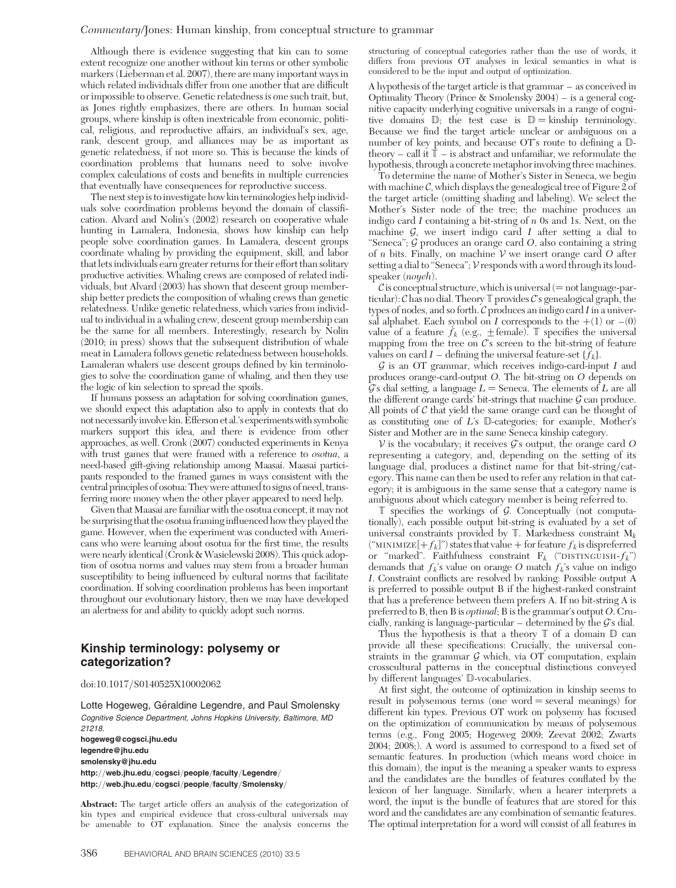#### Commentary/Jones: Human kinship, from conceptual structure to grammar

Although there is evidence suggesting that kin can to some extent recognize one another without kin terms or other symbolic markers (Lieberman et al. 2007), there are many important ways in which related individuals differ from one another that are difficult or impossible to observe. Genetic relatedness is one such trait, but, as Jones rightly emphasizes, there are others. In human social groups, where kinship is often inextricable from economic, political, religious, and reproductive affairs, an individual's sex, age, rank, descent group, and alliances may be as important as genetic relatedness, if not more so. This is because the kinds of coordination problems that humans need to solve involve complex calculations of costs and benefits in multiple currencies that eventually have consequences for reproductive success.

The next step is to investigate how kin terminologies help individuals solve coordination problems beyond the domain of classification. Alvard and Nolin's (2002) research on cooperative whale hunting in Lamalera, Indonesia, shows how kinship can help people solve coordination games. In Lamalera, descent groups coordinate whaling by providing the equipment, skill, and labor that lets individuals earn greater returns for their effort than solitary productive activities. Whaling crews are composed of related individuals, but Alvard (2003) has shown that descent group membership better predicts the composition of whaling crews than genetic relatedness. Unlike genetic relatedness, which varies from individual to individual in a whaling crew, descent group membership can be the same for all members. Interestingly, research by Nolin (2010; in press) shows that the subsequent distribution of whale meat in Lamalera follows genetic relatedness between households. Lamaleran whalers use descent groups defined by kin terminologies to solve the coordination game of whaling, and then they use the logic of kin selection to spread the spoils.

If humans possess an adaptation for solving coordination games, we should expect this adaptation also to apply in contexts that do not necessarily involve kin. Efferson et al.'s experiments with symbolic markers support this idea, and there is evidence from other approaches, as well. Cronk (2007) conducted experiments in Kenya with trust games that were framed with a reference to *osotua*, a need-based gift-giving relationship among Maasai. Maasai participants responded to the framed games in ways consistent with the central principles of osotua: They were attuned to signs of need, transferring more money when the other player appeared to need help.

Given that Maasai are familiar with the osotua concept, it may not be surprising that the osotua framing influenced how they played the game. However, when the experiment was conducted with Americans who were learning about osotua for the first time, the results were nearly identical (Cronk & Wasielewski 2008). This quick adoption of osotua norms and values may stem from a broader human susceptibility to being influenced by cultural norms that facilitate coordination. If solving coordination problems has been important throughout our evolutionary history, then we may have developed an alertness for and ability to quickly adopt such norms.

# Kinship terminology: polysemy or categorization?

#### doi:10.1017/S0140525X10002062

Lotte Hogeweg, Géraldine Legendre, and Paul Smolensky Cognitive Science Department, Johns Hopkins University, Baltimore, MD 21218. hogeweg@cogsci.jhu.edu legendre@jhu.edu smolensky@jhu.edu http://web.jhu.edu/cogsci/people/faculty/Legendre/ http://web.jhu.edu/cogsci/people/faculty/Smolensky/

Abstract: The target article offers an analysis of the categorization of kin types and empirical evidence that cross-cultural universals may be amenable to OT explanation. Since the analysis concerns the

structuring of conceptual categories rather than the use of words, it differs from previous OT analyses in lexical semantics in what is considered to be the input and output of optimization.

A hypothesis of the target article is that grammar – as conceived in Optimality Theory (Prince & Smolensky 2004) – is a general cognitive capacity underlying cognitive universals in a range of cognitive domains  $\mathbb{D}$ ; the test case is  $\mathbb{D} =$  kinship terminology. Because we find the target article unclear or ambiguous on a number of key points, and because OT's route to defining a Dtheory – call it  $\mathbb{T}$  – is abstract and unfamiliar, we reformulate the hypothesis, through a concrete metaphor involving three machines.

To determine the name of Mother's Sister in Seneca, we begin with machine  $\mathcal{C}$ , which displays the genealogical tree of Figure 2 of the target article (omitting shading and labeling). We select the Mother's Sister node of the tree; the machine produces an indigo card  $I$  containing a bit-string of  $n$  0s and 1s. Next, on the machine  $G$ , we insert indigo card  $I$  after setting a dial to "Seneca";  $G$  produces an orange card  $O$ , also containing a string of *n* bits. Finally, on machine  $V$  we insert orange card  $O$  after setting a dial to "Seneca"; V responds with a word through its loudspeaker (noyeh).

 $\mathcal C$  is conceptual structure, which is universal ( $=$  not language-particular):  $\mathcal C$  has no dial. Theory  $\mathbb T$  provides  $\mathcal C$ s genealogical graph, the types of nodes, and so forth.  $C$  produces an indigo card I in a universal alphabet. Each symbol on I corresponds to the  $+(1)$  or  $-(0)$ value of a feature  $f_k$  (e.g.,  $\pm$  female). T specifies the universal mapping from the tree on  $\mathcal{C}s$  screen to the bit-string of feature values on card I – defining the universal feature-set  $\{f_k\}$ .

 $G$  is an OT grammar, which receives indigo-card-input I and produces orange-card-output O. The bit-string on O depends on  $\mathcal G$ 's dial setting, a language  $L =$  Seneca. The elements of  $L$  are all the different orange cards' bit-strings that machine  $\mathcal G$  can produce. All points of  $\mathcal C$  that yield the same orange card can be thought of as constituting one of  $L$ 's  $\mathbb D$ -categories; for example, Mother's Sister and Mother are in the same Seneca kinship category.

 $V$  is the vocabulary; it receives  $\mathcal{G}'s$  output, the orange card  $O$ representing a category, and, depending on the setting of its language dial, produces a distinct name for that bit-string/category. This name can then be used to refer any relation in that category; it is ambiguous in the same sense that a category name is ambiguous about which category member is being referred to.

 $\mathbb T$  specifies the workings of  $\mathcal G$ . Conceptually (not computationally), each possible output bit-string is evaluated by a set of universal constraints provided by  $\mathbb T$ . Markedness constraint  $M_k$ ("MINIMIZE $[+f_k]$ ") states that value  $+$  for feature  $f_k$  is dispreferred or "marked". Faithfulness constraint  $F_k$  ("DISTINGUISH- $f_k$ ") demands that  $f_k$ 's value on orange O match  $f_k$ 's value on indigo I. Constraint conflicts are resolved by ranking: Possible output A is preferred to possible output B if the highest-ranked constraint that has a preference between them prefers A. If no bit-string A is preferred to B, then B is optimal; B is the grammar's output O. Crucially, ranking is language-particular – determined by the  $\mathcal{G}s$  dial.

Thus the hypothesis is that a theory  $\mathbb T$  of a domain  $\mathbb D$  can provide all these specifications: Crucially, the universal constraints in the grammar  $G$  which, via OT computation, explain crosscultural patterns in the conceptual distinctions conveyed by different languages' D-vocabularies.

At first sight, the outcome of optimization in kinship seems to result in polysemous terms (one word  $=$  several meanings) for different kin types. Previous OT work on polysemy has focused on the optimization of communication by means of polysemous terms (e.g., Fong 2005; Hogeweg 2009; Zeevat 2002; Zwarts 2004; 2008;). A word is assumed to correspond to a fixed set of semantic features. In production (which means word choice in this domain), the input is the meaning a speaker wants to express and the candidates are the bundles of features conflated by the lexicon of her language. Similarly, when a hearer interprets a word, the input is the bundle of features that are stored for this word and the candidates are any combination of semantic features. The optimal interpretation for a word will consist of all features in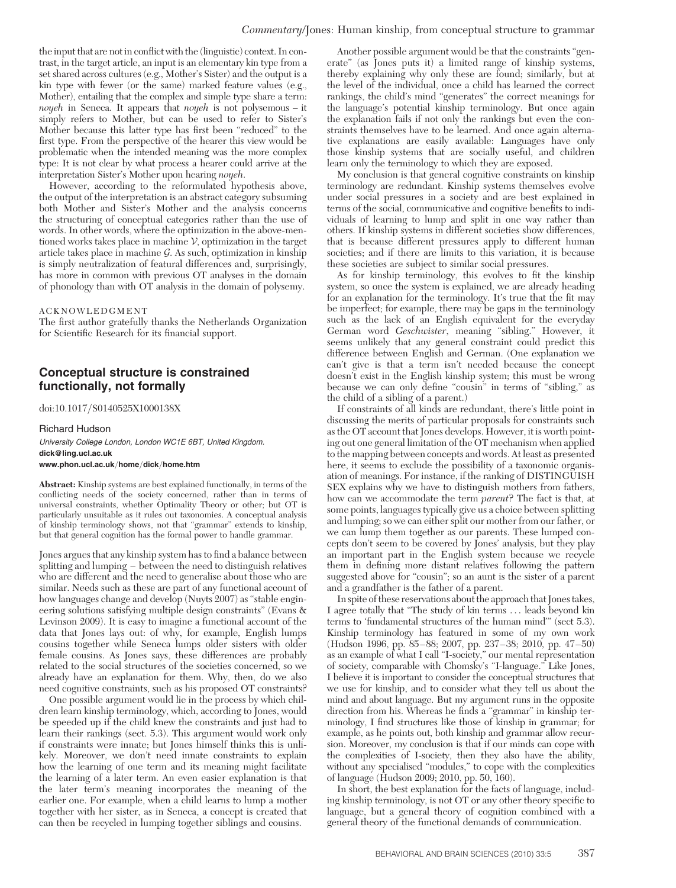the input that are not in conflict with the (linguistic) context. In contrast, in the target article, an input is an elementary kin type from a set shared across cultures (e.g., Mother's Sister) and the output is a kin type with fewer (or the same) marked feature values (e.g., Mother), entailing that the complex and simple type share a term: noyeh in Seneca. It appears that noyeh is not polysemous – it simply refers to Mother, but can be used to refer to Sister's Mother because this latter type has first been "reduced" to the first type. From the perspective of the hearer this view would be problematic when the intended meaning was the more complex type: It is not clear by what process a hearer could arrive at the interpretation Sister's Mother upon hearing noyeh.

However, according to the reformulated hypothesis above, the output of the interpretation is an abstract category subsuming both Mother and Sister's Mother and the analysis concerns the structuring of conceptual categories rather than the use of words. In other words, where the optimization in the above-mentioned works takes place in machine  $V$ , optimization in the target article takes place in machine G. As such, optimization in kinship is simply neutralization of featural differences and, surprisingly, has more in common with previous OT analyses in the domain of phonology than with OT analysis in the domain of polysemy.

#### ACKNOWLEDGMENT

The first author gratefully thanks the Netherlands Organization for Scientific Research for its financial support.

# Conceptual structure is constrained functionally, not formally

doi:10.1017/S0140525X1000138X

Richard Hudson University College London, London WC1E 6BT, United Kingdom. dick@ling.ucl.ac.uk www.phon.ucl.ac.uk/home/dick/home.htm

Abstract: Kinship systems are best explained functionally, in terms of the conflicting needs of the society concerned, rather than in terms of universal constraints, whether Optimality Theory or other; but OT is particularly unsuitable as it rules out taxonomies. A conceptual analysis of kinship terminology shows, not that "grammar" extends to kinship, but that general cognition has the formal power to handle grammar.

Jones argues that any kinship system has to find a balance between splitting and lumping – between the need to distinguish relatives who are different and the need to generalise about those who are similar. Needs such as these are part of any functional account of how languages change and develop (Nuyts 2007) as "stable engineering solutions satisfying multiple design constraints" (Evans & Levinson 2009). It is easy to imagine a functional account of the data that Jones lays out: of why, for example, English lumps cousins together while Seneca lumps older sisters with older female cousins. As Jones says, these differences are probably related to the social structures of the societies concerned, so we already have an explanation for them. Why, then, do we also need cognitive constraints, such as his proposed OT constraints?

One possible argument would lie in the process by which children learn kinship terminology, which, according to Jones, would be speeded up if the child knew the constraints and just had to learn their rankings (sect. 5.3). This argument would work only if constraints were innate; but Jones himself thinks this is unlikely. Moreover, we don't need innate constraints to explain how the learning of one term and its meaning might facilitate the learning of a later term. An even easier explanation is that the later term's meaning incorporates the meaning of the earlier one. For example, when a child learns to lump a mother together with her sister, as in Seneca, a concept is created that can then be recycled in lumping together siblings and cousins.

Another possible argument would be that the constraints "generate" (as Jones puts it) a limited range of kinship systems, thereby explaining why only these are found; similarly, but at the level of the individual, once a child has learned the correct rankings, the child's mind "generates" the correct meanings for the language's potential kinship terminology. But once again the explanation fails if not only the rankings but even the constraints themselves have to be learned. And once again alternative explanations are easily available: Languages have only those kinship systems that are socially useful, and children learn only the terminology to which they are exposed.

My conclusion is that general cognitive constraints on kinship terminology are redundant. Kinship systems themselves evolve under social pressures in a society and are best explained in terms of the social, communicative and cognitive benefits to individuals of learning to lump and split in one way rather than others. If kinship systems in different societies show differences, that is because different pressures apply to different human societies; and if there are limits to this variation, it is because these societies are subject to similar social pressures.

As for kinship terminology, this evolves to fit the kinship system, so once the system is explained, we are already heading for an explanation for the terminology. It's true that the fit may be imperfect; for example, there may be gaps in the terminology such as the lack of an English equivalent for the everyday German word Geschwister, meaning "sibling." However, it seems unlikely that any general constraint could predict this difference between English and German. (One explanation we can't give is that a term isn't needed because the concept doesn't exist in the English kinship system; this must be wrong because we can only define "cousin" in terms of "sibling," as the child of a sibling of a parent.)

If constraints of all kinds are redundant, there's little point in discussing the merits of particular proposals for constraints such as the OT account that Jones develops. However, it is worth pointing out one general limitation of the OT mechanism when applied to the mapping between concepts and words. At least as presented here, it seems to exclude the possibility of a taxonomic organisation of meanings. For instance, if the ranking of DISTINGUISH SEX explains why we have to distinguish mothers from fathers, how can we accommodate the term parent? The fact is that, at some points, languages typically give us a choice between splitting and lumping; so we can either split our mother from our father, or we can lump them together as our parents. These lumped concepts don't seem to be covered by Jones' analysis, but they play an important part in the English system because we recycle them in defining more distant relatives following the pattern suggested above for "cousin"; so an aunt is the sister of a parent and a grandfather is the father of a parent.

In spite of these reservations about the approach that Jones takes, I agree totally that "The study of kin terms ... leads beyond kin terms to 'fundamental structures of the human mind'" (sect 5.3). Kinship terminology has featured in some of my own work (Hudson 1996, pp. 85–88; 2007, pp. 237–38; 2010, pp. 47–50) as an example of what I call "I-society," our mental representation of society, comparable with Chomsky's "I-language." Like Jones, I believe it is important to consider the conceptual structures that we use for kinship, and to consider what they tell us about the mind and about language. But my argument runs in the opposite direction from his. Whereas he finds a "grammar" in kinship terminology, I find structures like those of kinship in grammar; for example, as he points out, both kinship and grammar allow recursion. Moreover, my conclusion is that if our minds can cope with the complexities of I-society, then they also have the ability, without any specialised "modules," to cope with the complexities of language (Hudson 2009; 2010, pp. 50, 160).

In short, the best explanation for the facts of language, including kinship terminology, is not OT or any other theory specific to language, but a general theory of cognition combined with a general theory of the functional demands of communication.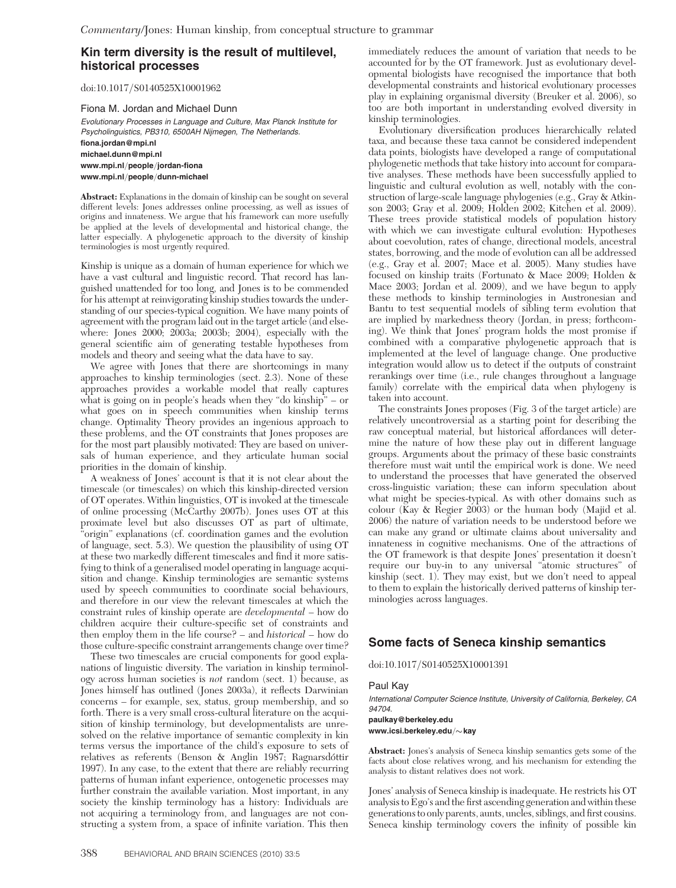# Kin term diversity is the result of multilevel, historical processes

doi:10.1017/S0140525X10001962

# Fiona M. Jordan and Michael Dunn

Evolutionary Processes in Language and Culture, Max Planck Institute for Psycholinguistics, PB310, 6500AH Nijmegen, The Netherlands. fiona.jordan@mpi.nl michael.dunn@mpi.nl www.mpi.nl/people/jordan-fiona www.mpi.nl/people/dunn-michael

Abstract: Explanations in the domain of kinship can be sought on several different levels: Jones addresses online processing, as well as issues of origins and innateness. We argue that his framework can more usefully be applied at the levels of developmental and historical change, the latter especially. A phylogenetic approach to the diversity of kinship terminologies is most urgently required.

Kinship is unique as a domain of human experience for which we have a vast cultural and linguistic record. That record has languished unattended for too long, and Jones is to be commended for his attempt at reinvigorating kinship studies towards the understanding of our species-typical cognition. We have many points of agreement with the program laid out in the target article (and elsewhere: Jones 2000; 2003a; 2003b; 2004), especially with the general scientific aim of generating testable hypotheses from models and theory and seeing what the data have to say.

We agree with Jones that there are shortcomings in many approaches to kinship terminologies (sect. 2.3). None of these approaches provides a workable model that really captures what is going on in people's heads when they "do kinship" – or what goes on in speech communities when kinship terms change. Optimality Theory provides an ingenious approach to these problems, and the OT constraints that Jones proposes are for the most part plausibly motivated: They are based on universals of human experience, and they articulate human social priorities in the domain of kinship.

A weakness of Jones' account is that it is not clear about the timescale (or timescales) on which this kinship-directed version of OT operates. Within linguistics, OT is invoked at the timescale of online processing (McCarthy 2007b). Jones uses OT at this proximate level but also discusses OT as part of ultimate, "origin" explanations (cf. coordination games and the evolution of language, sect. 5.3). We question the plausibility of using OT at these two markedly different timescales and find it more satisfying to think of a generalised model operating in language acquisition and change. Kinship terminologies are semantic systems used by speech communities to coordinate social behaviours, and therefore in our view the relevant timescales at which the constraint rules of kinship operate are developmental – how do children acquire their culture-specific set of constraints and then employ them in the life course? – and historical – how do those culture-specific constraint arrangements change over time?

These two timescales are crucial components for good explanations of linguistic diversity. The variation in kinship terminology across human societies is not random (sect. 1) because, as Jones himself has outlined (Jones 2003a), it reflects Darwinian concerns – for example, sex, status, group membership, and so forth. There is a very small cross-cultural literature on the acquisition of kinship terminology, but developmentalists are unresolved on the relative importance of semantic complexity in kin terms versus the importance of the child's exposure to sets of relatives as referents (Benson & Anglin 1987; Ragnarsdóttir 1997). In any case, to the extent that there are reliably recurring patterns of human infant experience, ontogenetic processes may further constrain the available variation. Most important, in any society the kinship terminology has a history: Individuals are not acquiring a terminology from, and languages are not constructing a system from, a space of infinite variation. This then

immediately reduces the amount of variation that needs to be accounted for by the OT framework. Just as evolutionary developmental biologists have recognised the importance that both developmental constraints and historical evolutionary processes play in explaining organismal diversity (Breuker et al. 2006), so too are both important in understanding evolved diversity in kinship terminologies.

Evolutionary diversification produces hierarchically related taxa, and because these taxa cannot be considered independent data points, biologists have developed a range of computational phylogenetic methods that take history into account for comparative analyses. These methods have been successfully applied to linguistic and cultural evolution as well, notably with the construction of large-scale language phylogenies (e.g., Gray & Atkinson 2003; Gray et al. 2009; Holden 2002; Kitchen et al. 2009). These trees provide statistical models of population history with which we can investigate cultural evolution: Hypotheses about coevolution, rates of change, directional models, ancestral states, borrowing, and the mode of evolution can all be addressed (e.g., Gray et al. 2007; Mace et al. 2005). Many studies have focused on kinship traits (Fortunato & Mace 2009; Holden & Mace 2003; Jordan et al. 2009), and we have begun to apply these methods to kinship terminologies in Austronesian and Bantu to test sequential models of sibling term evolution that are implied by markedness theory (Jordan, in press; forthcoming). We think that Jones' program holds the most promise if combined with a comparative phylogenetic approach that is implemented at the level of language change. One productive integration would allow us to detect if the outputs of constraint rerankings over time (i.e., rule changes throughout a language family) correlate with the empirical data when phylogeny is taken into account.

The constraints Jones proposes (Fig. 3 of the target article) are relatively uncontroversial as a starting point for describing the raw conceptual material, but historical affordances will determine the nature of how these play out in different language groups. Arguments about the primacy of these basic constraints therefore must wait until the empirical work is done. We need to understand the processes that have generated the observed cross-linguistic variation; these can inform speculation about what might be species-typical. As with other domains such as colour (Kay & Regier 2003) or the human body (Majid et al. 2006) the nature of variation needs to be understood before we can make any grand or ultimate claims about universality and innateness in cognitive mechanisms. One of the attractions of the OT framework is that despite Jones' presentation it doesn't require our buy-in to any universal "atomic structures" of kinship (sect. 1). They may exist, but we don't need to appeal to them to explain the historically derived patterns of kinship terminologies across languages.

# Some facts of Seneca kinship semantics

doi:10.1017/S0140525X10001391

#### Paul Kay

International Computer Science Institute, University of California, Berkeley, CA 94704.

paulkay@berkeley.edu www.icsi.berkeley.edu/∼kay

Abstract: Jones's analysis of Seneca kinship semantics gets some of the facts about close relatives wrong, and his mechanism for extending the analysis to distant relatives does not work.

Jones' analysis of Seneca kinship is inadequate. He restricts his OT analysis to Ego's and the first ascending generation and within these generations to only parents, aunts, uncles, siblings, and first cousins. Seneca kinship terminology covers the infinity of possible kin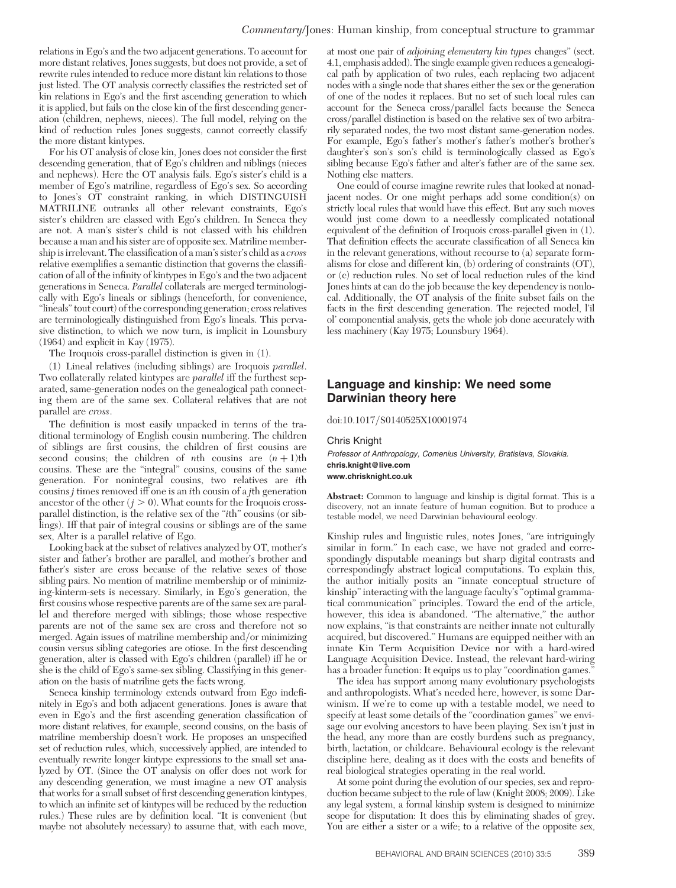relations in Ego's and the two adjacent generations. To account for more distant relatives, Jones suggests, but does not provide, a set of rewrite rules intended to reduce more distant kin relations to those just listed. The OT analysis correctly classifies the restricted set of kin relations in Ego's and the first ascending generation to which it is applied, but fails on the close kin of the first descending generation (children, nephews, nieces). The full model, relying on the kind of reduction rules Jones suggests, cannot correctly classify the more distant kintypes.

For his OT analysis of close kin, Jones does not consider the first descending generation, that of Ego's children and niblings (nieces and nephews). Here the OT analysis fails. Ego's sister's child is a member of Ego's matriline, regardless of Ego's sex. So according to Jones's OT constraint ranking, in which DISTINGUISH MATRILINE outranks all other relevant constraints, Ego's sister's children are classed with Ego's children. In Seneca they are not. A man's sister's child is not classed with his children because a man and his sister are of opposite sex. Matriline membership is irrelevant. The classification of a man's sister's child as a cross relative exemplifies a semantic distinction that governs the classification of all of the infinity of kintypes in Ego's and the two adjacent generations in Seneca. Parallel collaterals are merged terminologically with Ego's lineals or siblings (henceforth, for convenience, "lineals" tout court) of the corresponding generation; cross relatives are terminologically distinguished from Ego's lineals. This pervasive distinction, to which we now turn, is implicit in Lounsbury (1964) and explicit in Kay (1975).

The Iroquois cross-parallel distinction is given in (1).

(1) Lineal relatives (including siblings) are Iroquois parallel. Two collaterally related kintypes are parallel iff the furthest separated, same-generation nodes on the genealogical path connecting them are of the same sex. Collateral relatives that are not parallel are cross.

The definition is most easily unpacked in terms of the traditional terminology of English cousin numbering. The children of siblings are first cousins, the children of first cousins are second cousins; the children of nth cousins are  $(n + 1)$ th cousins. These are the "integral" cousins, cousins of the same generation. For nonintegral cousins, two relatives are ith cousins  $j$  times removed iff one is an *i*th cousin of a  $j$ th generation ancestor of the other  $(j \geq 0)$ . What counts for the Iroquois crossparallel distinction, is the relative sex of the "ith" cousins (or siblings). Iff that pair of integral cousins or siblings are of the same sex, Alter is a parallel relative of Ego.

Looking back at the subset of relatives analyzed by OT, mother's sister and father's brother are parallel, and mother's brother and father's sister are cross because of the relative sexes of those sibling pairs. No mention of matriline membership or of minimizing-kinterm-sets is necessary. Similarly, in Ego's generation, the first cousins whose respective parents are of the same sex are parallel and therefore merged with siblings; those whose respective parents are not of the same sex are cross and therefore not so merged. Again issues of matriline membership and/or minimizing cousin versus sibling categories are otiose. In the first descending generation, alter is classed with Ego's children (parallel) iff he or she is the child of Ego's same-sex sibling. Classifying in this generation on the basis of matriline gets the facts wrong.

Seneca kinship terminology extends outward from Ego indefinitely in Ego's and both adjacent generations. Jones is aware that even in Ego's and the first ascending generation classification of more distant relatives, for example, second cousins, on the basis of matriline membership doesn't work. He proposes an unspecified set of reduction rules, which, successively applied, are intended to eventually rewrite longer kintype expressions to the small set analyzed by OT. (Since the OT analysis on offer does not work for any descending generation, we must imagine a new OT analysis that works for a small subset of first descending generation kintypes, to which an infinite set of kintypes will be reduced by the reduction rules.) These rules are by definition local. "It is convenient (but maybe not absolutely necessary) to assume that, with each move,

at most one pair of adjoining elementary kin types changes" (sect. 4.1, emphasis added). The single example given reduces a genealogical path by application of two rules, each replacing two adjacent nodes with a single node that shares either the sex or the generation of one of the nodes it replaces. But no set of such local rules can account for the Seneca cross/parallel facts because the Seneca cross/parallel distinction is based on the relative sex of two arbitrarily separated nodes, the two most distant same-generation nodes. For example, Ego's father's mother's father's mother's brother's daughter's son's son's child is terminologically classed as Ego's sibling because Ego's father and alter's father are of the same sex. Nothing else matters.

One could of course imagine rewrite rules that looked at nonadjacent nodes. Or one might perhaps add some condition(s) on strictly local rules that would have this effect. But any such moves would just come down to a needlessly complicated notational equivalent of the definition of Iroquois cross-parallel given in (1). That definition effects the accurate classification of all Seneca kin in the relevant generations, without recourse to (a) separate formalisms for close and different kin, (b) ordering of constraints (OT), or (c) reduction rules. No set of local reduction rules of the kind Jones hints at can do the job because the key dependency is nonlocal. Additionally, the OT analysis of the finite subset fails on the facts in the first descending generation. The rejected model, l'il ol' componential analysis, gets the whole job done accurately with less machinery (Kay 1975; Lounsbury 1964).

# Language and kinship: We need some Darwinian theory here

doi:10.1017/S0140525X10001974

Chris Knight Professor of Anthropology, Comenius University, Bratislava, Slovakia. chris.knight@live.com www.chrisknight.co.uk

Abstract: Common to language and kinship is digital format. This is a discovery, not an innate feature of human cognition. But to produce a testable model, we need Darwinian behavioural ecology.

Kinship rules and linguistic rules, notes Jones, "are intriguingly similar in form." In each case, we have not graded and correspondingly disputable meanings but sharp digital contrasts and correspondingly abstract logical computations. To explain this, the author initially posits an "innate conceptual structure of kinship" interacting with the language faculty's "optimal grammatical communication" principles. Toward the end of the article, however, this idea is abandoned. "The alternative," the author now explains, "is that constraints are neither innate not culturally acquired, but discovered." Humans are equipped neither with an innate Kin Term Acquisition Device nor with a hard-wired Language Acquisition Device. Instead, the relevant hard-wiring has a broader function: It equips us to play "coordination games."

The idea has support among many evolutionary psychologists and anthropologists. What's needed here, however, is some Darwinism. If we're to come up with a testable model, we need to specify at least some details of the "coordination games" we envisage our evolving ancestors to have been playing. Sex isn't just in the head, any more than are costly burdens such as pregnancy, birth, lactation, or childcare. Behavioural ecology is the relevant discipline here, dealing as it does with the costs and benefits of real biological strategies operating in the real world.

At some point during the evolution of our species, sex and reproduction became subject to the rule of law (Knight 2008; 2009). Like any legal system, a formal kinship system is designed to minimize scope for disputation: It does this by eliminating shades of grey. You are either a sister or a wife; to a relative of the opposite sex,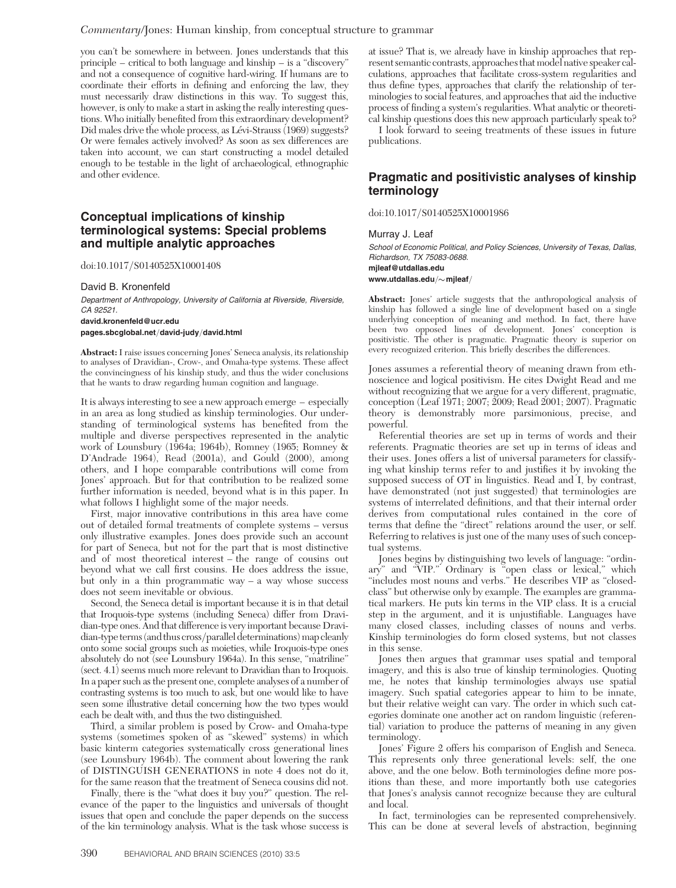#### Commentary/Jones: Human kinship, from conceptual structure to grammar

you can't be somewhere in between. Jones understands that this principle – critical to both language and kinship – is a "discovery" and not a consequence of cognitive hard-wiring. If humans are to coordinate their efforts in defining and enforcing the law, they must necessarily draw distinctions in this way. To suggest this, however, is only to make a start in asking the really interesting questions. Who initially benefited from this extraordinary development? Did males drive the whole process, as Lévi-Strauss (1969) suggests? Or were females actively involved? As soon as sex differences are taken into account, we can start constructing a model detailed enough to be testable in the light of archaeological, ethnographic and other evidence.

# Conceptual implications of kinship terminological systems: Special problems and multiple analytic approaches

doi:10.1017/S0140525X10001408

David B. Kronenfeld

Department of Anthropology, University of California at Riverside, Riverside, CA 92521.

david.kronenfeld@ucr.edu

pages.sbcglobal.net/david-judy/david.html

Abstract: I raise issues concerning Jones' Seneca analysis, its relationship to analyses of Dravidian-, Crow-, and Omaha-type systems. These affect the convincingness of his kinship study, and thus the wider conclusions that he wants to draw regarding human cognition and language.

It is always interesting to see a new approach emerge – especially in an area as long studied as kinship terminologies. Our understanding of terminological systems has benefited from the multiple and diverse perspectives represented in the analytic work of Lounsbury (1964a; 1964b), Romney (1965; Romney & D'Andrade 1964), Read (2001a), and Gould (2000), among others, and I hope comparable contributions will come from Jones' approach. But for that contribution to be realized some further information is needed, beyond what is in this paper. In what follows I highlight some of the major needs.

First, major innovative contributions in this area have come out of detailed formal treatments of complete systems – versus only illustrative examples. Jones does provide such an account for part of Seneca, but not for the part that is most distinctive and of most theoretical interest – the range of cousins out beyond what we call first cousins. He does address the issue, but only in a thin programmatic way – a way whose success does not seem inevitable or obvious.

Second, the Seneca detail is important because it is in that detail that Iroquois-type systems (including Seneca) differ from Dravidian-type ones. And that difference is very important because Dravidian-type terms (and thus cross/parallel determinations) map cleanly onto some social groups such as moieties, while Iroquois-type ones absolutely do not (see Lounsbury 1964a). In this sense, "matriline" (sect. 4.1) seems much more relevant to Dravidian than to Iroquois. In a paper such as the present one, complete analyses of a number of contrasting systems is too much to ask, but one would like to have seen some illustrative detail concerning how the two types would each be dealt with, and thus the two distinguished.

Third, a similar problem is posed by Crow- and Omaha-type systems (sometimes spoken of as "skewed" systems) in which basic kinterm categories systematically cross generational lines (see Lounsbury 1964b). The comment about lowering the rank of DISTINGUISH GENERATIONS in note 4 does not do it, for the same reason that the treatment of Seneca cousins did not.

Finally, there is the "what does it buy you?" question. The relevance of the paper to the linguistics and universals of thought issues that open and conclude the paper depends on the success of the kin terminology analysis. What is the task whose success is

at issue? That is, we already have in kinship approaches that represent semantic contrasts, approaches that model native speaker calculations, approaches that facilitate cross-system regularities and thus define types, approaches that clarify the relationship of terminologies to social features, and approaches that aid the inductive process of finding a system's regularities. What analytic or theoretical kinship questions does this new approach particularly speak to?

I look forward to seeing treatments of these issues in future publications.

# Pragmatic and positivistic analyses of kinship terminology

doi:10.1017/S0140525X10001986

Murray J. Leaf

School of Economic Political, and Policy Sciences, University of Texas, Dallas, Richardson, TX 75083-0688.

mjleaf@utdallas.edu www.utdallas.edu/∼mjleaf/

Abstract: Jones' article suggests that the anthropological analysis of kinship has followed a single line of development based on a single underlying conception of meaning and method. In fact, there have been two opposed lines of development. Jones' conception is positivistic. The other is pragmatic. Pragmatic theory is superior on every recognized criterion. This briefly describes the differences.

Jones assumes a referential theory of meaning drawn from ethnoscience and logical positivism. He cites Dwight Read and me without recognizing that we argue for a very different, pragmatic, conception (Leaf 1971; 2007; 2009; Read 2001; 2007). Pragmatic theory is demonstrably more parsimonious, precise, and powerful.

Referential theories are set up in terms of words and their referents. Pragmatic theories are set up in terms of ideas and their uses. Jones offers a list of universal parameters for classifying what kinship terms refer to and justifies it by invoking the supposed success of OT in linguistics. Read and I, by contrast, have demonstrated (not just suggested) that terminologies are systems of interrelated definitions, and that their internal order derives from computational rules contained in the core of terms that define the "direct" relations around the user, or self. Referring to relatives is just one of the many uses of such conceptual systems.

Jones begins by distinguishing two levels of language: "ordinary" and "VIP." Ordinary is "open class or lexical," which "includes most nouns and verbs." He describes VIP as "closedclass" but otherwise only by example. The examples are grammatical markers. He puts kin terms in the VIP class. It is a crucial step in the argument, and it is unjustifiable. Languages have many closed classes, including classes of nouns and verbs. Kinship terminologies do form closed systems, but not classes in this sense.

Jones then argues that grammar uses spatial and temporal imagery, and this is also true of kinship terminologies. Quoting me, he notes that kinship terminologies always use spatial imagery. Such spatial categories appear to him to be innate, but their relative weight can vary. The order in which such categories dominate one another act on random linguistic (referential) variation to produce the patterns of meaning in any given terminology.

Jones' Figure 2 offers his comparison of English and Seneca. This represents only three generational levels: self, the one above, and the one below. Both terminologies define more positions than these, and more importantly both use categories that Jones's analysis cannot recognize because they are cultural and local.

In fact, terminologies can be represented comprehensively. This can be done at several levels of abstraction, beginning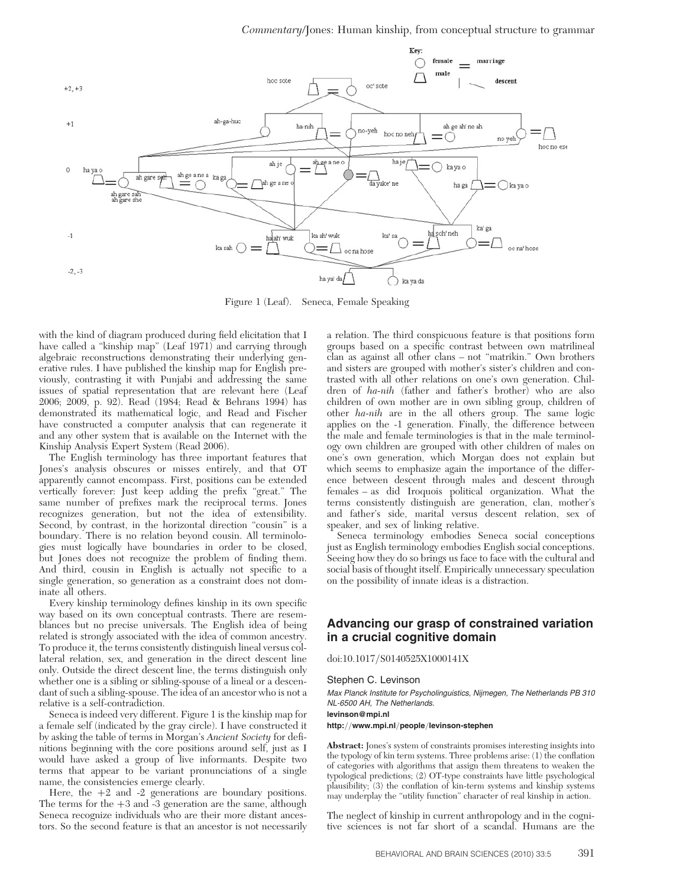

Figure 1 (Leaf). Seneca, Female Speaking

with the kind of diagram produced during field elicitation that I have called a "kinship map" (Leaf 1971) and carrying through algebraic reconstructions demonstrating their underlying generative rules. I have published the kinship map for English previously, contrasting it with Punjabi and addressing the same issues of spatial representation that are relevant here (Leaf 2006; 2009, p. 92). Read (1984; Read & Behrans 1994) has demonstrated its mathematical logic, and Read and Fischer have constructed a computer analysis that can regenerate it and any other system that is available on the Internet with the Kinship Analysis Expert System (Read 2006).

The English terminology has three important features that Jones's analysis obscures or misses entirely, and that OT apparently cannot encompass. First, positions can be extended vertically forever: Just keep adding the prefix "great." The same number of prefixes mark the reciprocal terms. Jones recognizes generation, but not the idea of extensibility. Second, by contrast, in the horizontal direction "cousin" is a boundary. There is no relation beyond cousin. All terminologies must logically have boundaries in order to be closed, but Jones does not recognize the problem of finding them. And third, cousin in English is actually not specific to a single generation, so generation as a constraint does not dominate all others.

Every kinship terminology defines kinship in its own specific way based on its own conceptual contrasts. There are resemblances but no precise universals. The English idea of being related is strongly associated with the idea of common ancestry. To produce it, the terms consistently distinguish lineal versus collateral relation, sex, and generation in the direct descent line only. Outside the direct descent line, the terms distinguish only whether one is a sibling or sibling-spouse of a lineal or a descendant of such a sibling-spouse. The idea of an ancestor who is not a relative is a self-contradiction.

Seneca is indeed very different. Figure 1 is the kinship map for a female self (indicated by the gray circle). I have constructed it by asking the table of terms in Morgan's Ancient Society for definitions beginning with the core positions around self, just as I would have asked a group of live informants. Despite two terms that appear to be variant pronunciations of a single name, the consistencies emerge clearly.

Here, the  $+2$  and  $-2$  generations are boundary positions. The terms for the  $+3$  and  $-3$  generation are the same, although Seneca recognize individuals who are their more distant ancestors. So the second feature is that an ancestor is not necessarily

a relation. The third conspicuous feature is that positions form groups based on a specific contrast between own matrilineal clan as against all other clans – not "matrikin." Own brothers and sisters are grouped with mother's sister's children and contrasted with all other relations on one's own generation. Children of ha-nih (father and father's brother) who are also children of own mother are in own sibling group, children of other ha-nih are in the all others group. The same logic applies on the -1 generation. Finally, the difference between the male and female terminologies is that in the male terminology own children are grouped with other children of males on one's own generation, which Morgan does not explain but which seems to emphasize again the importance of the difference between descent through males and descent through females – as did Iroquois political organization. What the terms consistently distinguish are generation, clan, mother's and father's side, marital versus descent relation, sex of speaker, and sex of linking relative.

Seneca terminology embodies Seneca social conceptions just as English terminology embodies English social conceptions. Seeing how they do so brings us face to face with the cultural and social basis of thought itself. Empirically unnecessary speculation on the possibility of innate ideas is a distraction.

# Advancing our grasp of constrained variation in a crucial cognitive domain

doi:10.1017/S0140525X1000141X

Stephen C. Levinson

Max Planck Institute for Psycholinguistics, Nijmegen, The Netherlands PB 310 NL-6500 AH, The Netherlands.

levinson@mpi.nl

http://www.mpi.nl/people/levinson-stephen

Abstract: Jones's system of constraints promises interesting insights into the typology of kin term systems. Three problems arise: (1) the conflation of categories with algorithms that assign them threatens to weaken the typological predictions; (2) OT-type constraints have little psychological plausibility; (3) the conflation of kin-term systems and kinship systems may underplay the "utility function" character of real kinship in action.

The neglect of kinship in current anthropology and in the cognitive sciences is not far short of a scandal. Humans are the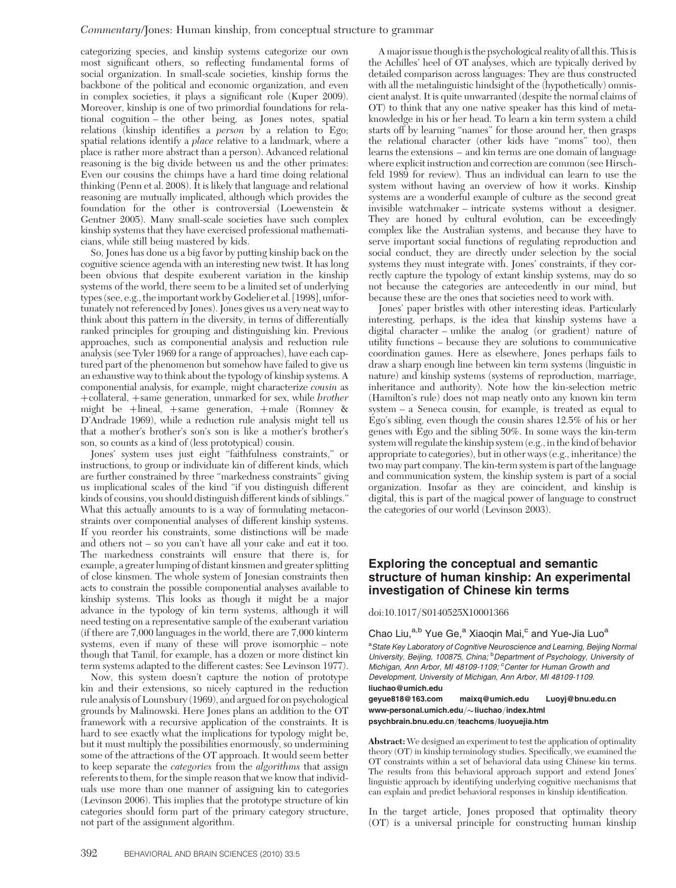categorizing species, and kinship systems categorize our own most significant others, so reflecting fundamental forms of social organization. In small-scale societies, kinship forms the backbone of the political and economic organization, and even in complex societies, it plays a significant role (Kuper 2009). Moreover, kinship is one of two primordial foundations for relational cognition – the other being, as Jones notes, spatial relations (kinship identifies a person by a relation to Ego; spatial relations identify a *place* relative to a landmark, where a place is rather more abstract than a person). Advanced relational reasoning is the big divide between us and the other primates: Even our cousins the chimps have a hard time doing relational thinking (Penn et al. 2008). It is likely that language and relational reasoning are mutually implicated, although which provides the foundation for the other is controversial (Loewenstein & Gentner 2005). Many small-scale societies have such complex kinship systems that they have exercised professional mathematicians, while still being mastered by kids.

So, Jones has done us a big favor by putting kinship back on the cognitive science agenda with an interesting new twist. It has long been obvious that despite exuberent variation in the kinship systems of the world, there seem to be a limited set of underlying types (see, e.g., the important work by Godelier et al. [1998], unfortunately not referenced by Jones). Jones gives us a very neat way to think about this pattern in the diversity, in terms of differentially ranked principles for grouping and distinguishing kin. Previous approaches, such as componential analysis and reduction rule analysis (see Tyler 1969 for a range of approaches), have each captured part of the phenomenon but somehow have failed to give us an exhaustive way to think about the typology of kinship systems. A componential analysis, for example, might characterize cousin as þcollateral, þsame generation, unmarked for sex, while brother might be +lineal, +same generation, +male (Romney  $\&$ D'Andrade 1969), while a reduction rule analysis might tell us that a mother's brother's son's son is like a mother's brother's son, so counts as a kind of (less prototypical) cousin.

Jones' system uses just eight "faithfulness constraints," or instructions, to group or individuate kin of different kinds, which are further constrained by three "markedness constraints" giving us implicational scales of the kind "if you distinguish different kinds of cousins, you should distinguish different kinds of siblings." What this actually amounts to is a way of formulating metaconstraints over componential analyses of different kinship systems. If you reorder his constraints, some distinctions will be made and others not – so you can't have all your cake and eat it too. The markedness constraints will ensure that there is, for example, a greater lumping of distant kinsmen and greater splitting of close kinsmen. The whole system of Jonesian constraints then acts to constrain the possible componential analyses available to kinship systems. This looks as though it might be a major advance in the typology of kin term systems, although it will need testing on a representative sample of the exuberant variation (if there are 7,000 languages in the world, there are 7,000 kinterm systems, even if many of these will prove isomorphic – note though that Tamil, for example, has a dozen or more distinct kin term systems adapted to the different castes: See Levinson 1977).

Now, this system doesn't capture the notion of prototype kin and their extensions, so nicely captured in the reduction rule analysis of Lounsbury (1969), and argued for on psychological grounds by Malinowski. Here Jones plans an addition to the OT framework with a recursive application of the constraints. It is hard to see exactly what the implications for typology might be, but it must multiply the possibilities enormously, so undermining some of the attractions of the OT approach. It would seem better to keep separate the *categories* from the *algorithms* that assign referents to them, for the simple reason that we know that individuals use more than one manner of assigning kin to categories (Levinson 2006). This implies that the prototype structure of kin categories should form part of the primary category structure, not part of the assignment algorithm.

A major issue though is the psychological reality of all this. This is the Achilles' heel of OT analyses, which are typically derived by detailed comparison across languages: They are thus constructed with all the metalinguistic hindsight of the (hypothetically) omniscient analyst. It is quite unwarranted (despite the normal claims of OT) to think that any one native speaker has this kind of metaknowledge in his or her head. To learn a kin term system a child starts off by learning "names" for those around her, then grasps the relational character (other kids have "moms" too), then learns the extensions – and kin terms are one domain of language where explicit instruction and correction are common (see Hirschfeld 1989 for review). Thus an individual can learn to use the system without having an overview of how it works. Kinship systems are a wonderful example of culture as the second great invisible watchmaker – intricate systems without a designer. They are honed by cultural evolution, can be exceedingly complex like the Australian systems, and because they have to serve important social functions of regulating reproduction and social conduct, they are directly under selection by the social systems they must integrate with. Jones' constraints, if they correctly capture the typology of extant kinship systems, may do so not because the categories are antecedently in our mind, but because these are the ones that societies need to work with.

Jones' paper bristles with other interesting ideas. Particularly interesting, perhaps, is the idea that kinship systems have a digital character – unlike the analog (or gradient) nature of utility functions – because they are solutions to communicative coordination games. Here as elsewhere, Jones perhaps fails to draw a sharp enough line between kin term systems (linguistic in nature) and kinship systems (systems of reproduction, marriage, inheritance and authority). Note how the kin-selection metric (Hamilton's rule) does not map neatly onto any known kin term system – a Seneca cousin, for example, is treated as equal to Ego's sibling, even though the cousin shares 12.5% of his or her genes with Ego and the sibling 50%. In some ways the kin-term system will regulate the kinship system (e.g., in the kind of behavior appropriate to categories), but in other ways (e.g., inheritance) the two may part company. The kin-term system is part of the language and communication system, the kinship system is part of a social organization. Insofar as they are coincident, and kinship is digital, this is part of the magical power of language to construct the categories of our world (Levinson 2003).

# Exploring the conceptual and semantic structure of human kinship: An experimental investigation of Chinese kin terms

#### doi:10.1017/S0140525X10001366

Chao Liu,<sup>a,b</sup> Yue Ge,<sup>a</sup> Xiaoqin Mai,<sup>c</sup> and Yue-Jia Luo<sup>a</sup> a<br>State Key Laboratory of Cognitive Neuroscience and Learning, Beijing Normal University, Beijing, 100875, China; <sup>b</sup>Department of Psychology, University of Michigan, Ann Arbor, MI 48109-1109; Center for Human Growth and Development, University of Michigan, Ann Arbor, MI 48109-1109. liuchao@umich.edu

#### geyue818@163.com maixq@umich.edu Luoyj@bnu.edu.cn www-personal.umich.edu/∼liuchao/index.html psychbrain.bnu.edu.cn/teachcms/luoyuejia.htm

Abstract: We designed an experiment to test the application of optimality theory (OT) in kinship terminology studies. Specifically, we examined the OT constraints within a set of behavioral data using Chinese kin terms. The results from this behavioral approach support and extend Jones' linguistic approach by identifying underlying cognitive mechanisms that can explain and predict behavioral responses in kinship identification.

In the target article, Jones proposed that optimality theory (OT) is a universal principle for constructing human kinship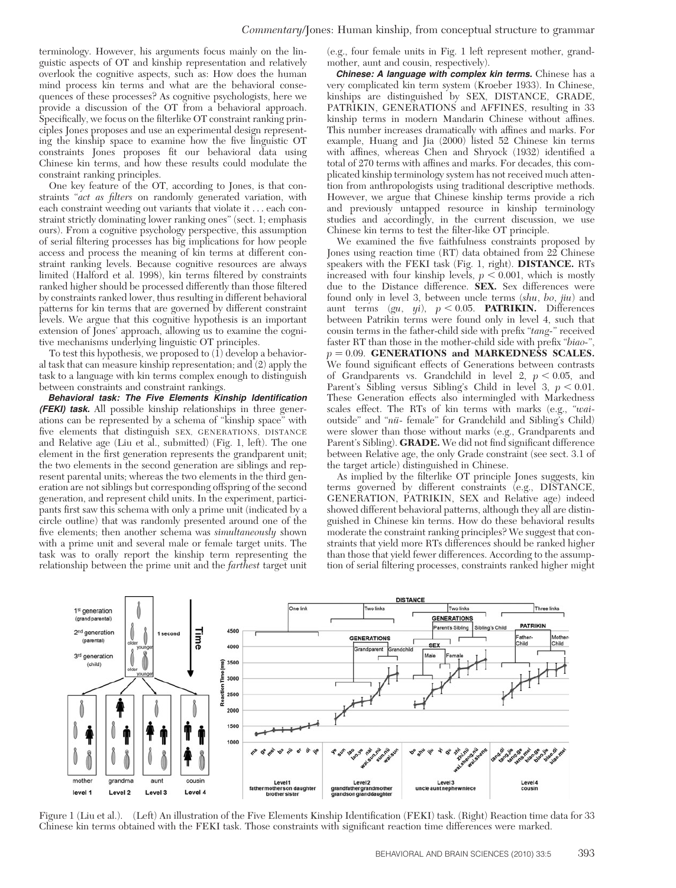terminology. However, his arguments focus mainly on the linguistic aspects of OT and kinship representation and relatively overlook the cognitive aspects, such as: How does the human mind process kin terms and what are the behavioral consequences of these processes? As cognitive psychologists, here we provide a discussion of the OT from a behavioral approach. Specifically, we focus on the filterlike OT constraint ranking principles Jones proposes and use an experimental design representing the kinship space to examine how the five linguistic OT constraints Jones proposes fit our behavioral data using Chinese kin terms, and how these results could modulate the constraint ranking principles.

One key feature of the OT, according to Jones, is that constraints "act as filters on randomly generated variation, with each constraint weeding out variants that violate it ... each constraint strictly dominating lower ranking ones" (sect. 1; emphasis ours). From a cognitive psychology perspective, this assumption of serial filtering processes has big implications for how people access and process the meaning of kin terms at different constraint ranking levels. Because cognitive resources are always limited (Halford et al. 1998), kin terms filtered by constraints ranked higher should be processed differently than those filtered by constraints ranked lower, thus resulting in different behavioral patterns for kin terms that are governed by different constraint levels. We argue that this cognitive hypothesis is an important extension of Jones' approach, allowing us to examine the cognitive mechanisms underlying linguistic OT principles.

To test this hypothesis, we proposed to  $(1)$  develop a behavioral task that can measure kinship representation; and (2) apply the task to a language with kin terms complex enough to distinguish between constraints and constraint rankings.

Behavioral task: The Five Elements Kinship Identification **(FEKI) task.** All possible kinship relationships in three generations can be represented by a schema of "kinship space" with five elements that distinguish SEX, GENERATIONS, DISTANCE and Relative age (Liu et al., submitted) (Fig. 1, left). The one element in the first generation represents the grandparent unit; the two elements in the second generation are siblings and represent parental units; whereas the two elements in the third generation are not siblings but corresponding offspring of the second generation, and represent child units. In the experiment, participants first saw this schema with only a prime unit (indicated by a circle outline) that was randomly presented around one of the five elements; then another schema was simultaneously shown with a prime unit and several male or female target units. The task was to orally report the kinship term representing the relationship between the prime unit and the farthest target unit (e.g., four female units in Fig. 1 left represent mother, grandmother, aunt and cousin, respectively).

Chinese: A language with complex kin terms. Chinese has a very complicated kin term system (Kroeber 1933). In Chinese, kinships are distinguished by SEX, DISTANCE, GRADE, PATRIKIN, GENERATIONS and AFFINES, resulting in 33 kinship terms in modern Mandarin Chinese without affines. This number increases dramatically with affines and marks. For example, Huang and Jia (2000) listed 52 Chinese kin terms with affines, whereas Chen and Shryock (1932) identified a total of 270 terms with affines and marks. For decades, this complicated kinship terminology system has not received much attention from anthropologists using traditional descriptive methods. However, we argue that Chinese kinship terms provide a rich and previously untapped resource in kinship terminology studies and accordingly, in the current discussion, we use Chinese kin terms to test the filter-like OT principle.

We examined the five faithfulness constraints proposed by Jones using reaction time (RT) data obtained from 22 Chinese speakers with the FEKI task (Fig. 1, right). DISTANCE. RTs increased with four kinship levels,  $p < 0.001$ , which is mostly due to the Distance difference. **SEX.** Sex differences were found only in level 3, between uncle terms (shu, bo, jiu) and aunt terms  $(gu, yi), p < 0.05$ . **PATRIKIN.** Differences between Patrikin terms were found only in level 4, such that cousin terms in the father-child side with prefix "tang-" received faster RT than those in the mother-child side with prefix "biao-"  $p = 0.09$ . GENERATIONS and MARKEDNESS SCALES. We found significant effects of Generations between contrasts of Grandparents vs. Grandchild in level 2,  $p < 0.05$ , and Parent's Sibling versus Sibling's Child in level 3,  $p < 0.01$ . These Generation effects also intermingled with Markedness scales effect. The RTs of kin terms with marks (e.g., "waioutside" and "nü- female" for Grandchild and Sibling's Child) were slower than those without marks (e.g., Grandparents and Parent's Sibling). **GRADE.** We did not find significant difference between Relative age, the only Grade constraint (see sect. 3.1 of the target article) distinguished in Chinese.

As implied by the filterlike OT principle Jones suggests, kin terms governed by different constraints (e.g., DISTANCE, GENERATION, PATRIKIN, SEX and Relative age) indeed showed different behavioral patterns, although they all are distinguished in Chinese kin terms. How do these behavioral results moderate the constraint ranking principles? We suggest that constraints that yield more RTs differences should be ranked higher than those that yield fewer differences. According to the assumption of serial filtering processes, constraints ranked higher might



Figure 1 (Liu et al.). (Left) An illustration of the Five Elements Kinship Identification (FEKI) task. (Right) Reaction time data for 33 Chinese kin terms obtained with the FEKI task. Those constraints with significant reaction time differences were marked.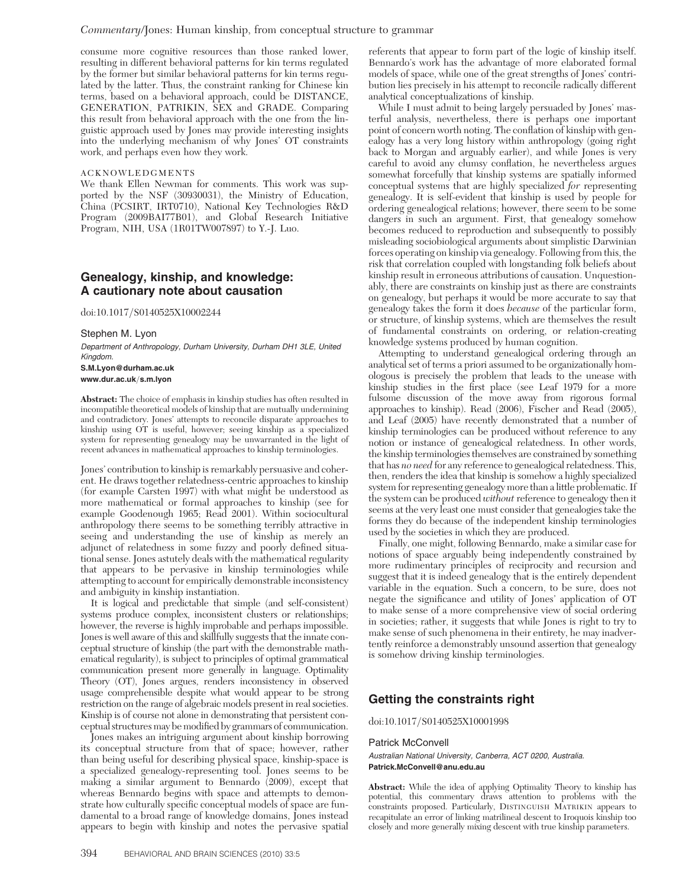consume more cognitive resources than those ranked lower, resulting in different behavioral patterns for kin terms regulated by the former but similar behavioral patterns for kin terms regulated by the latter. Thus, the constraint ranking for Chinese kin terms, based on a behavioral approach, could be DISTANCE, GENERATION, PATRIKIN, SEX and GRADE. Comparing this result from behavioral approach with the one from the linguistic approach used by Jones may provide interesting insights into the underlying mechanism of why Jones' OT constraints work, and perhaps even how they work.

#### ACKNOWLEDGMENTS

We thank Ellen Newman for comments. This work was supported by the NSF (30930031), the Ministry of Education, China (PCSIRT, IRT0710), National Key Technologies R&D Program (2009BAI77B01), and Global Research Initiative Program, NIH, USA (1R01TW007897) to Y.-J. Luo.

# Genealogy, kinship, and knowledge: A cautionary note about causation

doi:10.1017/S0140525X10002244

Stephen M. Lyon

Department of Anthropology, Durham University, Durham DH1 3LE, United Kingdom.

S.M.Lyon@durham.ac.uk www.dur.ac.uk/s.m.lyon

Abstract: The choice of emphasis in kinship studies has often resulted in incompatible theoretical models of kinship that are mutually undermining and contradictory. Jones' attempts to reconcile disparate approaches to kinship using OT is useful, however; seeing kinship as a specialized system for representing genealogy may be unwarranted in the light of recent advances in mathematical approaches to kinship terminologies.

Jones' contribution to kinship is remarkably persuasive and coherent. He draws together relatedness-centric approaches to kinship (for example Carsten 1997) with what might be understood as more mathematical or formal approaches to kinship (see for example Goodenough 1965; Read 2001). Within sociocultural anthropology there seems to be something terribly attractive in seeing and understanding the use of kinship as merely an adjunct of relatedness in some fuzzy and poorly defined situational sense. Jones astutely deals with the mathematical regularity that appears to be pervasive in kinship terminologies while attempting to account for empirically demonstrable inconsistency and ambiguity in kinship instantiation.

It is logical and predictable that simple (and self-consistent) systems produce complex, inconsistent clusters or relationships; however, the reverse is highly improbable and perhaps impossible. Jones is well aware of this and skillfully suggests that the innate conceptual structure of kinship (the part with the demonstrable mathematical regularity), is subject to principles of optimal grammatical communication present more generally in language. Optimality Theory (OT), Jones argues, renders inconsistency in observed usage comprehensible despite what would appear to be strong restriction on the range of algebraic models present in real societies. Kinship is of course not alone in demonstrating that persistent conceptual structures may be modified by grammars of communication.

Jones makes an intriguing argument about kinship borrowing its conceptual structure from that of space; however, rather than being useful for describing physical space, kinship-space is a specialized genealogy-representing tool. Jones seems to be making a similar argument to Bennardo (2009), except that whereas Bennardo begins with space and attempts to demonstrate how culturally specific conceptual models of space are fundamental to a broad range of knowledge domains, Jones instead appears to begin with kinship and notes the pervasive spatial

referents that appear to form part of the logic of kinship itself. Bennardo's work has the advantage of more elaborated formal models of space, while one of the great strengths of Jones' contribution lies precisely in his attempt to reconcile radically different analytical conceptualizations of kinship.

While I must admit to being largely persuaded by Jones' masterful analysis, nevertheless, there is perhaps one important point of concern worth noting. The conflation of kinship with genealogy has a very long history within anthropology (going right back to Morgan and arguably earlier), and while Jones is very careful to avoid any clumsy conflation, he nevertheless argues somewhat forcefully that kinship systems are spatially informed conceptual systems that are highly specialized for representing genealogy. It is self-evident that kinship is used by people for ordering genealogical relations; however, there seem to be some dangers in such an argument. First, that genealogy somehow becomes reduced to reproduction and subsequently to possibly misleading sociobiological arguments about simplistic Darwinian forces operating on kinship via genealogy. Following from this, the risk that correlation coupled with longstanding folk beliefs about kinship result in erroneous attributions of causation. Unquestionably, there are constraints on kinship just as there are constraints on genealogy, but perhaps it would be more accurate to say that genealogy takes the form it does because of the particular form, or structure, of kinship systems, which are themselves the result of fundamental constraints on ordering, or relation-creating knowledge systems produced by human cognition.

Attempting to understand genealogical ordering through an analytical set of terms a priori assumed to be organizationally homologous is precisely the problem that leads to the unease with kinship studies in the first place (see Leaf 1979 for a more fulsome discussion of the move away from rigorous formal approaches to kinship). Read (2006), Fischer and Read (2005), and Leaf (2005) have recently demonstrated that a number of kinship terminologies can be produced without reference to any notion or instance of genealogical relatedness. In other words, the kinship terminologies themselves are constrained by something that has no need for any reference to genealogical relatedness. This, then, renders the idea that kinship is somehow a highly specialized system for representing genealogy more than a little problematic. If the system can be produced *without* reference to genealogy then it seems at the very least one must consider that genealogies take the forms they do because of the independent kinship terminologies used by the societies in which they are produced.

Finally, one might, following Bennardo, make a similar case for notions of space arguably being independently constrained by more rudimentary principles of reciprocity and recursion and suggest that it is indeed genealogy that is the entirely dependent variable in the equation. Such a concern, to be sure, does not negate the significance and utility of Jones' application of OT to make sense of a more comprehensive view of social ordering in societies; rather, it suggests that while Jones is right to try to make sense of such phenomena in their entirety, he may inadvertently reinforce a demonstrably unsound assertion that genealogy is somehow driving kinship terminologies.

# Getting the constraints right

doi:10.1017/S0140525X10001998

#### Patrick McConvell

Australian National University, Canberra, ACT 0200, Australia. Patrick.McConvell@anu.edu.au

Abstract: While the idea of applying Optimality Theory to kinship has potential, this commentary draws attention to problems with the constraints proposed. Particularly, DISTINGUISH MATRIKIN appears to recapitulate an error of linking matrilineal descent to Iroquois kinship too closely and more generally mixing descent with true kinship parameters.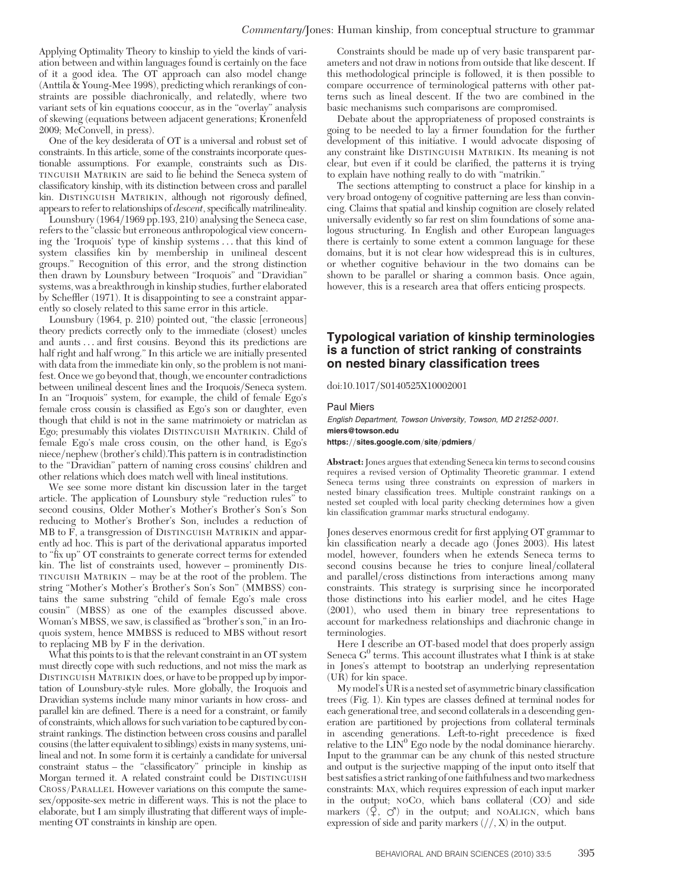Applying Optimality Theory to kinship to yield the kinds of variation between and within languages found is certainly on the face of it a good idea. The OT approach can also model change (Anttila & Young-Mee 1998), predicting which rerankings of constraints are possible diachronically, and relatedly, where two variant sets of kin equations cooccur, as in the "overlay" analysis of skewing (equations between adjacent generations; Kronenfeld 2009; McConvell, in press).

One of the key desiderata of OT is a universal and robust set of constraints. In this article, some of the constraints incorporate questionable assumptions. For example, constraints such as DIS-TINGUISH MATRIKIN are said to lie behind the Seneca system of classificatory kinship, with its distinction between cross and parallel kin. DISTINGUISH MATRIKIN, although not rigorously defined, appears to refer to relationships of descent, specifically matrilineality.

Lounsbury (1964/1969 pp.193, 210) analysing the Seneca case, refers to the "classic but erroneous anthropological view concerning the 'Iroquois' type of kinship systems ... that this kind of system classifies kin by membership in unilineal descent groups." Recognition of this error, and the strong distinction then drawn by Lounsbury between "Iroquois" and "Dravidian" systems, was a breakthrough in kinship studies, further elaborated by Scheffler (1971). It is disappointing to see a constraint apparently so closely related to this same error in this article.

Lounsbury (1964, p. 210) pointed out, "the classic [erroneous] theory predicts correctly only to the immediate (closest) uncles and aunts ... and first cousins. Beyond this its predictions are half right and half wrong." In this article we are initially presented with data from the immediate kin only, so the problem is not manifest. Once we go beyond that, though, we encounter contradictions between unilineal descent lines and the Iroquois/Seneca system. In an "Iroquois" system, for example, the child of female Ego's female cross cousin is classified as Ego's son or daughter, even though that child is not in the same matrimoiety or matriclan as Ego; presumably this violates DISTINGUISH MATRIKIN. Child of female Ego's male cross cousin, on the other hand, is Ego's niece/nephew (brother's child).This pattern is in contradistinction to the "Dravidian" pattern of naming cross cousins' children and other relations which does match well with lineal institutions.

We see some more distant kin discussion later in the target article. The application of Lounsbury style "reduction rules" to second cousins, Older Mother's Mother's Brother's Son's Son reducing to Mother's Brother's Son, includes a reduction of MB to F, a transgression of DISTINGUISH MATRIKIN and apparently ad hoc. This is part of the derivational apparatus imported to "fix up" OT constraints to generate correct terms for extended kin. The list of constraints used, however – prominently DIS-TINGUISH MATRIKIN – may be at the root of the problem. The string "Mother's Mother's Brother's Son's Son" (MMBSS) contains the same substring "child of female Ego's male cross cousin" (MBSS) as one of the examples discussed above. Woman's MBSS, we saw, is classified as "brother's son," in an Iroquois system, hence MMBSS is reduced to MBS without resort to replacing MB by F in the derivation.

What this points to is that the relevant constraint in an OT system must directly cope with such reductions, and not miss the mark as DISTINGUISH MATRIKIN does, or have to be propped up by importation of Lounsbury-style rules. More globally, the Iroquois and Dravidian systems include many minor variants in how cross- and parallel kin are defined. There is a need for a constraint, or family of constraints, which allows for such variation to be captured by constraint rankings. The distinction between cross cousins and parallel cousins (the latter equivalent to siblings) exists in many systems, unilineal and not. In some form it is certainly a candidate for universal constraint status – the "classificatory" principle in kinship as Morgan termed it. A related constraint could be DISTINGUISH CROSS/PARALLEL However variations on this compute the samesex/opposite-sex metric in different ways. This is not the place to elaborate, but I am simply illustrating that different ways of implementing OT constraints in kinship are open.

Constraints should be made up of very basic transparent parameters and not draw in notions from outside that like descent. If this methodological principle is followed, it is then possible to compare occurrence of terminological patterns with other patterns such as lineal descent. If the two are combined in the basic mechanisms such comparisons are compromised.

Debate about the appropriateness of proposed constraints is going to be needed to lay a firmer foundation for the further development of this initiative. I would advocate disposing of any constraint like DISTINGUISH MATRIKIN. Its meaning is not clear, but even if it could be clarified, the patterns it is trying to explain have nothing really to do with "matrikin."

The sections attempting to construct a place for kinship in a very broad ontogeny of cognitive patterning are less than convincing. Claims that spatial and kinship cognition are closely related universally evidently so far rest on slim foundations of some analogous structuring. In English and other European languages there is certainly to some extent a common language for these domains, but it is not clear how widespread this is in cultures, or whether cognitive behaviour in the two domains can be shown to be parallel or sharing a common basis. Once again, however, this is a research area that offers enticing prospects.

# Typological variation of kinship terminologies is a function of strict ranking of constraints on nested binary classification trees

doi:10.1017/S0140525X10002001

#### Paul Miers

English Department, Towson University, Towson, MD 21252-0001. miers@towson.edu https://sites.google.com/site/pdmiers/

Abstract: Jones argues that extending Seneca kin terms to second cousins requires a revised version of Optimality Theoretic grammar. I extend Seneca terms using three constraints on expression of markers in nested binary classification trees. Multiple constraint rankings on a nested set coupled with local parity checking determines how a given kin classification grammar marks structural endogamy.

Jones deserves enormous credit for first applying OT grammar to kin classification nearly a decade ago (Jones 2003). His latest model, however, founders when he extends Seneca terms to second cousins because he tries to conjure lineal/collateral and parallel/cross distinctions from interactions among many constraints. This strategy is surprising since he incorporated those distinctions into his earlier model, and he cites Hage (2001), who used them in binary tree representations to account for markedness relationships and diachronic change in terminologies.

Here I describe an OT-based model that does properly assign Seneca  $G^0$  terms. This account illustrates what I think is at stake in Jones's attempt to bootstrap an underlying representation (UR) for kin space.

My model's UR is a nested set of asymmetric binary classification trees (Fig. 1). Kin types are classes defined at terminal nodes for each generational tree, and second collaterals in a descending generation are partitioned by projections from collateral terminals in ascending generations. Left-to-right precedence is fixed<br>relative to the LIN<sup>0</sup> Ego node by the nodal dominance hierarchy. Input to the grammar can be any chunk of this nested structure and output is the surjective mapping of the input onto itself that best satisfies a strict ranking of one faithfulness and two markedness constraints: MAX, which requires expression of each input marker in the output; NOCO, which bans collateral (CO) and side markers  $(\vec{\varphi}, \vec{\sigma})$  in the output; and NOALIGN, which bans expression of side and parity markers  $\left(\frac{\ }{\ }$ , X) in the output.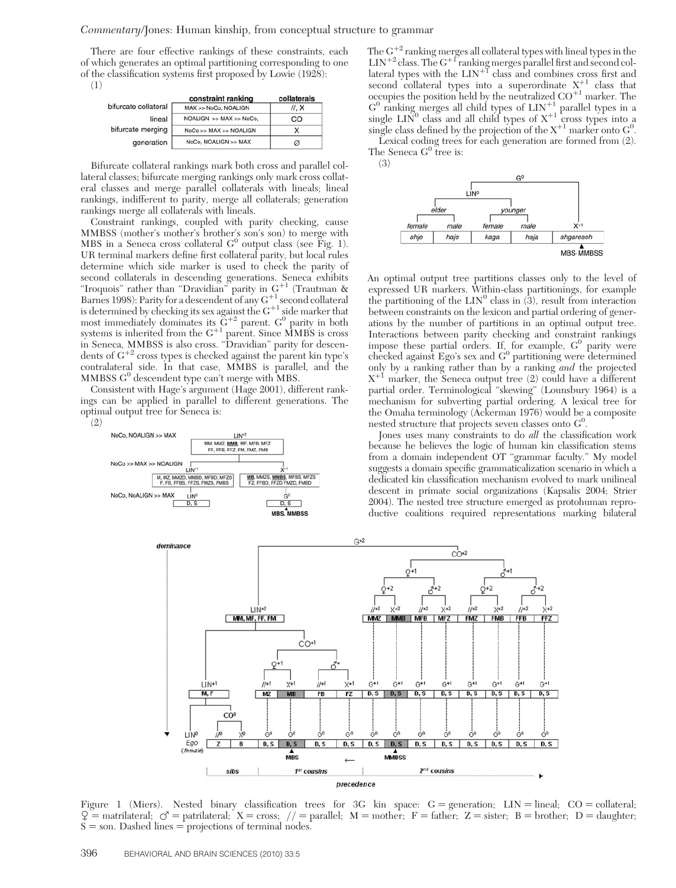There are four effective rankings of these constraints, each of which generates an optimal partitioning corresponding to one of the classification systems first proposed by Lowie (1928): (1)

|                      | constraint ranking      | collaterals |
|----------------------|-------------------------|-------------|
| bifurcate collateral | MAX >> NoCo, NOALIGN    | II. X       |
| lineal               | NOALIGN >> MAX >> NoCo, | CO          |
| bifurcate merging    | NoCo >> MAX >> NOALIGN  | x           |
| nonoration           | NoCo. NOALIGN >> MAX    |             |

Bifurcate collateral rankings mark both cross and parallel collateral classes; bifurcate merging rankings only mark cross collateral classes and merge parallel collaterals with lineals; lineal rankings, indifferent to parity, merge all collaterals; generation rankings merge all collaterals with lineals.

Constraint rankings, coupled with parity checking, cause MMBSS (mother's mother's brother's son's son) to merge with MBS in a Seneca cross collateral  $G^0$  output class (see Fig. 1). UR terminal markers define first collateral parity, but local rules determine which side marker is used to check the parity of second collaterals in descending generations. Seneca exhibits "Iroquois" rather than "Dravidian" parity in $\mathcal{G}^{+1}$  (Trautman & Barnes 1998): Parity for a descendent of any  $G^{+1}$  second collateral is determined by checking its sex against the  $G<sup>+1</sup>$  side marker that most immediately dominates its  $\check{G}^{+2}$  parent.  $G^0$  parity in both systems is inherited from the  $G^{+1}$  parent. Since MMBS is cross in Seneca, MMBSS is also cross. "Dravidian" parity for descendents of  $G^{+2}$  cross types is checked against the parent kin type's contralateral side. In that case, MMBS is parallel, and the MMBSS  $G^0$  descendent type can't merge with MBS.

Consistent with Hage's argument (Hage 2001), different rankings can be applied in parallel to different generations. The optimal output tree for Seneca is: (2)



The  $G^{+2}$  ranking merges all collateral types with lineal types in the  $LIN^{+2}$  class. The  $G^{+1}$  ranking merges parallel first and second collateral types with the  $LIN^{+1}$  class and combines cross first and second collateral types into a superordinate  $X^{+1}$  class that occupies the position held by the neutralized  $CO<sup>+1</sup>$  marker. The  $G^0$  ranking merges all child types of  $LIN^{+1}$  parallel types in a single  $LI\overset{\circ}{N}^0$  class and all child types of  $X^{+1}$  cross types into a single class defined by the projection of the  $X^{+1}$  marker onto  $G^0$ .

Lexical coding trees for each generation are formed from (2). The Seneca  $G^0$  tree is: (3)



An optimal output tree partitions classes only to the level of expressed UR markers. Within-class partitionings, for example the partitioning of the  $LIN^0$  class in  $(3)$ , result from interaction between constraints on the lexicon and partial ordering of generations by the number of partitions in an optimal output tree. Interactions between parity checking and constraint rankings impose these partial orders. If, for example,  $G^0$  parity were checked against Ego's sex and  $G^0$  partitioning were determined only by a ranking rather than by a ranking and the projected  $X^{+1}$  marker, the Seneca output tree (2) could have a different partial order. Terminological "skewing" (Lounsbury 1964) is a mechanism for subverting partial ordering. A lexical tree for the Omaha terminology (Ackerman 1976) would be a composite nested structure that projects seven classes onto  $G^0$ .

Jones uses many constraints to do *all* the classification work because he believes the logic of human kin classification stems from a domain independent OT "grammar faculty." My model suggests a domain specific grammaticalization scenario in which a dedicated kin classification mechanism evolved to mark unilineal descent in primate social organizations (Kapsalis 2004; Strier 2004). The nested tree structure emerged as protohuman reproductive coalitions required representations marking bilateral



Figure 1 (Miers). Nested binary classification trees for 3G kin space:  $G =$  generation; LIN = lineal;  $CO =$  collateral;  $Q =$  matrilateral;  $Q' =$  patrilateral;  $X =$  cross;  $// =$  parallel;  $M =$  mother;  $F =$  father;  $Z =$  sister;  $B =$  brother;  $D =$  daughter;  $S =$ son. Dashed lines  $=$  projections of terminal nodes.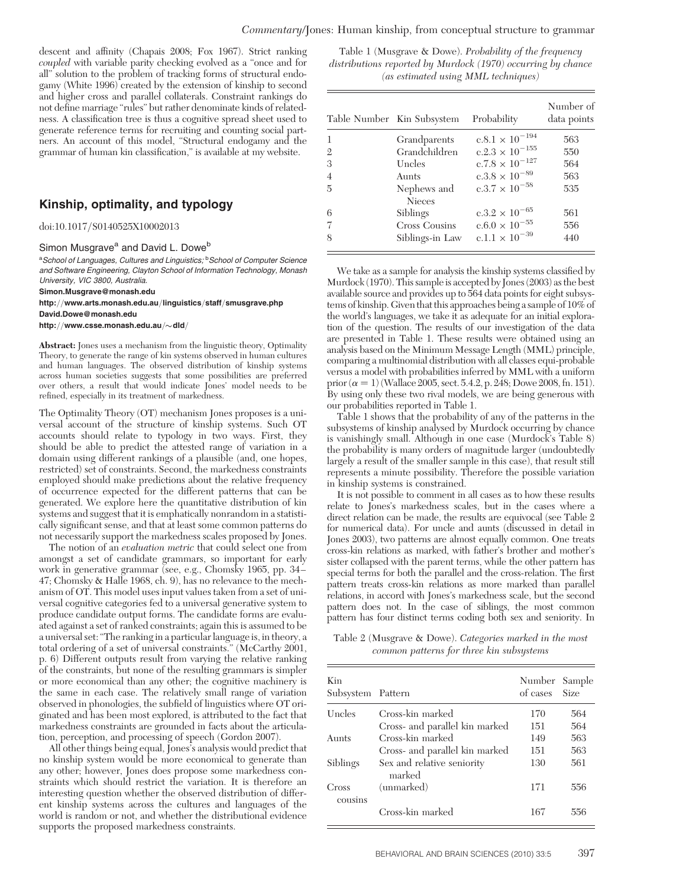descent and affinity (Chapais 2008; Fox 1967). Strict ranking coupled with variable parity checking evolved as a "once and for all" solution to the problem of tracking forms of structural endogamy (White 1996) created by the extension of kinship to second and higher cross and parallel collaterals. Constraint rankings do not define marriage "rules" but rather denominate kinds of relatedness. A classification tree is thus a cognitive spread sheet used to generate reference terms for recruiting and counting social partners. An account of this model, "Structural endogamy and the grammar of human kin classification," is available at my website.

# Kinship, optimality, and typology

doi:10.1017/S0140525X10002013

#### Simon Musgrave<sup>a</sup> and David L. Dowe<sup>b</sup>

a School of Languages, Cultures and Linguistics; **b** School of Computer Science and Software Engineering, Clayton School of Information Technology, Monash University, VIC 3800, Australia.

Simon.Musgrave@monash.edu

http://www.arts.monash.edu.au/linguistics/staff/smusgrave.php David.Dowe@monash.edu

http://www.csse.monash.edu.au/∼dld/

Abstract: Jones uses a mechanism from the linguistic theory, Optimality Theory, to generate the range of kin systems observed in human cultures and human languages. The observed distribution of kinship systems across human societies suggests that some possibilities are preferred over others, a result that would indicate Jones' model needs to be refined, especially in its treatment of markedness.

The Optimality Theory (OT) mechanism Jones proposes is a universal account of the structure of kinship systems. Such OT accounts should relate to typology in two ways. First, they should be able to predict the attested range of variation in a domain using different rankings of a plausible (and, one hopes, restricted) set of constraints. Second, the markedness constraints employed should make predictions about the relative frequency of occurrence expected for the different patterns that can be generated. We explore here the quantitative distribution of kin systems and suggest that it is emphatically nonrandom in a statistically significant sense, and that at least some common patterns do not necessarily support the markedness scales proposed by Jones.

The notion of an *evaluation metric* that could select one from amongst a set of candidate grammars, so important for early work in generative grammar (see, e.g., Chomsky 1965, pp. 34– 47; Chomsky & Halle 1968, ch. 9), has no relevance to the mechanism of OT. This model uses input values taken from a set of universal cognitive categories fed to a universal generative system to produce candidate output forms. The candidate forms are evaluated against a set of ranked constraints; again this is assumed to be a universal set: "The ranking in a particular language is, in theory, a total ordering of a set of universal constraints." (McCarthy 2001, p. 6) Different outputs result from varying the relative ranking of the constraints, but none of the resulting grammars is simpler or more economical than any other; the cognitive machinery is the same in each case. The relatively small range of variation observed in phonologies, the subfield of linguistics where OT originated and has been most explored, is attributed to the fact that markedness constraints are grounded in facts about the articulation, perception, and processing of speech (Gordon 2007).

All other things being equal, Jones's analysis would predict that no kinship system would be more economical to generate than any other; however, Jones does propose some markedness constraints which should restrict the variation. It is therefore an interesting question whether the observed distribution of different kinship systems across the cultures and languages of the world is random or not, and whether the distributional evidence supports the proposed markedness constraints.

Table 1 (Musgrave & Dowe). Probability of the frequency distributions reported by Murdock (1970) occurring by chance (as estimated using MML techniques)

|                | Table Number Kin Subsystem   | Probability              | Number of<br>data points |
|----------------|------------------------------|--------------------------|--------------------------|
|                | Grandparents                 | $c.8.1 \times 10^{-194}$ | 563                      |
| 2              | Grandchildren                | $c.2.3 \times 10^{-155}$ | 550                      |
| 3              | Uncles                       | $c.7.8 \times 10^{-127}$ | 564                      |
| $\overline{4}$ | Aunts                        | $c.3.8 \times 10^{-89}$  | 563                      |
| $\overline{5}$ | Nephews and<br><b>Nieces</b> | $c.3.7 \times 10^{-58}$  | 535                      |
| 6              | Siblings                     | $c.3.2 \times 10^{-65}$  | 561                      |
|                | Cross Cousins                | $c.6.0 \times 10^{-55}$  | 556                      |
| 8              | Siblings-in Law              | $c.1.1 \times 10^{-39}$  | 440                      |

We take as a sample for analysis the kinship systems classified by Murdock (1970). This sample is accepted by Jones (2003) as the best available source and provides up to 564 data points for eight subsystems of kinship. Given that this approaches being a sample of 10% of the world's languages, we take it as adequate for an initial exploration of the question. The results of our investigation of the data are presented in Table 1. These results were obtained using an analysis based on the Minimum Message Length (MML) principle, comparing a multinomial distribution with all classes equi-probable versus a model with probabilities inferred by MML with a uniform prior ( $\alpha = 1$ ) (Wallace 2005, sect. 5.4.2, p. 248; Dowe 2008, fn. 151). By using only these two rival models, we are being generous with our probabilities reported in Table 1.

Table 1 shows that the probability of any of the patterns in the subsystems of kinship analysed by Murdock occurring by chance is vanishingly small. Although in one case (Murdock's Table 8) the probability is many orders of magnitude larger (undoubtedly largely a result of the smaller sample in this case), that result still represents a minute possibility. Therefore the possible variation in kinship systems is constrained.

It is not possible to comment in all cases as to how these results relate to Jones's markedness scales, but in the cases where a direct relation can be made, the results are equivocal (see Table 2 for numerical data). For uncle and aunts (discussed in detail in Jones 2003), two patterns are almost equally common. One treats cross-kin relations as marked, with father's brother and mother's sister collapsed with the parent terms, while the other pattern has special terms for both the parallel and the cross-relation. The first pattern treats cross-kin relations as more marked than parallel relations, in accord with Jones's markedness scale, but the second pattern does not. In the case of siblings, the most common pattern has four distinct terms coding both sex and seniority. In

Table 2 (Musgrave & Dowe). Categories marked in the most common patterns for three kin subsystems

| Kin<br>Subsystem Pattern |                                      | Number Sample<br>of cases | <b>Size</b> |
|--------------------------|--------------------------------------|---------------------------|-------------|
| Uncles                   | Cross-kin marked                     | 170                       | 564         |
|                          | Cross- and parallel kin marked       | 151                       | 564         |
| Aunts                    | Cross-kin marked                     | 149                       | 563         |
|                          | Cross- and parallel kin marked       | 151                       | 563         |
| Siblings                 | Sex and relative seniority<br>marked | 130                       | 561         |
| Cross<br>cousins         | (unmarked)                           | 171                       | 556         |
|                          | Cross-kin marked                     | 167                       | 556         |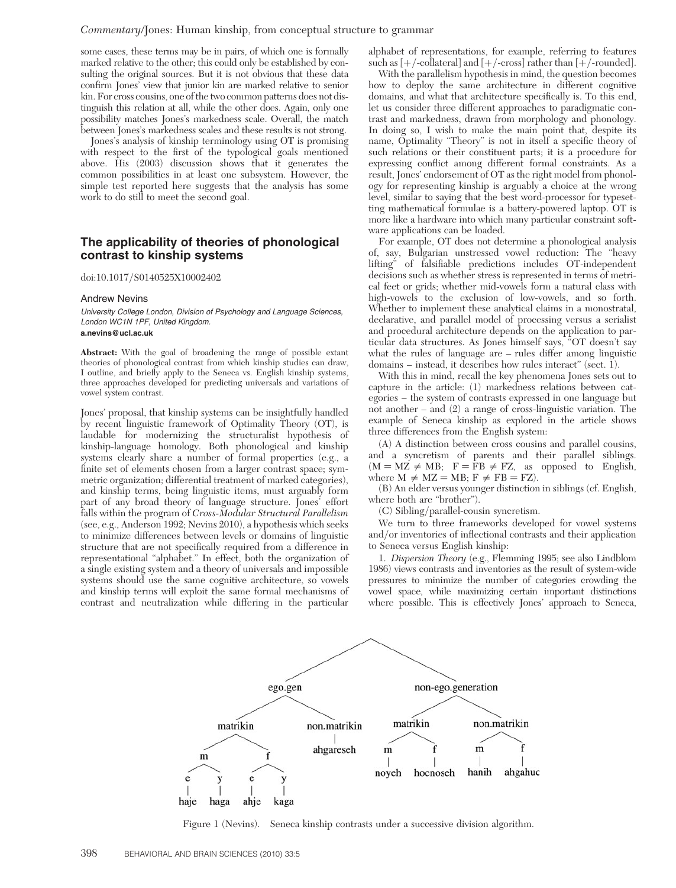some cases, these terms may be in pairs, of which one is formally marked relative to the other; this could only be established by consulting the original sources. But it is not obvious that these data confirm Jones' view that junior kin are marked relative to senior kin. For cross cousins, one of the two common patterns does not distinguish this relation at all, while the other does. Again, only one possibility matches Jones's markedness scale. Overall, the match between Jones's markedness scales and these results is not strong.

Jones's analysis of kinship terminology using OT is promising with respect to the first of the typological goals mentioned above. His (2003) discussion shows that it generates the common possibilities in at least one subsystem. However, the simple test reported here suggests that the analysis has some work to do still to meet the second goal.

# The applicability of theories of phonological contrast to kinship systems

doi:10.1017/S0140525X10002402

#### Andrew Nevins

University College London, Division of Psychology and Language Sciences, London WC1N 1PF, United Kingdom. a.nevins@ucl.ac.uk

Abstract: With the goal of broadening the range of possible extant theories of phonological contrast from which kinship studies can draw, I outline, and briefly apply to the Seneca vs. English kinship systems, three approaches developed for predicting universals and variations of vowel system contrast.

Jones' proposal, that kinship systems can be insightfully handled by recent linguistic framework of Optimality Theory (OT), is laudable for modernizing the structuralist hypothesis of kinship-language homology. Both phonological and kinship systems clearly share a number of formal properties (e.g., a finite set of elements chosen from a larger contrast space; symmetric organization; differential treatment of marked categories), and kinship terms, being linguistic items, must arguably form part of any broad theory of language structure. Jones' effort falls within the program of Cross-Modular Structural Parallelism (see, e.g., Anderson 1992; Nevins 2010), a hypothesis which seeks to minimize differences between levels or domains of linguistic structure that are not specifically required from a difference in representational "alphabet." In effect, both the organization of a single existing system and a theory of universals and impossible systems should use the same cognitive architecture, so vowels and kinship terms will exploit the same formal mechanisms of contrast and neutralization while differing in the particular

alphabet of representations, for example, referring to features such as  $[+/-c$ ollateral] and  $[+/-c$ ross] rather than  $[+/-c$ rounded].

With the parallelism hypothesis in mind, the question becomes how to deploy the same architecture in different cognitive domains, and what that architecture specifically is. To this end, let us consider three different approaches to paradigmatic contrast and markedness, drawn from morphology and phonology. In doing so, I wish to make the main point that, despite its name, Optimality "Theory" is not in itself a specific theory of such relations or their constituent parts; it is a procedure for expressing conflict among different formal constraints. As a result, Jones' endorsement of OT as the right model from phonology for representing kinship is arguably a choice at the wrong level, similar to saying that the best word-processor for typesetting mathematical formulae is a battery-powered laptop. OT is more like a hardware into which many particular constraint software applications can be loaded.

For example, OT does not determine a phonological analysis of, say, Bulgarian unstressed vowel reduction: The "heavy lifting" of falsifiable predictions includes OT-independent decisions such as whether stress is represented in terms of metrical feet or grids; whether mid-vowels form a natural class with high-vowels to the exclusion of low-vowels, and so forth. Whether to implement these analytical claims in a monostratal, declarative, and parallel model of processing versus a serialist and procedural architecture depends on the application to particular data structures. As Jones himself says, "OT doesn't say what the rules of language are – rules differ among linguistic domains – instead, it describes how rules interact" (sect.  $\tilde{I}$ ).

With this in mind, recall the key phenomena Jones sets out to capture in the article: (1) markedness relations between categories – the system of contrasts expressed in one language but not another – and (2) a range of cross-linguistic variation. The example of Seneca kinship as explored in the article shows three differences from the English system:

(A) A distinction between cross cousins and parallel cousins, and a syncretism of parents and their parallel siblings.  $(M = MZ \neq MB; F = FB \neq FZ$ , as opposed to English, where  $M \neq MZ = MB$ ;  $F \neq FB = FZ$ ).

(B) An elder versus younger distinction in siblings (cf. English, where both are "brother").

(C) Sibling/parallel-cousin syncretism.

We turn to three frameworks developed for vowel systems and/or inventories of inflectional contrasts and their application to Seneca versus English kinship:

1. Dispersion Theory (e.g., Flemming 1995; see also Lindblom 1986) views contrasts and inventories as the result of system-wide pressures to minimize the number of categories crowding the vowel space, while maximizing certain important distinctions where possible. This is effectively Jones' approach to Seneca,



Figure 1 (Nevins). Seneca kinship contrasts under a successive division algorithm.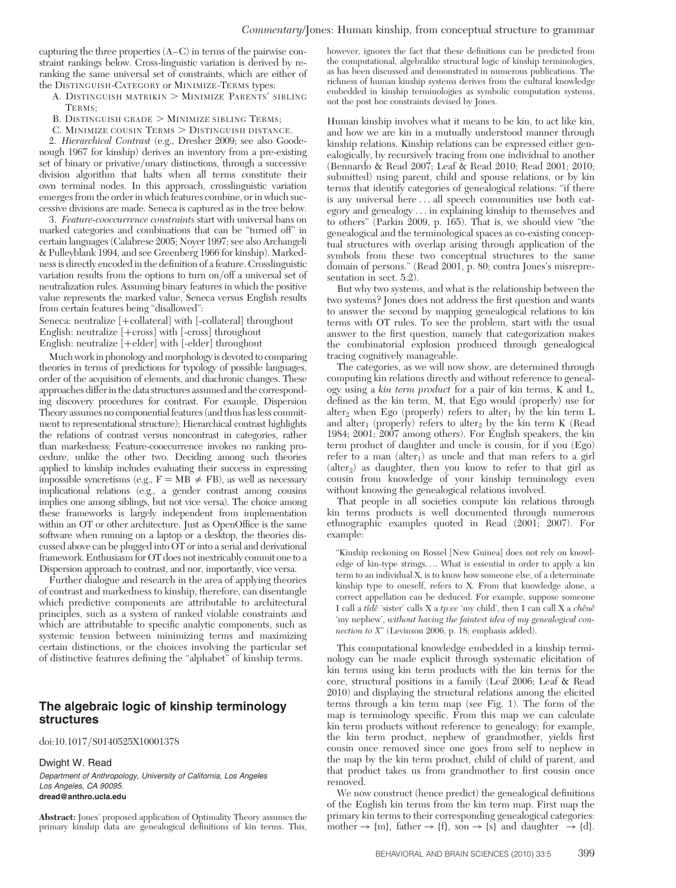capturing the three properties  $(A-C)$  in terms of the pairwise constraint rankings below. Cross-linguistic variation is derived by reranking the same universal set of constraints, which are either of the DISTINGUISH-CATEGORY or MINIMIZE-TERMS types:

A. DISTINGUISH MATRIKIN  $>$  MINIMIZE PARENTS' SIBLING TERMS;

B. DISTINGUISH GRADE  $>$  MINIMIZE SIBLING TERMS;

C. MINIMIZE COUSIN TERMS > DISTINGUISH DISTANCE.

2. Hierarchical Contrast (e.g., Dresher 2009; see also Goodenough 1967 for kinship) derives an inventory from a pre-existing set of binary or privative/unary distinctions, through a successive division algorithm that halts when all terms constitute their own terminal nodes. In this approach, crosslinguistic variation emerges from the order in which features combine, or in which successive divisions are made. Seneca is captured as in the tree below.

3. Feature-cooccurrence constraints start with universal bans on marked categories and combinations that can be "turned off" in certain languages (Calabrese 2005; Noyer 1997; see also Archangeli & Pulleyblank 1994, and see Greenberg 1966 for kinship). Markedness is directly encoded in the definition of a feature. Crosslinguistic variation results from the options to turn on/off a universal set of neutralization rules. Assuming binary features in which the positive value represents the marked value, Seneca versus English results from certain features being "disallowed":

Seneca: neutralize [+collateral] with [-collateral] throughout English: neutralize  $[+cross]$  with  $[-cross]$  throughout English: neutralize  $[+$ elder] with  $[-$ elder] throughout

Much work in phonology and morphology is devoted to comparing theories in terms of predictions for typology of possible languages, order of the acquisition of elements, and diachronic changes. These approaches differ in the data structures assumed and the corresponding discovery procedures for contrast. For example, Dispersion Theory assumes no componential features (and thus has less commitment to representational structure); Hierarchical contrast highlights the relations of contrast versus noncontrast in categories, rather than markedness; Feature-cooccurrence invokes no ranking procedure, unlike the other two. Deciding among such theories applied to kinship includes evaluating their success in expressing impossible syncretisms (e.g.,  $F = MB \neq FB$ ), as well as necessary implicational relations (e.g., a gender contrast among cousins implies one among siblings, but not vice versa). The choice among these frameworks is largely independent from implementation within an OT or other architecture. Just as OpenOffice is the same software when running on a laptop or a desktop, the theories discussed above can be plugged into OT or into a serial and derivational framework. Enthusiasm for OT does not inextricably commit one to a Dispersion approach to contrast, and nor, importantly, vice versa.

Further dialogue and research in the area of applying theories of contrast and markedness to kinship, therefore, can disentangle which predictive components are attributable to architectural principles, such as a system of ranked violable constraints and which are attributable to specific analytic components, such as systemic tension between minimizing terms and maximizing certain distinctions, or the choices involving the particular set of distinctive features defining the "alphabet" of kinship terms.

# The algebraic logic of kinship terminology structures

doi:10.1017/S0140525X10001378

#### Dwight W. Read

Department of Anthropology, University of California, Los Angeles Los Angeles, CA 90095. dread@anthro.ucla.edu

Abstract: Jones' proposed application of Optimality Theory assumes the primary kinship data are genealogical definitions of kin terms. This,

however, ignores the fact that these definitions can be predicted from the computational, algebralike structural logic of kinship terminologies, as has been discussed and demonstrated in numerous publications. The richness of human kinship systems derives from the cultural knowledge embedded in kinship terminologies as symbolic computation systems, not the post hoc constraints devised by Jones.

Human kinship involves what it means to be kin, to act like kin, and how we are kin in a mutually understood manner through kinship relations. Kinship relations can be expressed either genealogically, by recursively tracing from one individual to another (Bennardo & Read 2007; Leaf & Read 2010; Read 2001; 2010; submitted) using parent, child and spouse relations, or by kin terms that identify categories of genealogical relations: "if there is any universal here ... all speech communities use both category and genealogy ... in explaining kinship to themselves and to others" (Parkin 2009, p. 165). That is, we should view "the genealogical and the terminological spaces as co-existing conceptual structures with overlap arising through application of the symbols from these two conceptual structures to the same domain of persons." (Read 2001, p. 80; contra Jones's misrepresentation in sect. 5.2).

But why two systems, and what is the relationship between the two systems? Jones does not address the first question and wants to answer the second by mapping genealogical relations to kin terms with OT rules. To see the problem, start with the usual answer to the first question, namely that categorization makes the combinatorial explosion produced through genealogical tracing cognitively manageable.

The categories, as we will now show, are determined through computing kin relations directly and without reference to genealogy using a kin term product for a pair of kin terms, K and L, defined as the kin term, M, that Ego would (properly) use for alter<sub>2</sub> when Ego (properly) refers to alter<sub>1</sub> by the kin term L and alter<sub>1</sub> (properly) refers to alter<sub>2</sub> by the kin term K (Read 1984; 2001; 2007 among others). For English speakers, the kin term product of daughter and uncle is cousin, for if you (Ego) refer to a man  $(alter<sub>1</sub>)$  as uncle and that man refers to a girl (alter<sub>2</sub>) as daughter, then you know to refer to that girl as cousin from knowledge of your kinship terminology even without knowing the genealogical relations involved.

That people in all societies compute kin relations through kin terms products is well documented through numerous ethnographic examples quoted in Read (2001; 2007). For example:

"Kinship reckoning on Rossel [New Guinea] does not rely on knowledge of kin-type strings.... What is essential in order to apply a kin term to an individual X, is to know how someone else, of a determinate kinship type to oneself, refers to X. From that knowledge alone, a correct appellation can be deduced. For example, suppose someone I call a tîdê 'sister' calls X a tp:ee 'my child', then I can call X a chênê 'my nephew', without having the faintest idea of my genealogical connection to X" (Levinson 2006, p. 18; emphasis added).

This computational knowledge embedded in a kinship terminology can be made explicit through systematic elicitation of kin terms using kin term products with the kin terms for the core, structural positions in a family (Leaf 2006; Leaf & Read 2010) and displaying the structural relations among the elicited terms through a kin term map (see Fig. 1). The form of the map is terminology specific. From this map we can calculate kin term products without reference to genealogy; for example, the kin term product, nephew of grandmother, yields first cousin once removed since one goes from self to nephew in the map by the kin term product, child of child of parent, and that product takes us from grandmother to first cousin once removed.

We now construct (hence predict) the genealogical definitions of the English kin terms from the kin term map. First map the primary kin terms to their corresponding genealogical categories: mother  $\rightarrow$  {m}, father  $\rightarrow$  {f}, son  $\rightarrow$  {s} and daughter  $\rightarrow$  {d}.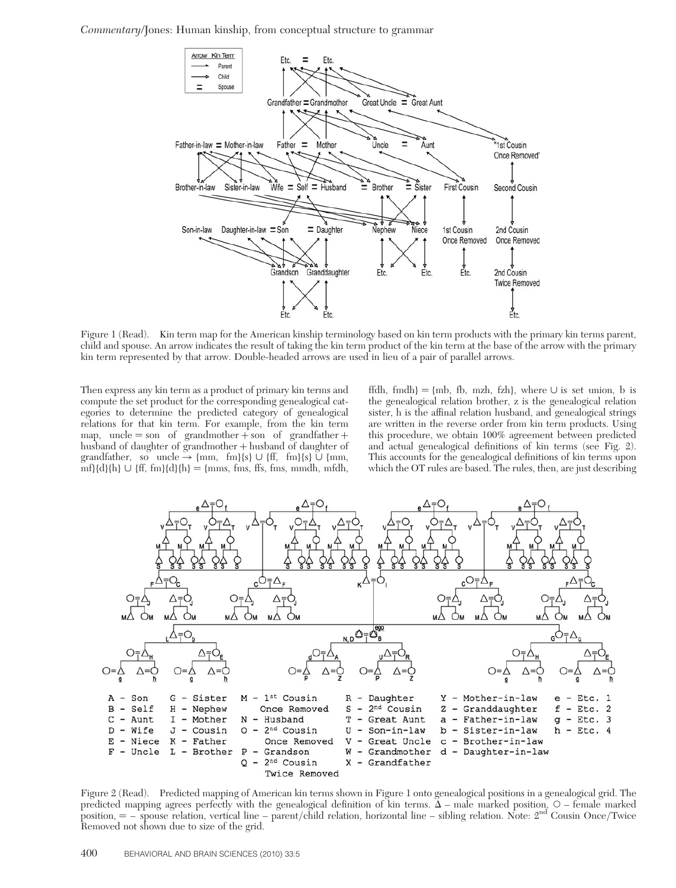Commentary/Jones: Human kinship, from conceptual structure to grammar



Figure 1 (Read). Kin term map for the American kinship terminology based on kin term products with the primary kin terms parent, child and spouse. An arrow indicates the result of taking the kin term product of the kin term at the base of the arrow with the primary kin term represented by that arrow. Double-headed arrows are used in lieu of a pair of parallel arrows.

Then express any kin term as a product of primary kin terms and compute the set product for the corresponding genealogical categories to determine the predicted category of genealogical relations for that kin term. For example, from the kin term map, uncle = son of grandmother  $+$  son of grandfather  $+$ husband of daughter of grandmother  $+$  husband of daughter of grandfather, so uncle  $\rightarrow$  {mm, fm}{s}  $\cup$  {ff, fm}{s}  $\cup$  {mm, mf}{d}{h}  $\cup$  {ff, fm}{d}{h} = {mms, fms, ffs, fms, mmdh, mfdh,

ffdh, fmdh $\mathbf{h} = \{mb, \text{fb}, \text{mzh}, \text{fzh}\}\$ , where  $\cup$  is set union, b is the genealogical relation brother, z is the genealogical relation sister, h is the affinal relation husband, and genealogical strings are written in the reverse order from kin term products. Using this procedure, we obtain 100% agreement between predicted and actual genealogical definitions of kin terms (see Fig. 2). This accounts for the genealogical definitions of kin terms upon which the OT rules are based. The rules, then, are just describing



Figure 2 (Read). Predicted mapping of American kin terms shown in Figure 1 onto genealogical positions in a genealogical grid. The predicted mapping agrees perfectly with the genealogical definition of kin terms.  $\Delta$  – male marked position,  $\circ$  – female marked position,  $=$  – spouse relation, vertical line – parent/child relation, horizontal line – sibling relation. Note:  $2<sup>nd</sup>$  Cousin Once/Twice Removed not shown due to size of the grid.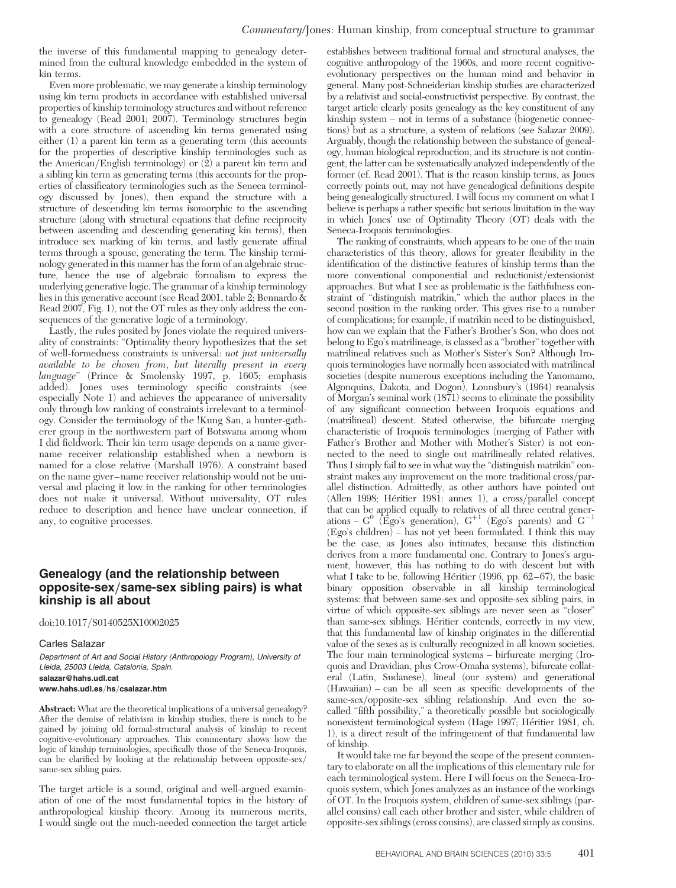the inverse of this fundamental mapping to genealogy determined from the cultural knowledge embedded in the system of kin terms.

Even more problematic, we may generate a kinship terminology using kin term products in accordance with established universal properties of kinship terminology structures and without reference to genealogy (Read 2001; 2007). Terminology structures begin with a core structure of ascending kin terms generated using either (1) a parent kin term as a generating term (this accounts for the properties of descriptive kinship terminologies such as the American/English terminology) or  $(2)$  a parent kin term and a sibling kin term as generating terms (this accounts for the properties of classificatory terminologies such as the Seneca terminology discussed by Jones), then expand the structure with a structure of descending kin terms isomorphic to the ascending structure (along with structural equations that define reciprocity between ascending and descending generating kin terms), then introduce sex marking of kin terms, and lastly generate affinal terms through a spouse, generating the term. The kinship terminology generated in this manner has the form of an algebraic structure, hence the use of algebraic formalism to express the underlying generative logic. The grammar of a kinship terminology lies in this generative account (see Read 2001, table 2; Bennardo & Read 2007, Fig. 1), not the OT rules as they only address the consequences of the generative logic of a terminology.

Lastly, the rules posited by Jones violate the required universality of constraints: "Optimality theory hypothesizes that the set of well-formedness constraints is universal: not just universally available to be chosen from, but literally present in every language" (Prince & Smolensky 1997, p. 1605; emphasis added). Jones uses terminology specific constraints (see especially Note 1) and achieves the appearance of universality only through low ranking of constraints irrelevant to a terminology. Consider the terminology of the !Kung San, a hunter-gatherer group in the northwestern part of Botswana among whom I did fieldwork. Their kin term usage depends on a name givername receiver relationship established when a newborn is named for a close relative (Marshall 1976). A constraint based on the name giver–name receiver relationship would not be universal and placing it low in the ranking for other terminologies does not make it universal. Without universality, OT rules reduce to description and hence have unclear connection, if any, to cognitive processes.

# Genealogy (and the relationship between opposite-sex/same-sex sibling pairs) is what kinship is all about

doi:10.1017/S0140525X10002025

#### Carles Salazar

Department of Art and Social History (Anthropology Program), University of Lleida, 25003 Lleida, Catalonia, Spain.

#### salazar@hahs.udl.cat

#### www.hahs.udl.es/hs/csalazar.htm

Abstract: What are the theoretical implications of a universal genealogy? After the demise of relativism in kinship studies, there is much to be gained by joining old formal-structural analysis of kinship to recent cognitive-evolutionary approaches. This commentary shows how the logic of kinship terminologies, specifically those of the Seneca-Iroquois, can be clarified by looking at the relationship between opposite-sex/ same-sex sibling pairs.

The target article is a sound, original and well-argued examination of one of the most fundamental topics in the history of anthropological kinship theory. Among its numerous merits, I would single out the much-needed connection the target article

establishes between traditional formal and structural analyses, the cognitive anthropology of the 1960s, and more recent cognitiveevolutionary perspectives on the human mind and behavior in general. Many post-Schneiderian kinship studies are characterized by a relativist and social-constructivist perspective. By contrast, the target article clearly posits genealogy as the key constituent of any kinship system – not in terms of a substance (biogenetic connections) but as a structure, a system of relations (see Salazar 2009). Arguably, though the relationship between the substance of genealogy, human biological reproduction, and its structure is not contingent, the latter can be systematically analyzed independently of the former (cf. Read 2001). That is the reason kinship terms, as Jones correctly points out, may not have genealogical definitions despite being genealogically structured. I will focus my comment on what I believe is perhaps a rather specific but serious limitation in the way in which Jones' use of Optimality Theory (OT) deals with the Seneca-Iroquois terminologies.

The ranking of constraints, which appears to be one of the main characteristics of this theory, allows for greater flexibility in the identification of the distinctive features of kinship terms than the more conventional componential and reductionist/extensionist approaches. But what I see as problematic is the faithfulness constraint of "distinguish matrikin," which the author places in the second position in the ranking order. This gives rise to a number of complications; for example, if matrikin need to be distinguished, how can we explain that the Father's Brother's Son, who does not belong to Ego's matrilineage, is classed as a "brother" together with matrilineal relatives such as Mother's Sister's Son? Although Iroquois terminologies have normally been associated with matrilineal societies (despite numerous exceptions including the Yanomamo, Algonquins, Dakota, and Dogon), Lounsbury's (1964) reanalysis of Morgan's seminal work (1871) seems to eliminate the possibility of any significant connection between Iroquois equations and (matrilineal) descent. Stated otherwise, the bifurcate merging characteristic of Iroquois terminologies (merging of Father with Father's Brother and Mother with Mother's Sister) is not connected to the need to single out matrilineally related relatives. Thus I simply fail to see in what way the "distinguish matrikin" constraint makes any improvement on the more traditional cross/parallel distinction. Admittedly, as other authors have pointed out (Allen 1998; Héritier 1981: annex 1), a cross/parallel concept that can be applied equally to relatives of all three central generations –  $G^0$  (Ego's generation),  $G^{+1}$  (Ego's parents) and  $G^{-1}$ (Ego's children) – has not yet been formulated. I think this may be the case, as Jones also intimates, because this distinction derives from a more fundamental one. Contrary to Jones's argument, however, this has nothing to do with descent but with what I take to be, following Héritier (1996, pp. 62–67), the basic binary opposition observable in all kinship terminological systems: that between same-sex and opposite-sex sibling pairs, in virtue of which opposite-sex siblings are never seen as "closer" than same-sex siblings. Héritier contends, correctly in my view, that this fundamental law of kinship originates in the differential value of the sexes as is culturally recognized in all known societies. The four main terminological systems – birfurcate merging (Iroquois and Dravidian, plus Crow-Omaha systems), bifurcate collateral (Latin, Sudanese), lineal (our system) and generational (Hawaiian) – can be all seen as specific developments of the same-sex/opposite-sex sibling relationship. And even the socalled "fifth possibility," a theoretically possible but sociologically nonexistent terminological system (Hage 1997; Héritier 1981, ch. 1), is a direct result of the infringement of that fundamental law of kinship.

It would take me far beyond the scope of the present commentary to elaborate on all the implications of this elementary rule for each terminological system. Here I will focus on the Seneca-Iroquois system, which Jones analyzes as an instance of the workings of OT. In the Iroquois system, children of same-sex siblings (parallel cousins) call each other brother and sister, while children of opposite-sex siblings (cross cousins), are classed simply as cousins.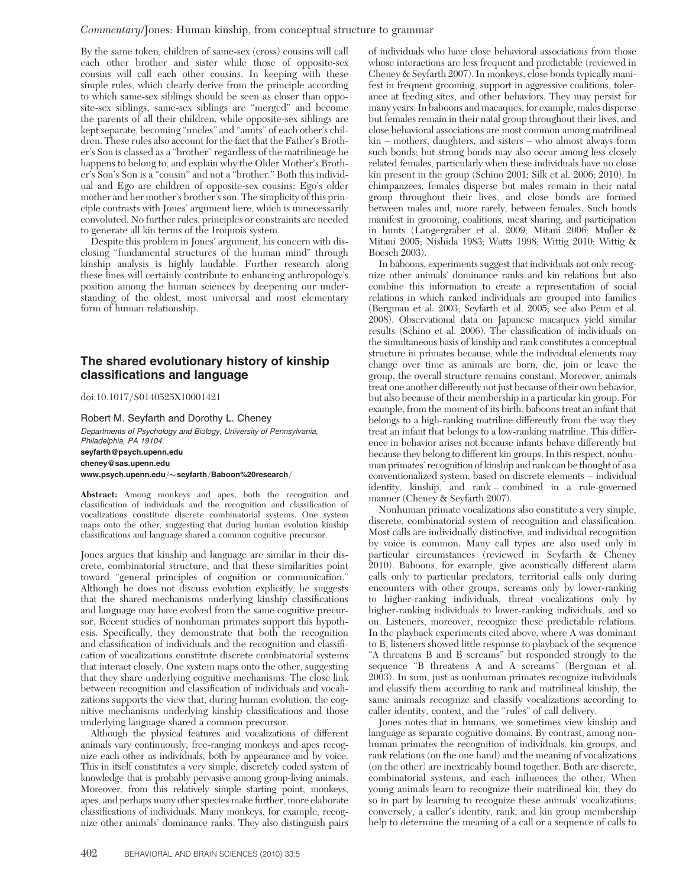By the same token, children of same-sex (cross) cousins will call each other brother and sister while those of opposite-sex cousins will call each other cousins. In keeping with these simple rules, which clearly derive from the principle according to which same-sex siblings should be seen as closer than opposite-sex siblings, same-sex siblings are "merged" and become the parents of all their children, while opposite-sex siblings are kept separate, becoming "uncles" and "aunts" of each other's children. These rules also account for the fact that the Father's Brother's Son is classed as a "brother" regardless of the matrilineage he happens to belong to, and explain why the Older Mother's Brother's Son's Son is a "cousin" and not a "brother." Both this individual and Ego are children of opposite-sex cousins: Ego's older mother and her mother's brother's son. The simplicity of this principle contrasts with Jones' argument here, which is unnecessarily convoluted. No further rules, principles or constraints are needed to generate all kin terms of the Iroquois system.

Despite this problem in Jones' argument, his concern with disclosing "fundamental structures of the human mind" through kinship analysis is highly laudable. Further research along these lines will certainly contribute to enhancing anthropology's position among the human sciences by deepening our understanding of the oldest, most universal and most elementary form of human relationship.

# The shared evolutionary history of kinship classifications and language

doi:10.1017/S0140525X10001421

Robert M. Seyfarth and Dorothy L. Cheney

Departments of Psychology and Biology, University of Pennsylvania, Philadelphia, PA 19104. seyfarth@psych.upenn.edu

cheney@sas.upenn.edu

www.psych.upenn.edu/∼seyfarth/Baboon%20research/

Abstract: Among monkeys and apes, both the recognition and classification of individuals and the recognition and classification of vocalizations constitute discrete combinatorial systems. One system maps onto the other, suggesting that during human evolution kinship classifications and language shared a common cognitive precursor.

Jones argues that kinship and language are similar in their discrete, combinatorial structure, and that these similarities point toward "general principles of cognition or communication." Although he does not discuss evolution explicitly, he suggests that the shared mechanisms underlying kinship classifications and language may have evolved from the same cognitive precursor. Recent studies of nonhuman primates support this hypothesis. Specifically, they demonstrate that both the recognition and classification of individuals and the recognition and classification of vocalizations constitute discrete combinatorial systems that interact closely. One system maps onto the other, suggesting that they share underlying cognitive mechanisms. The close link between recognition and classification of individuals and vocalizations supports the view that, during human evolution, the cognitive mechanisms underlying kinship classifications and those underlying language shared a common precursor.

Although the physical features and vocalizations of different animals vary continuously, free-ranging monkeys and apes recognize each other as individuals, both by appearance and by voice. This in itself constitutes a very simple, discretely coded system of knowledge that is probably pervasive among group-living animals. Moreover, from this relatively simple starting point, monkeys, apes, and perhaps many other species make further, more elaborate classifications of individuals. Many monkeys, for example, recognize other animals' dominance ranks. They also distinguish pairs

of individuals who have close behavioral associations from those whose interactions are less frequent and predictable (reviewed in Cheney & Seyfarth 2007). In monkeys, close bonds typically manifest in frequent grooming, support in aggressive coalitions, tolerance at feeding sites, and other behaviors. They may persist for many years. In baboons and macaques, for example, males disperse but females remain in their natal group throughout their lives, and close behavioral associations are most common among matrilineal kin – mothers, daughters, and sisters – who almost always form such bonds; but strong bonds may also occur among less closely related females, particularly when these individuals have no close kin present in the group (Schino 2001; Silk et al. 2006; 2010). In chimpanzees, females disperse but males remain in their natal group throughout their lives, and close bonds are formed between males and, more rarely, between females. Such bonds manifest in grooming, coalitions, meat sharing, and participation in hunts (Langergraber et al. 2009; Mitani 2006; Muller & Mitani 2005; Nishida 1983; Watts 1998; Wittig 2010; Wittig & Boesch 2003).

In baboons, experiments suggest that individuals not only recognize other animals' dominance ranks and kin relations but also combine this information to create a representation of social relations in which ranked individuals are grouped into families (Bergman et al. 2003; Seyfarth et al. 2005; see also Penn et al. 2008). Observational data on Japanese macaques yield similar results (Schino et al. 2006). The classification of individuals on the simultaneous basis of kinship and rank constitutes a conceptual structure in primates because, while the individual elements may change over time as animals are born, die, join or leave the group, the overall structure remains constant. Moreover, animals treat one another differently not just because of their own behavior, but also because of their membership in a particular kin group. For example, from the moment of its birth, baboons treat an infant that belongs to a high-ranking matriline differently from the way they treat an infant that belongs to a low-ranking matriline. This difference in behavior arises not because infants behave differently but because they belong to different kin groups. In this respect, nonhuman primates' recognition of kinship and rank can be thought of as a conventionalized system, based on discrete elements – individual identity, kinship, and rank – combined in a rule-governed manner (Cheney & Seyfarth 2007).

Nonhuman primate vocalizations also constitute a very simple, discrete, combinatorial system of recognition and classification. Most calls are individually distinctive, and individual recognition by voice is common. Many call types are also used only in particular circumstances (reviewed in Seyfarth & Cheney 2010). Baboons, for example, give acoustically different alarm calls only to particular predators, territorial calls only during encounters with other groups, screams only by lower-ranking to higher-ranking individuals, threat vocalizations only by higher-ranking individuals to lower-ranking individuals, and so on. Listeners, moreover, recognize these predictable relations. In the playback experiments cited above, where A was dominant to B, listeners showed little response to playback of the sequence "A threatens B and B screams" but responded strongly to the sequence "B threatens A and A screams" (Bergman et al. 2003). In sum, just as nonhuman primates recognize individuals and classify them according to rank and matrilineal kinship, the same animals recognize and classify vocalizations according to caller identity, context, and the "rules" of call delivery.

Jones notes that in humans, we sometimes view kinship and language as separate cognitive domains. By contrast, among nonhuman primates the recognition of individuals, kin groups, and rank relations (on the one hand) and the meaning of vocalizations (on the other) are inextricably bound together. Both are discrete, combinatorial systems, and each influences the other. When young animals learn to recognize their matrilineal kin, they do so in part by learning to recognize these animals' vocalizations; conversely, a caller's identity, rank, and kin group membership help to determine the meaning of a call or a sequence of calls to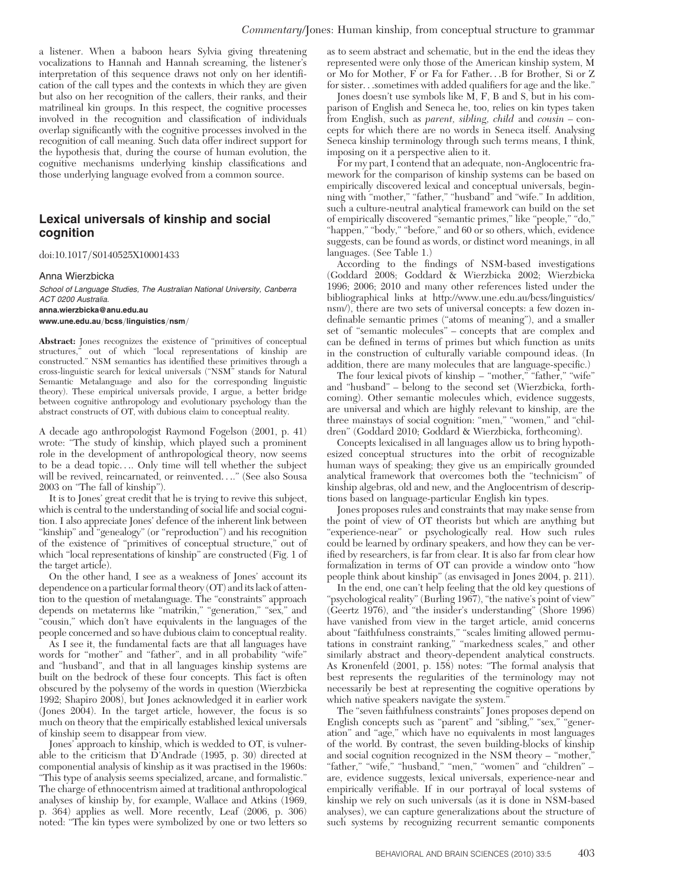a listener. When a baboon hears Sylvia giving threatening vocalizations to Hannah and Hannah screaming, the listener's interpretation of this sequence draws not only on her identification of the call types and the contexts in which they are given but also on her recognition of the callers, their ranks, and their matrilineal kin groups. In this respect, the cognitive processes involved in the recognition and classification of individuals overlap significantly with the cognitive processes involved in the recognition of call meaning. Such data offer indirect support for the hypothesis that, during the course of human evolution, the cognitive mechanisms underlying kinship classifications and those underlying language evolved from a common source.

# Lexical universals of kinship and social cognition

doi:10.1017/S0140525X10001433

#### Anna Wierzbicka

School of Language Studies, The Australian National University, Canberra ACT 0200 Australia.

anna.wierzbicka@anu.edu.au

www.une.edu.au/bcss/linguistics/nsm/

Abstract: Jones recognizes the existence of "primitives of conceptual structures," out of which "local representations of kinship are constructed." NSM semantics has identified these primitives through a cross-linguistic search for lexical universals ("NSM" stands for Natural Semantic Metalanguage and also for the corresponding linguistic theory). These empirical universals provide, I argue, a better bridge between cognitive anthropology and evolutionary psychology than the abstract constructs of OT, with dubious claim to conceptual reality.

A decade ago anthropologist Raymond Fogelson (2001, p. 41) wrote: "The study of kinship, which played such a prominent role in the development of anthropological theory, now seems to be a dead topic.... Only time will tell whether the subject will be revived, reincarnated, or reinvented...." (See also Sousa 2003 on "The fall of kinship").

It is to Jones' great credit that he is trying to revive this subject, which is central to the understanding of social life and social cognition. I also appreciate Jones' defence of the inherent link between "kinship" and "genealogy" (or "reproduction") and his recognition of the existence of "primitives of conceptual structure," out of which "local representations of kinship" are constructed (Fig. 1 of the target article).

On the other hand, I see as a weakness of Jones' account its dependence on a particular formal theory (OT) and its lack of attention to the question of metalanguage. The "constraints" approach depends on metaterms like "matrikin," "generation," "sex," and "cousin," which don't have equivalents in the languages of the people concerned and so have dubious claim to conceptual reality.

As I see it, the fundamental facts are that all languages have words for "mother" and "father", and in all probability "wife" and "husband", and that in all languages kinship systems are built on the bedrock of these four concepts. This fact is often obscured by the polysemy of the words in question (Wierzbicka 1992; Shapiro 2008), but Jones acknowledged it in earlier work (Jones 2004). In the target article, however, the focus is so much on theory that the empirically established lexical universals of kinship seem to disappear from view.

Jones' approach to kinship, which is wedded to OT, is vulnerable to the criticism that D'Andrade (1995, p. 30) directed at componential analysis of kinship as it was practised in the 1960s: "This type of analysis seems specialized, arcane, and formalistic." The charge of ethnocentrism aimed at traditional anthropological analyses of kinship by, for example, Wallace and Atkins (1969, p. 364) applies as well. More recently, Leaf (2006, p. 306) noted: "The kin types were symbolized by one or two letters so as to seem abstract and schematic, but in the end the ideas they represented were only those of the American kinship system, M or Mo for Mother, F or Fa for Father...B for Brother, Si or Z for sister...sometimes with added qualifiers for age and the like."

Jones doesn't use symbols like M, F, B and S, but in his comparison of English and Seneca he, too, relies on kin types taken from English, such as parent, sibling, child and cousin – concepts for which there are no words in Seneca itself. Analysing Seneca kinship terminology through such terms means, I think, imposing on it a perspective alien to it.

For my part, I contend that an adequate, non-Anglocentric framework for the comparison of kinship systems can be based on empirically discovered lexical and conceptual universals, beginning with "mother," "father," "husband" and "wife." In addition, such a culture-neutral analytical framework can build on the set of empirically discovered "semantic primes," like "people," "do," "happen," "body," "before," and 60 or so others, which, evidence suggests, can be found as words, or distinct word meanings, in all languages. (See Table 1.)

According to the findings of NSM-based investigations (Goddard 2008; Goddard & Wierzbicka 2002; Wierzbicka 1996; 2006; 2010 and many other references listed under the bibliographical links at http://www.une.edu.au/bcss/linguistics/ nsm/), there are two sets of universal concepts: a few dozen indefinable semantic primes ("atoms of meaning"), and a smaller set of "semantic molecules" – concepts that are complex and can be defined in terms of primes but which function as units in the construction of culturally variable compound ideas. (In addition, there are many molecules that are language-specific.)

The four lexical pivots of kinship – "mother," "father," "wife" and "husband" – belong to the second set (Wierzbicka, forthcoming). Other semantic molecules which, evidence suggests, are universal and which are highly relevant to kinship, are the three mainstays of social cognition: "men," "women," and "children" (Goddard 2010; Goddard & Wierzbicka, forthcoming).

Concepts lexicalised in all languages allow us to bring hypothesized conceptual structures into the orbit of recognizable human ways of speaking; they give us an empirically grounded analytical framework that overcomes both the "technicism" of kinship algebras, old and new, and the Anglocentrism of descriptions based on language-particular English kin types.

Jones proposes rules and constraints that may make sense from the point of view of OT theorists but which are anything but "experience-near" or psychologically real. How such rules could be learned by ordinary speakers, and how they can be verified by researchers, is far from clear. It is also far from clear how formalization in terms of OT can provide a window onto "how people think about kinship" (as envisaged in Jones 2004, p. 211).

In the end, one can't help feeling that the old key questions of "psychological reality" (Burling 1967), "the native's point of view" (Geertz 1976), and "the insider's understanding" (Shore 1996) have vanished from view in the target article, amid concerns about "faithfulness constraints," "scales limiting allowed permutations in constraint ranking," "markedness scales," and other similarly abstract and theory-dependent analytical constructs. As Kronenfeld (2001, p. 158) notes: "The formal analysis that best represents the regularities of the terminology may not necessarily be best at representing the cognitive operations by which native speakers navigate the system."

The "seven faithfulness constraints" Jones proposes depend on English concepts such as "parent" and "sibling," "sex," "generation" and "age," which have no equivalents in most languages of the world. By contrast, the seven building-blocks of kinship and social cognition recognized in the NSM theory – "mother," "father," "wife," "husband," "men," "women" and "children" – are, evidence suggests, lexical universals, experience-near and empirically verifiable. If in our portrayal of local systems of kinship we rely on such universals (as it is done in NSM-based analyses), we can capture generalizations about the structure of such systems by recognizing recurrent semantic components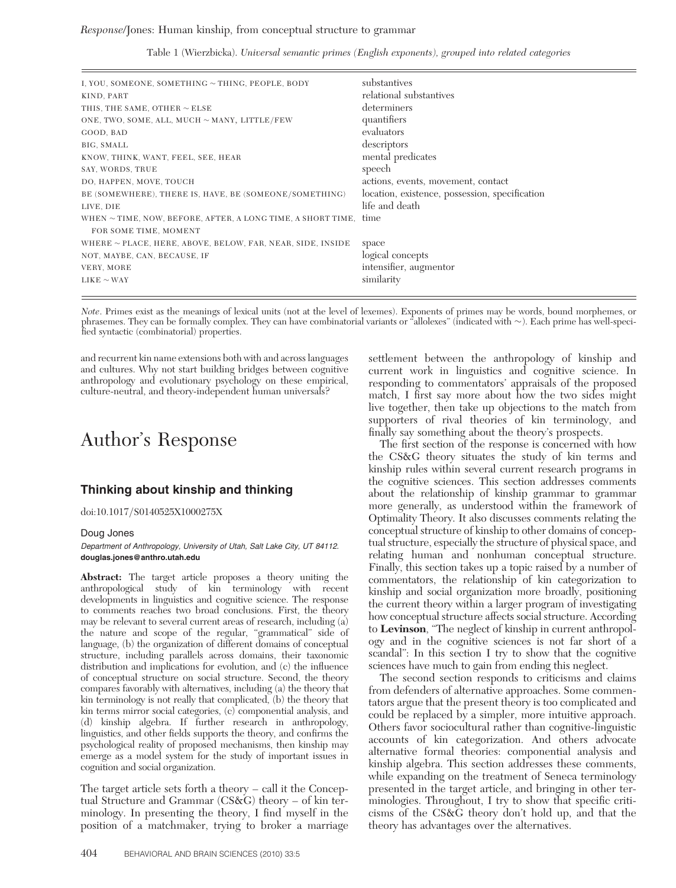Response/Jones: Human kinship, from conceptual structure to grammar

| I, YOU, SOMEONE, SOMETHING $\sim$ THING, PEOPLE, BODY                 | substantives                                   |
|-----------------------------------------------------------------------|------------------------------------------------|
| KIND, PART                                                            | relational substantives                        |
| THIS, THE SAME, OTHER $\sim$ ELSE                                     | determiners                                    |
| ONE, TWO, SOME, ALL, MUCH $\sim$ MANY, LITTLE/FEW                     | quantifiers                                    |
| GOOD, BAD                                                             | evaluators                                     |
| BIG, SMALL                                                            | descriptors                                    |
| KNOW, THINK, WANT, FEEL, SEE, HEAR                                    | mental predicates                              |
| SAY, WORDS, TRUE                                                      | speech                                         |
| DO, HAPPEN, MOVE, TOUCH                                               | actions, events, movement, contact             |
| BE (SOMEWHERE), THERE IS, HAVE, BE (SOMEONE/SOMETHING)                | location, existence, possession, specification |
| LIVE, DIE                                                             | life and death                                 |
| WHEN $\sim$ TIME, NOW, BEFORE, AFTER, A LONG TIME, A SHORT TIME, time |                                                |
| FOR SOME TIME, MOMENT                                                 |                                                |
| WHERE $\sim$ PLACE, HERE, ABOVE, BELOW, FAR, NEAR, SIDE, INSIDE       | space                                          |
| NOT, MAYBE, CAN, BECAUSE, IF                                          | logical concepts                               |
| VERY, MORE                                                            | intensifier, augmentor                         |
| $LIKE \sim WAY$                                                       | similarity                                     |
|                                                                       |                                                |

Table 1 (Wierzbicka). Universal semantic primes (English exponents), grouped into related categories

Note. Primes exist as the meanings of lexical units (not at the level of lexemes). Exponents of primes may be words, bound morphemes, or phrasemes. They can be formally complex. They can have combinatorial variants or "allolexes" (indicated with -). Each prime has well-specified syntactic (combinatorial) properties.

and recurrent kin name extensions both with and across languages and cultures. Why not start building bridges between cognitive anthropology and evolutionary psychology on these empirical, culture-neutral, and theory-independent human universals?

# Author's Response

# Thinking about kinship and thinking

doi:10.1017/S0140525X1000275X

#### Doug Jones

Department of Anthropology, University of Utah, Salt Lake City, UT 84112. douglas.jones@anthro.utah.edu

Abstract: The target article proposes a theory uniting the anthropological study of kin terminology with recent developments in linguistics and cognitive science. The response to comments reaches two broad conclusions. First, the theory may be relevant to several current areas of research, including (a) the nature and scope of the regular, "grammatical" side of language, (b) the organization of different domains of conceptual structure, including parallels across domains, their taxonomic distribution and implications for evolution, and (c) the influence of conceptual structure on social structure. Second, the theory compares favorably with alternatives, including (a) the theory that kin terminology is not really that complicated, (b) the theory that kin terms mirror social categories, (c) componential analysis, and (d) kinship algebra. If further research in anthropology, linguistics, and other fields supports the theory, and confirms the psychological reality of proposed mechanisms, then kinship may emerge as a model system for the study of important issues in cognition and social organization.

The target article sets forth a theory – call it the Conceptual Structure and Grammar (CS&G) theory – of kin terminology. In presenting the theory, I find myself in the position of a matchmaker, trying to broker a marriage

settlement between the anthropology of kinship and current work in linguistics and cognitive science. In responding to commentators' appraisals of the proposed match, I first say more about how the two sides might live together, then take up objections to the match from supporters of rival theories of kin terminology, and finally say something about the theory's prospects.

The first section of the response is concerned with how the CS&G theory situates the study of kin terms and kinship rules within several current research programs in the cognitive sciences. This section addresses comments about the relationship of kinship grammar to grammar more generally, as understood within the framework of Optimality Theory. It also discusses comments relating the conceptual structure of kinship to other domains of conceptual structure, especially the structure of physical space, and relating human and nonhuman conceptual structure. Finally, this section takes up a topic raised by a number of commentators, the relationship of kin categorization to kinship and social organization more broadly, positioning the current theory within a larger program of investigating how conceptual structure affects social structure. According to Levinson, "The neglect of kinship in current anthropology and in the cognitive sciences is not far short of a scandal": In this section I try to show that the cognitive sciences have much to gain from ending this neglect.

The second section responds to criticisms and claims from defenders of alternative approaches. Some commentators argue that the present theory is too complicated and could be replaced by a simpler, more intuitive approach. Others favor sociocultural rather than cognitive-linguistic accounts of kin categorization. And others advocate alternative formal theories: componential analysis and kinship algebra. This section addresses these comments, while expanding on the treatment of Seneca terminology presented in the target article, and bringing in other terminologies. Throughout, I try to show that specific criticisms of the CS&G theory don't hold up, and that the theory has advantages over the alternatives.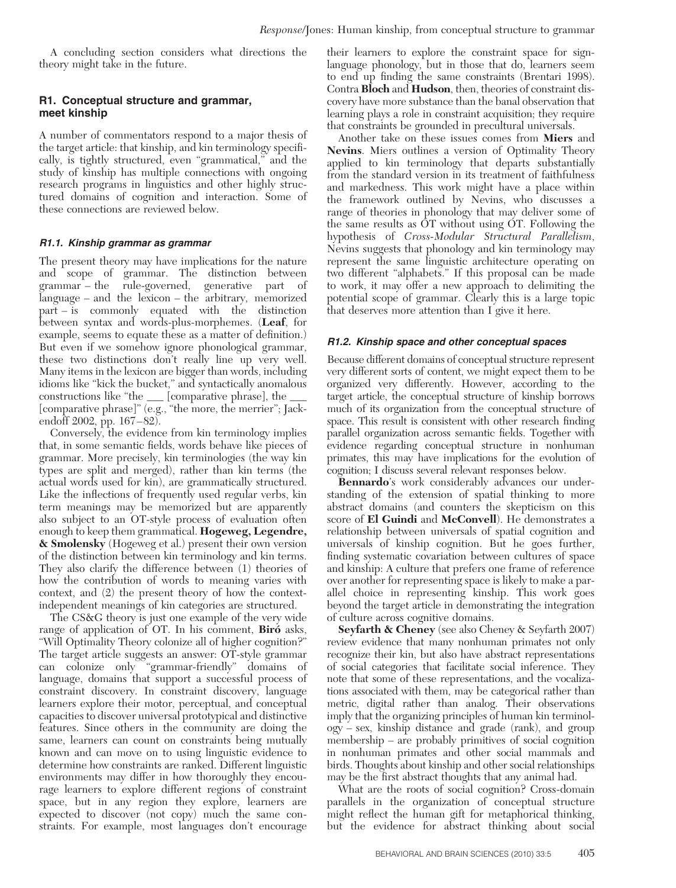A concluding section considers what directions the theory might take in the future.

# R1. Conceptual structure and grammar, meet kinship

A number of commentators respond to a major thesis of the target article: that kinship, and kin terminology specifically, is tightly structured, even "grammatical," and the study of kinship has multiple connections with ongoing research programs in linguistics and other highly structured domains of cognition and interaction. Some of these connections are reviewed below.

#### R1.1. Kinship grammar as grammar

The present theory may have implications for the nature and scope of grammar. The distinction between grammar – the rule-governed, generative part of language – and the lexicon – the arbitrary, memorized part – is commonly equated with the distinction between syntax and words-plus-morphemes. (Leaf, for example, seems to equate these as a matter of definition.) But even if we somehow ignore phonological grammar, these two distinctions don't really line up very well. Many items in the lexicon are bigger than words, including idioms like "kick the bucket," and syntactically anomalous constructions like "the \_\_\_ [comparative phrase], the \_\_\_ [comparative phrase]" (e.g., "the more, the merrier"; Jackendoff 2002, pp. 167–82).

Conversely, the evidence from kin terminology implies that, in some semantic fields, words behave like pieces of grammar. More precisely, kin terminologies (the way kin types are split and merged), rather than kin terms (the actual words used for kin), are grammatically structured. Like the inflections of frequently used regular verbs, kin term meanings may be memorized but are apparently also subject to an OT-style process of evaluation often enough to keep them grammatical. Hogeweg, Legendre, & Smolensky (Hogeweg et al.) present their own version of the distinction between kin terminology and kin terms. They also clarify the difference between (1) theories of how the contribution of words to meaning varies with context, and (2) the present theory of how the contextindependent meanings of kin categories are structured.

The CS&G theory is just one example of the very wide range of application of OT. In his comment, **Biró** asks, "Will Optimality Theory colonize all of higher cognition?" The target article suggests an answer: OT-style grammar can colonize only "grammar-friendly" domains of language, domains that support a successful process of constraint discovery. In constraint discovery, language learners explore their motor, perceptual, and conceptual capacities to discover universal prototypical and distinctive features. Since others in the community are doing the same, learners can count on constraints being mutually known and can move on to using linguistic evidence to determine how constraints are ranked. Different linguistic environments may differ in how thoroughly they encourage learners to explore different regions of constraint space, but in any region they explore, learners are expected to discover (not copy) much the same constraints. For example, most languages don't encourage

their learners to explore the constraint space for signlanguage phonology, but in those that do, learners seem to end up finding the same constraints (Brentari 1998). Contra **Bloch** and **Hudson**, then, theories of constraint discovery have more substance than the banal observation that learning plays a role in constraint acquisition; they require that constraints be grounded in precultural universals.

Another take on these issues comes from Miers and Nevins. Miers outlines a version of Optimality Theory applied to kin terminology that departs substantially from the standard version in its treatment of faithfulness and markedness. This work might have a place within the framework outlined by Nevins, who discusses a range of theories in phonology that may deliver some of the same results as OT without using OT. Following the hypothesis of Cross-Modular Structural Parallelism, Nevins suggests that phonology and kin terminology may represent the same linguistic architecture operating on two different "alphabets." If this proposal can be made to work, it may offer a new approach to delimiting the potential scope of grammar. Clearly this is a large topic that deserves more attention than I give it here.

#### R1.2. Kinship space and other conceptual spaces

Because different domains of conceptual structure represent very different sorts of content, we might expect them to be organized very differently. However, according to the target article, the conceptual structure of kinship borrows much of its organization from the conceptual structure of space. This result is consistent with other research finding parallel organization across semantic fields. Together with evidence regarding conceptual structure in nonhuman primates, this may have implications for the evolution of cognition; I discuss several relevant responses below.

Bennardo's work considerably advances our understanding of the extension of spatial thinking to more abstract domains (and counters the skepticism on this score of **El Guindi** and **McConvell**). He demonstrates a relationship between universals of spatial cognition and universals of kinship cognition. But he goes further, finding systematic covariation between cultures of space and kinship: A culture that prefers one frame of reference over another for representing space is likely to make a parallel choice in representing kinship. This work goes beyond the target article in demonstrating the integration of culture across cognitive domains.

Seyfarth & Cheney (see also Cheney & Seyfarth 2007) review evidence that many nonhuman primates not only recognize their kin, but also have abstract representations of social categories that facilitate social inference. They note that some of these representations, and the vocalizations associated with them, may be categorical rather than metric, digital rather than analog. Their observations imply that the organizing principles of human kin terminology – sex, kinship distance and grade (rank), and group membership – are probably primitives of social cognition in nonhuman primates and other social mammals and birds. Thoughts about kinship and other social relationships may be the first abstract thoughts that any animal had.

What are the roots of social cognition? Cross-domain parallels in the organization of conceptual structure might reflect the human gift for metaphorical thinking, but the evidence for abstract thinking about social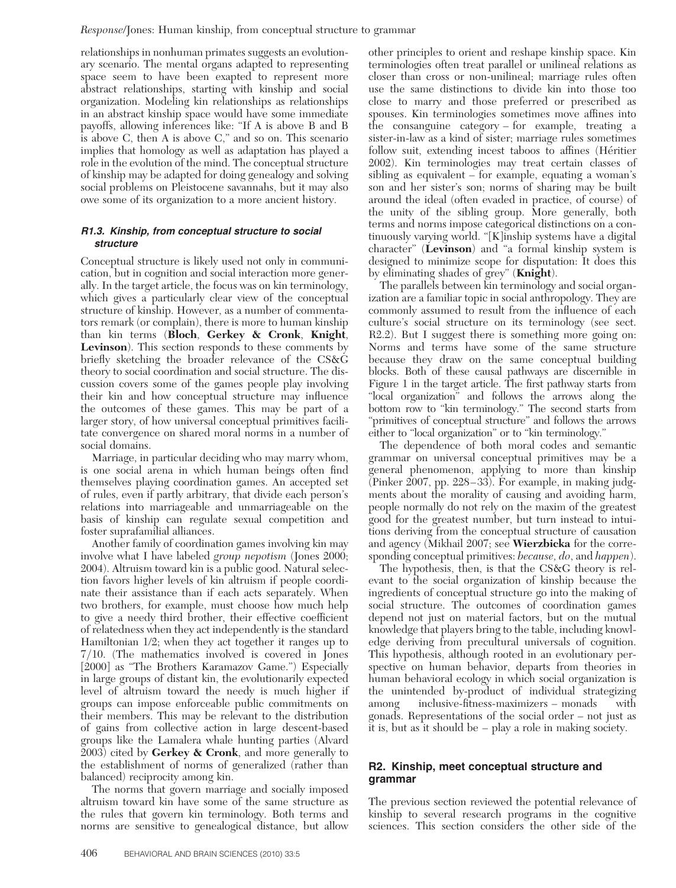relationships in nonhuman primates suggests an evolutionary scenario. The mental organs adapted to representing space seem to have been exapted to represent more abstract relationships, starting with kinship and social organization. Modeling kin relationships as relationships in an abstract kinship space would have some immediate payoffs, allowing inferences like: "If A is above B and B is above C, then A is above C," and so on. This scenario implies that homology as well as adaptation has played a role in the evolution of the mind. The conceptual structure of kinship may be adapted for doing genealogy and solving social problems on Pleistocene savannahs, but it may also owe some of its organization to a more ancient history.

# R1.3. Kinship, from conceptual structure to social structure

Conceptual structure is likely used not only in communication, but in cognition and social interaction more generally. In the target article, the focus was on kin terminology, which gives a particularly clear view of the conceptual structure of kinship. However, as a number of commentators remark (or complain), there is more to human kinship than kin terms (Bloch, Gerkey & Cronk, Knight, Levinson). This section responds to these comments by briefly sketching the broader relevance of the CS&G theory to social coordination and social structure. The discussion covers some of the games people play involving their kin and how conceptual structure may influence the outcomes of these games. This may be part of a larger story, of how universal conceptual primitives facilitate convergence on shared moral norms in a number of social domains.

Marriage, in particular deciding who may marry whom, is one social arena in which human beings often find themselves playing coordination games. An accepted set of rules, even if partly arbitrary, that divide each person's relations into marriageable and unmarriageable on the basis of kinship can regulate sexual competition and foster suprafamilial alliances.

Another family of coordination games involving kin may involve what I have labeled *group nepotism* (Jones 2000; 2004). Altruism toward kin is a public good. Natural selection favors higher levels of kin altruism if people coordinate their assistance than if each acts separately. When two brothers, for example, must choose how much help to give a needy third brother, their effective coefficient of relatedness when they act independently is the standard Hamiltonian 1/2; when they act together it ranges up to 7/10. (The mathematics involved is covered in Jones [2000] as "The Brothers Karamazov Game.") Especially in large groups of distant kin, the evolutionarily expected level of altruism toward the needy is much higher if groups can impose enforceable public commitments on their members. This may be relevant to the distribution of gains from collective action in large descent-based groups like the Lamalera whale hunting parties (Alvard  $(2003)$  cited by Gerkey & Cronk, and more generally to the establishment of norms of generalized (rather than balanced) reciprocity among kin.

The norms that govern marriage and socially imposed altruism toward kin have some of the same structure as the rules that govern kin terminology. Both terms and norms are sensitive to genealogical distance, but allow

other principles to orient and reshape kinship space. Kin terminologies often treat parallel or unilineal relations as closer than cross or non-unilineal; marriage rules often use the same distinctions to divide kin into those too close to marry and those preferred or prescribed as spouses. Kin terminologies sometimes move affines into the consanguine category – for example, treating a sister-in-law as a kind of sister; marriage rules sometimes follow suit, extending incest taboos to affines (Héritier 2002). Kin terminologies may treat certain classes of sibling as equivalent – for example, equating a woman's son and her sister's son; norms of sharing may be built around the ideal (often evaded in practice, of course) of the unity of the sibling group. More generally, both terms and norms impose categorical distinctions on a continuously varying world. "[K]inship systems have a digital character" (Levinson) and "a formal kinship system is designed to minimize scope for disputation: It does this by eliminating shades of grey" (**Knight**).

The parallels between kin terminology and social organization are a familiar topic in social anthropology. They are commonly assumed to result from the influence of each culture's social structure on its terminology (see sect. R2.2). But I suggest there is something more going on: Norms and terms have some of the same structure because they draw on the same conceptual building blocks. Both of these causal pathways are discernible in Figure 1 in the target article. The first pathway starts from "local organization" and follows the arrows along the bottom row to "kin terminology." The second starts from "primitives of conceptual structure" and follows the arrows either to "local organization" or to "kin terminology."

The dependence of both moral codes and semantic grammar on universal conceptual primitives may be a general phenomenon, applying to more than kinship (Pinker 2007, pp. 228–33). For example, in making judgments about the morality of causing and avoiding harm, people normally do not rely on the maxim of the greatest good for the greatest number, but turn instead to intuitions deriving from the conceptual structure of causation and agency (Mikhail 2007; see **Wierzbicka** for the corresponding conceptual primitives: *because*, *do*, and *happen*).

The hypothesis, then, is that the CS&G theory is relevant to the social organization of kinship because the ingredients of conceptual structure go into the making of social structure. The outcomes of coordination games depend not just on material factors, but on the mutual knowledge that players bring to the table, including knowledge deriving from precultural universals of cognition. This hypothesis, although rooted in an evolutionary perspective on human behavior, departs from theories in human behavioral ecology in which social organization is the unintended by-product of individual strategizing among inclusive-fitness-maximizers – monads gonads. Representations of the social order – not just as it is, but as it should be – play a role in making society.

# R2. Kinship, meet conceptual structure and grammar

The previous section reviewed the potential relevance of kinship to several research programs in the cognitive sciences. This section considers the other side of the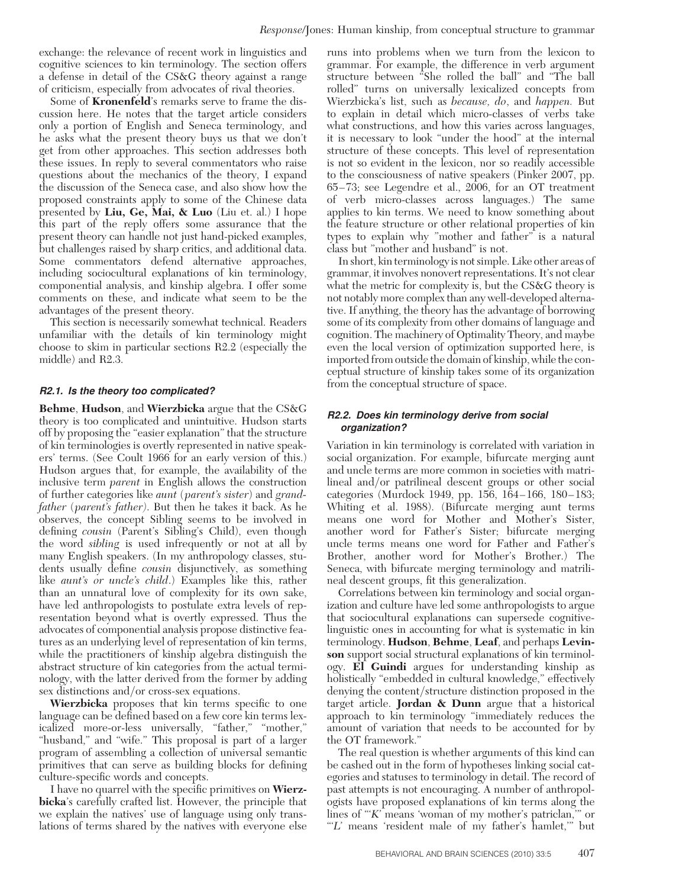exchange: the relevance of recent work in linguistics and cognitive sciences to kin terminology. The section offers a defense in detail of the CS&G theory against a range of criticism, especially from advocates of rival theories.

Some of Kronenfeld's remarks serve to frame the discussion here. He notes that the target article considers only a portion of English and Seneca terminology, and he asks what the present theory buys us that we don't get from other approaches. This section addresses both these issues. In reply to several commentators who raise questions about the mechanics of the theory, I expand the discussion of the Seneca case, and also show how the proposed constraints apply to some of the Chinese data presented by Liu, Ge, Mai,  $\&$  Luo (Liu et. al.) I hope this part of the reply offers some assurance that the present theory can handle not just hand-picked examples, but challenges raised by sharp critics, and additional data. Some commentators defend alternative approaches, including sociocultural explanations of kin terminology, componential analysis, and kinship algebra. I offer some comments on these, and indicate what seem to be the advantages of the present theory.

This section is necessarily somewhat technical. Readers unfamiliar with the details of kin terminology might choose to skim in particular sections R2.2 (especially the middle) and R2.3.

#### R2.1. Is the theory too complicated?

Behme, Hudson, and Wierzbicka argue that the CS&G theory is too complicated and unintuitive. Hudson starts off by proposing the "easier explanation" that the structure of kin terminologies is overtly represented in native speakers' terms. (See Coult 1966 for an early version of this.) Hudson argues that, for example, the availability of the inclusive term parent in English allows the construction of further categories like aunt (parent's sister) and grand*father (parent's father)*. But then he takes it back. As he observes, the concept Sibling seems to be involved in defining cousin (Parent's Sibling's Child), even though the word sibling is used infrequently or not at all by many English speakers. (In my anthropology classes, students usually define cousin disjunctively, as something like aunt's or uncle's child.) Examples like this, rather than an unnatural love of complexity for its own sake, have led anthropologists to postulate extra levels of representation beyond what is overtly expressed. Thus the advocates of componential analysis propose distinctive features as an underlying level of representation of kin terms, while the practitioners of kinship algebra distinguish the abstract structure of kin categories from the actual terminology, with the latter derived from the former by adding sex distinctions and/or cross-sex equations.

Wierzbicka proposes that kin terms specific to one language can be defined based on a few core kin terms lexicalized more-or-less universally, "father," "mother," "husband," and "wife." This proposal is part of a larger program of assembling a collection of universal semantic primitives that can serve as building blocks for defining culture-specific words and concepts.

I have no quarrel with the specific primitives on Wierzbicka's carefully crafted list. However, the principle that we explain the natives' use of language using only translations of terms shared by the natives with everyone else runs into problems when we turn from the lexicon to grammar. For example, the difference in verb argument structure between "She rolled the ball" and "The ball rolled" turns on universally lexicalized concepts from Wierzbicka's list, such as because, do, and happen. But to explain in detail which micro-classes of verbs take what constructions, and how this varies across languages, it is necessary to look "under the hood" at the internal structure of these concepts. This level of representation is not so evident in the lexicon, nor so readily accessible to the consciousness of native speakers (Pinker 2007, pp. 65–73; see Legendre et al., 2006, for an OT treatment of verb micro-classes across languages.) The same applies to kin terms. We need to know something about the feature structure or other relational properties of kin types to explain why "mother and father" is a natural class but "mother and husband" is not.

In short, kin terminology is not simple. Like other areas of grammar, it involves nonovert representations. It's not clear what the metric for complexity is, but the CS&G theory is not notably more complex than any well-developed alternative. If anything, the theory has the advantage of borrowing some of its complexity from other domains of language and cognition. The machinery of Optimality Theory, and maybe even the local version of optimization supported here, is imported from outside the domain of kinship, while the conceptual structure of kinship takes some of its organization from the conceptual structure of space.

# R2.2. Does kin terminology derive from social organization?

Variation in kin terminology is correlated with variation in social organization. For example, bifurcate merging aunt and uncle terms are more common in societies with matrilineal and/or patrilineal descent groups or other social categories (Murdock 1949, pp. 156, 164–166, 180–183; Whiting et al. 1988). (Bifurcate merging aunt terms means one word for Mother and Mother's Sister, another word for Father's Sister; bifurcate merging uncle terms means one word for Father and Father's Brother, another word for Mother's Brother.) The Seneca, with bifurcate merging terminology and matrilineal descent groups, fit this generalization.

Correlations between kin terminology and social organization and culture have led some anthropologists to argue that sociocultural explanations can supersede cognitivelinguistic ones in accounting for what is systematic in kin terminology. Hudson, Behme, Leaf, and perhaps Levinson support social structural explanations of kin terminology. El Guindi argues for understanding kinship as holistically "embedded in cultural knowledge," effectively denying the content/structure distinction proposed in the target article. Jordan & Dunn argue that a historical approach to kin terminology "immediately reduces the amount of variation that needs to be accounted for by the OT framework."

The real question is whether arguments of this kind can be cashed out in the form of hypotheses linking social categories and statuses to terminology in detail. The record of past attempts is not encouraging. A number of anthropologists have proposed explanations of kin terms along the lines of "K' means 'woman of my mother's patriclan," or "'L' means 'resident male of my father's hamlet," but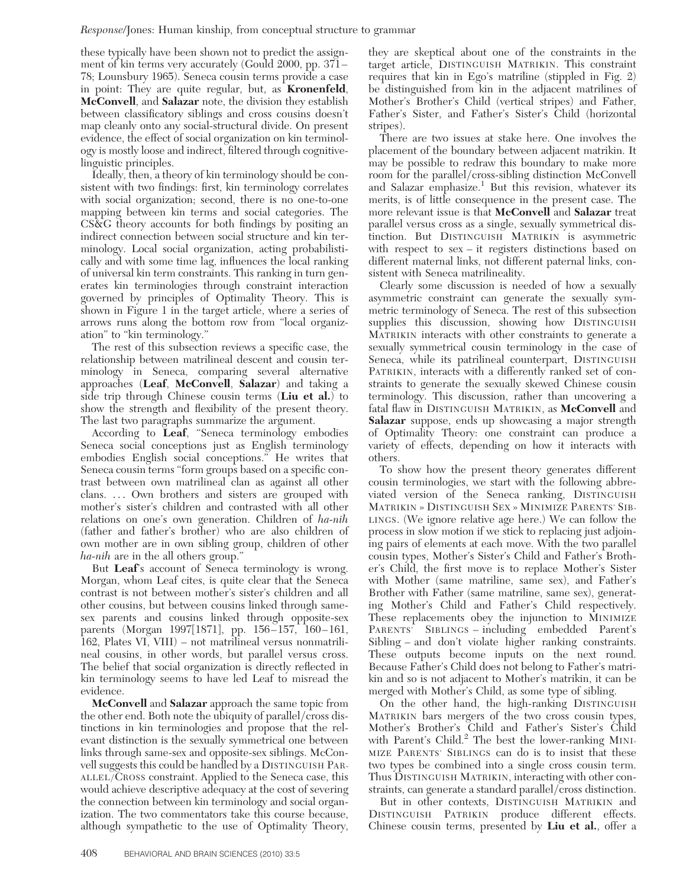these typically have been shown not to predict the assignment of kin terms very accurately (Gould 2000, pp. 371– 78; Lounsbury 1965). Seneca cousin terms provide a case in point: They are quite regular, but, as **Kronenfeld**, McConvell, and Salazar note, the division they establish between classificatory siblings and cross cousins doesn't map cleanly onto any social-structural divide. On present evidence, the effect of social organization on kin terminology is mostly loose and indirect, filtered through cognitivelinguistic principles.

Ideally, then, a theory of kin terminology should be consistent with two findings: first, kin terminology correlates with social organization; second, there is no one-to-one mapping between kin terms and social categories. The CS&G theory accounts for both findings by positing an indirect connection between social structure and kin terminology. Local social organization, acting probabilistically and with some time lag, influences the local ranking of universal kin term constraints. This ranking in turn generates kin terminologies through constraint interaction governed by principles of Optimality Theory. This is shown in Figure 1 in the target article, where a series of arrows runs along the bottom row from "local organization" to "kin terminology."

The rest of this subsection reviews a specific case, the relationship between matrilineal descent and cousin terminology in Seneca, comparing several alternative approaches (Leaf, McConvell, Salazar) and taking a side trip through Chinese cousin terms (Liu et al.) to show the strength and flexibility of the present theory. The last two paragraphs summarize the argument.

According to Leaf, "Seneca terminology embodies Seneca social conceptions just as English terminology embodies English social conceptions." He writes that Seneca cousin terms "form groups based on a specific contrast between own matrilineal clan as against all other clans. ... Own brothers and sisters are grouped with mother's sister's children and contrasted with all other relations on one's own generation. Children of ha-nih (father and father's brother) who are also children of own mother are in own sibling group, children of other ha-nih are in the all others group."

But Leaf's account of Seneca terminology is wrong. Morgan, whom Leaf cites, is quite clear that the Seneca contrast is not between mother's sister's children and all other cousins, but between cousins linked through samesex parents and cousins linked through opposite-sex parents (Morgan 1997[1871], pp. 156–157, 160–161, 162, Plates VI, VIII) – not matrilineal versus nonmatrilineal cousins, in other words, but parallel versus cross. The belief that social organization is directly reflected in kin terminology seems to have led Leaf to misread the evidence.

McConvell and Salazar approach the same topic from the other end. Both note the ubiquity of parallel/cross distinctions in kin terminologies and propose that the relevant distinction is the sexually symmetrical one between links through same-sex and opposite-sex siblings. McConvell suggests this could be handled by a DISTINGUISH PAR-ALLEL/CROSS constraint. Applied to the Seneca case, this would achieve descriptive adequacy at the cost of severing the connection between kin terminology and social organization. The two commentators take this course because, although sympathetic to the use of Optimality Theory,

they are skeptical about one of the constraints in the target article, DISTINGUISH MATRIKIN. This constraint requires that kin in Ego's matriline (stippled in Fig. 2) be distinguished from kin in the adjacent matrilines of Mother's Brother's Child (vertical stripes) and Father, Father's Sister, and Father's Sister's Child (horizontal stripes).

There are two issues at stake here. One involves the placement of the boundary between adjacent matrikin. It may be possible to redraw this boundary to make more room for the parallel/cross-sibling distinction McConvell and Salazar emphasize.<sup>1</sup> But this revision, whatever its merits, is of little consequence in the present case. The more relevant issue is that McConvell and Salazar treat parallel versus cross as a single, sexually symmetrical distinction. But DISTINGUISH MATRIKIN is asymmetric with respect to sex – it registers distinctions based on different maternal links, not different paternal links, consistent with Seneca matrilineality.

Clearly some discussion is needed of how a sexually asymmetric constraint can generate the sexually symmetric terminology of Seneca. The rest of this subsection supplies this discussion, showing how DISTINGUISH MATRIKIN interacts with other constraints to generate a sexually symmetrical cousin terminology in the case of Seneca, while its patrilineal counterpart, DISTINGUISH PATRIKIN, interacts with a differently ranked set of constraints to generate the sexually skewed Chinese cousin terminology. This discussion, rather than uncovering a fatal flaw in DISTINGUISH MATRIKIN, as McConvell and Salazar suppose, ends up showcasing a major strength of Optimality Theory: one constraint can produce a variety of effects, depending on how it interacts with others.

To show how the present theory generates different cousin terminologies, we start with the following abbreviated version of the Seneca ranking, DISTINGUISH MATRIKIN » DISTINGUISH SEX » MINIMIZE PARENTS' SIB-LINGS. (We ignore relative age here.) We can follow the process in slow motion if we stick to replacing just adjoining pairs of elements at each move. With the two parallel cousin types, Mother's Sister's Child and Father's Brother's Child, the first move is to replace Mother's Sister with Mother (same matriline, same sex), and Father's Brother with Father (same matriline, same sex), generating Mother's Child and Father's Child respectively. These replacements obey the injunction to MINIMIZE PARENTS' SIBLINGS – including embedded Parent's Sibling – and don't violate higher ranking constraints. These outputs become inputs on the next round. Because Father's Child does not belong to Father's matrikin and so is not adjacent to Mother's matrikin, it can be merged with Mother's Child, as some type of sibling.

On the other hand, the high-ranking DISTINGUISH MATRIKIN bars mergers of the two cross cousin types, Mother's Brother's Child and Father's Sister's Child with Parent's Child. $^{2}$  The best the lower-ranking MINI-MIZE PARENTS' SIBLINGS can do is to insist that these two types be combined into a single cross cousin term. Thus DISTINGUISH MATRIKIN, interacting with other constraints, can generate a standard parallel/cross distinction.

But in other contexts, DISTINGUISH MATRIKIN and DISTINGUISH PATRIKIN produce different effects. Chinese cousin terms, presented by Liu et al., offer a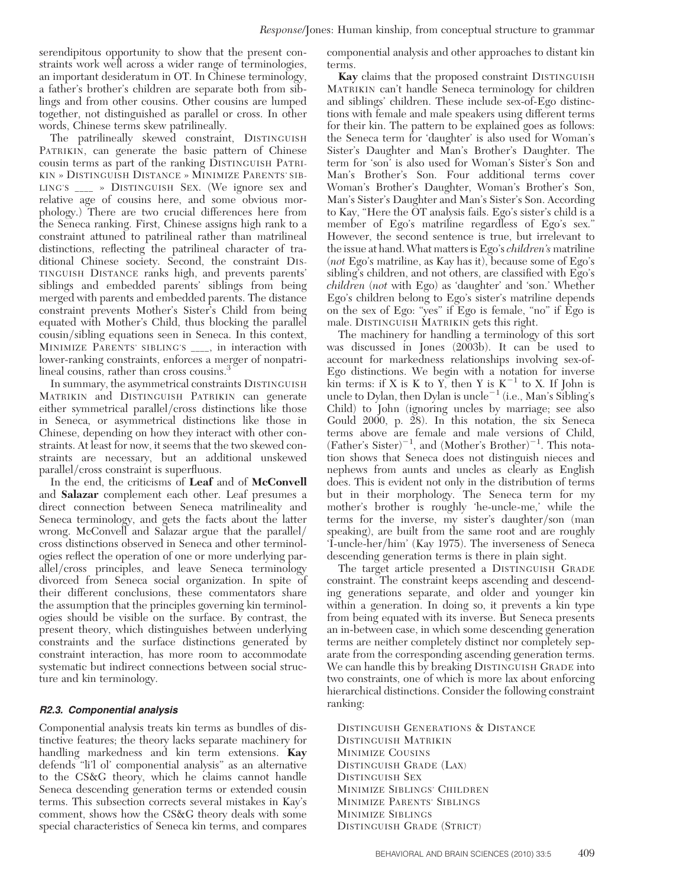serendipitous opportunity to show that the present constraints work well across a wider range of terminologies, an important desideratum in OT. In Chinese terminology, a father's brother's children are separate both from siblings and from other cousins. Other cousins are lumped together, not distinguished as parallel or cross. In other words, Chinese terms skew patrilineally.

The patrilineally skewed constraint, DISTINGUISH PATRIKIN, can generate the basic pattern of Chinese cousin terms as part of the ranking DISTINGUISH PATRI-KIN » DISTINGUISH DISTANCE » MINIMIZE PARENTS' SIB-LING'S \_\_\_\_ » DISTINGUISH SEX. (We ignore sex and relative age of cousins here, and some obvious morphology.) There are two crucial differences here from the Seneca ranking. First, Chinese assigns high rank to a constraint attuned to patrilineal rather than matrilineal distinctions, reflecting the patrilineal character of traditional Chinese society. Second, the constraint DIS-TINGUISH DISTANCE ranks high, and prevents parents' siblings and embedded parents' siblings from being merged with parents and embedded parents. The distance constraint prevents Mother's Sister's Child from being equated with Mother's Child, thus blocking the parallel cousin/sibling equations seen in Seneca. In this context, MINIMIZE PARENTS' SIBLING'S \_\_\_\_, in interaction with lower-ranking constraints, enforces a merger of nonpatrilineal cousins, rather than cross cousins.<sup>3</sup>

In summary, the asymmetrical constraints DISTINGUISH MATRIKIN and DISTINGUISH PATRIKIN can generate either symmetrical parallel/cross distinctions like those in Seneca, or asymmetrical distinctions like those in Chinese, depending on how they interact with other constraints. At least for now, it seems that the two skewed constraints are necessary, but an additional unskewed parallel/cross constraint is superfluous.

In the end, the criticisms of Leaf and of McConvell and Salazar complement each other. Leaf presumes a direct connection between Seneca matrilineality and Seneca terminology, and gets the facts about the latter wrong. McConvell and Salazar argue that the parallel/ cross distinctions observed in Seneca and other terminologies reflect the operation of one or more underlying parallel/cross principles, and leave Seneca terminology divorced from Seneca social organization. In spite of their different conclusions, these commentators share the assumption that the principles governing kin terminologies should be visible on the surface. By contrast, the present theory, which distinguishes between underlying constraints and the surface distinctions generated by constraint interaction, has more room to accommodate systematic but indirect connections between social structure and kin terminology.

#### R2.3. Componential analysis

Componential analysis treats kin terms as bundles of distinctive features; the theory lacks separate machinery for handling markedness and kin term extensions. Kay defends "li'l ol' componential analysis" as an alternative to the CS&G theory, which he claims cannot handle Seneca descending generation terms or extended cousin terms. This subsection corrects several mistakes in Kay's comment, shows how the CS&G theory deals with some special characteristics of Seneca kin terms, and compares componential analysis and other approaches to distant kin terms.

Kay claims that the proposed constraint DISTINGUISH MATRIKIN can't handle Seneca terminology for children and siblings' children. These include sex-of-Ego distinctions with female and male speakers using different terms for their kin. The pattern to be explained goes as follows: the Seneca term for 'daughter' is also used for Woman's Sister's Daughter and Man's Brother's Daughter. The term for 'son' is also used for Woman's Sister's Son and Man's Brother's Son. Four additional terms cover Woman's Brother's Daughter, Woman's Brother's Son, Man's Sister's Daughter and Man's Sister's Son. According to Kay, "Here the OT analysis fails. Ego's sister's child is a member of Ego's matriline regardless of Ego's sex." However, the second sentence is true, but irrelevant to the issue at hand. What matters is Ego's children's matriline (not Ego's matriline, as Kay has it), because some of Ego's sibling's children, and not others, are classified with Ego's children (not with Ego) as 'daughter' and 'son.' Whether Ego's children belong to Ego's sister's matriline depends on the sex of Ego: "yes" if Ego is female, "no" if Ego is male. DISTINGUISH MATRIKIN gets this right.

The machinery for handling a terminology of this sort was discussed in Jones (2003b). It can be used to account for markedness relationships involving sex-of-Ego distinctions. We begin with a notation for inverse kin terms: if X is K to Y, then Y is  $K^{-1}$  to X. If John is uncle to Dylan, then Dylan is uncle<sup> $-1$ </sup> (i.e., Man's Sibling's Child) to John (ignoring uncles by marriage; see also Gould 2000, p. 28). In this notation, the six Seneca terms above are female and male versions of Child,  $(Father's Sister)^{-1}$ , and  $(Mother's Brother)^{-1}$ . This notation shows that Seneca does not distinguish nieces and nephews from aunts and uncles as clearly as English does. This is evident not only in the distribution of terms but in their morphology. The Seneca term for my mother's brother is roughly 'he-uncle-me,' while the terms for the inverse, my sister's daughter/son (man speaking), are built from the same root and are roughly 'I-uncle-her/him' (Kay 1975). The inverseness of Seneca descending generation terms is there in plain sight.

The target article presented a DISTINGUISH GRADE constraint. The constraint keeps ascending and descending generations separate, and older and younger kin within a generation. In doing so, it prevents a kin type from being equated with its inverse. But Seneca presents an in-between case, in which some descending generation terms are neither completely distinct nor completely separate from the corresponding ascending generation terms. We can handle this by breaking DISTINGUISH GRADE into two constraints, one of which is more lax about enforcing hierarchical distinctions. Consider the following constraint ranking:

DISTINGUISH GENERATIONS & DISTANCE DISTINGUISH MATRIKIN MINIMIZE COUSINS DISTINGUISH GRADE (LAX) DISTINGUISH SEX MINIMIZE SIBLINGS' CHILDREN MINIMIZE PARENTS' SIBLINGS MINIMIZE SIBLINGS DISTINGUISH GRADE (STRICT)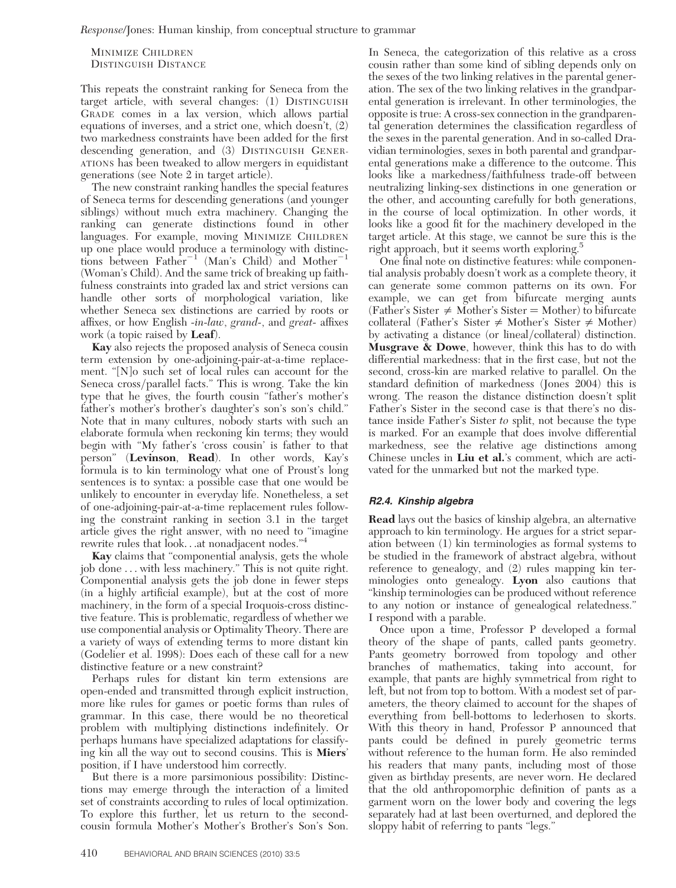MINIMIZE CHILDREN DISTINGUISH DISTANCE

This repeats the constraint ranking for Seneca from the target article, with several changes: (1) DISTINGUISH GRADE comes in a lax version, which allows partial equations of inverses, and a strict one, which doesn't, (2) two markedness constraints have been added for the first descending generation, and (3) DISTINGUISH GENER-ATIONS has been tweaked to allow mergers in equidistant generations (see Note 2 in target article).

The new constraint ranking handles the special features of Seneca terms for descending generations (and younger siblings) without much extra machinery. Changing the ranking can generate distinctions found in other languages. For example, moving MINIMIZE CHILDREN up one place would produce a terminology with distinctions between  $\text{Father}^{-1}$  (Man's Child) and Mother<sup>-1</sup> (Woman's Child). And the same trick of breaking up faithfulness constraints into graded lax and strict versions can handle other sorts of morphological variation, like whether Seneca sex distinctions are carried by roots or affixes, or how English -in-law, grand-, and great- affixes work (a topic raised by **Leaf**).

Kay also rejects the proposed analysis of Seneca cousin term extension by one-adjoining-pair-at-a-time replacement. "[N]o such set of local rules can account for the Seneca cross/parallel facts." This is wrong. Take the kin type that he gives, the fourth cousin "father's mother's father's mother's brother's daughter's son's son's child." Note that in many cultures, nobody starts with such an elaborate formula when reckoning kin terms; they would begin with "My father's 'cross cousin' is father to that person" (Levinson, Read). In other words, Kay's formula is to kin terminology what one of Proust's long sentences is to syntax: a possible case that one would be unlikely to encounter in everyday life. Nonetheless, a set of one-adjoining-pair-at-a-time replacement rules following the constraint ranking in section 3.1 in the target article gives the right answer, with no need to "imagine rewrite rules that look...at nonadjacent nodes."<sup>4</sup>

Kay claims that "componential analysis, gets the whole job done ... with less machinery." This is not quite right. Componential analysis gets the job done in fewer steps (in a highly artificial example), but at the cost of more machinery, in the form of a special Iroquois-cross distinctive feature. This is problematic, regardless of whether we use componential analysis or Optimality Theory. There are a variety of ways of extending terms to more distant kin (Godelier et al. 1998): Does each of these call for a new distinctive feature or a new constraint?

Perhaps rules for distant kin term extensions are open-ended and transmitted through explicit instruction, more like rules for games or poetic forms than rules of grammar. In this case, there would be no theoretical problem with multiplying distinctions indefinitely. Or perhaps humans have specialized adaptations for classifying kin all the way out to second cousins. This is Miers' position, if I have understood him correctly.

But there is a more parsimonious possibility: Distinctions may emerge through the interaction of a limited set of constraints according to rules of local optimization. To explore this further, let us return to the secondcousin formula Mother's Mother's Brother's Son's Son.

In Seneca, the categorization of this relative as a cross cousin rather than some kind of sibling depends only on the sexes of the two linking relatives in the parental generation. The sex of the two linking relatives in the grandparental generation is irrelevant. In other terminologies, the opposite is true: A cross-sex connection in the grandparental generation determines the classification regardless of the sexes in the parental generation. And in so-called Dravidian terminologies, sexes in both parental and grandparental generations make a difference to the outcome. This looks like a markedness/faithfulness trade-off between neutralizing linking-sex distinctions in one generation or the other, and accounting carefully for both generations, in the course of local optimization. In other words, it looks like a good fit for the machinery developed in the target article. At this stage, we cannot be sure this is the right approach, but it seems worth exploring.<sup>5</sup>

One final note on distinctive features: while componential analysis probably doesn't work as a complete theory, it can generate some common patterns on its own. For example, we can get from bifurcate merging aunts  $(Father's Sister \neq Mother's Sister = Mother)$  to bifurcate collateral (Father's Sister  $\neq$  Mother's Sister  $\neq$  Mother) by activating a distance (or lineal/collateral) distinction. Musgrave & Dowe, however, think this has to do with differential markedness: that in the first case, but not the second, cross-kin are marked relative to parallel. On the standard definition of markedness (Jones 2004) this is wrong. The reason the distance distinction doesn't split Father's Sister in the second case is that there's no distance inside Father's Sister to split, not because the type is marked. For an example that does involve differential markedness, see the relative age distinctions among Chinese uncles in **Liu et al.**'s comment, which are activated for the unmarked but not the marked type.

# R2.4. Kinship algebra

**Read** lays out the basics of kinship algebra, an alternative approach to kin terminology. He argues for a strict separation between (1) kin terminologies as formal systems to be studied in the framework of abstract algebra, without reference to genealogy, and (2) rules mapping kin terminologies onto genealogy. Lyon also cautions that "kinship terminologies can be produced without reference to any notion or instance of genealogical relatedness." I respond with a parable.

Once upon a time, Professor P developed a formal theory of the shape of pants, called pants geometry. Pants geometry borrowed from topology and other branches of mathematics, taking into account, for example, that pants are highly symmetrical from right to left, but not from top to bottom. With a modest set of parameters, the theory claimed to account for the shapes of everything from bell-bottoms to lederhosen to skorts. With this theory in hand, Professor P announced that pants could be defined in purely geometric terms without reference to the human form. He also reminded his readers that many pants, including most of those given as birthday presents, are never worn. He declared that the old anthropomorphic definition of pants as a garment worn on the lower body and covering the legs separately had at last been overturned, and deplored the sloppy habit of referring to pants "legs."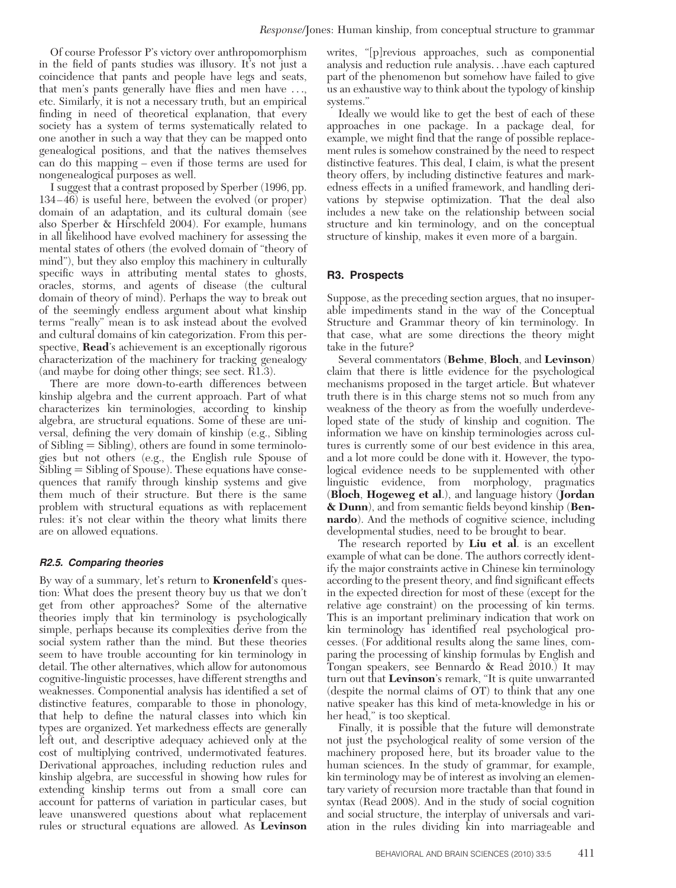Of course Professor P's victory over anthropomorphism in the field of pants studies was illusory. It's not just a coincidence that pants and people have legs and seats, that men's pants generally have flies and men have ..., etc. Similarly, it is not a necessary truth, but an empirical finding in need of theoretical explanation, that every society has a system of terms systematically related to one another in such a way that they can be mapped onto genealogical positions, and that the natives themselves can do this mapping – even if those terms are used for nongenealogical purposes as well.

I suggest that a contrast proposed by Sperber (1996, pp. 134–46) is useful here, between the evolved (or proper) domain of an adaptation, and its cultural domain (see also Sperber & Hirschfeld 2004). For example, humans in all likelihood have evolved machinery for assessing the mental states of others (the evolved domain of "theory of mind"), but they also employ this machinery in culturally specific ways in attributing mental states to ghosts, oracles, storms, and agents of disease (the cultural domain of theory of mind). Perhaps the way to break out of the seemingly endless argument about what kinship terms "really" mean is to ask instead about the evolved and cultural domains of kin categorization. From this perspective, Read's achievement is an exceptionally rigorous characterization of the machinery for tracking genealogy (and maybe for doing other things; see sect. R1.3).

There are more down-to-earth differences between kinship algebra and the current approach. Part of what characterizes kin terminologies, according to kinship algebra, are structural equations. Some of these are universal, defining the very domain of kinship (e.g., Sibling of Sibling  $=$  Sibling), others are found in some terminologies but not others (e.g., the English rule Spouse of  $Sibling = Sibling of Spouse)$ . These equations have consequences that ramify through kinship systems and give them much of their structure. But there is the same problem with structural equations as with replacement rules: it's not clear within the theory what limits there are on allowed equations.

# R2.5. Comparing theories

By way of a summary, let's return to **Kronenfeld**'s question: What does the present theory buy us that we don't get from other approaches? Some of the alternative theories imply that kin terminology is psychologically simple, perhaps because its complexities derive from the social system rather than the mind. But these theories seem to have trouble accounting for kin terminology in detail. The other alternatives, which allow for autonomous cognitive-linguistic processes, have different strengths and weaknesses. Componential analysis has identified a set of distinctive features, comparable to those in phonology, that help to define the natural classes into which kin types are organized. Yet markedness effects are generally left out, and descriptive adequacy achieved only at the cost of multiplying contrived, undermotivated features. Derivational approaches, including reduction rules and kinship algebra, are successful in showing how rules for extending kinship terms out from a small core can account for patterns of variation in particular cases, but leave unanswered questions about what replacement rules or structural equations are allowed. As Levinson

writes, "[p]revious approaches, such as componential analysis and reduction rule analysis...have each captured part of the phenomenon but somehow have failed to give us an exhaustive way to think about the typology of kinship systems."

Ideally we would like to get the best of each of these approaches in one package. In a package deal, for example, we might find that the range of possible replacement rules is somehow constrained by the need to respect distinctive features. This deal, I claim, is what the present theory offers, by including distinctive features and markedness effects in a unified framework, and handling derivations by stepwise optimization. That the deal also includes a new take on the relationship between social structure and kin terminology, and on the conceptual structure of kinship, makes it even more of a bargain.

# R3. Prospects

Suppose, as the preceding section argues, that no insuperable impediments stand in the way of the Conceptual Structure and Grammar theory of kin terminology. In that case, what are some directions the theory might take in the future?

Several commentators (Behme, Bloch, and Levinson) claim that there is little evidence for the psychological mechanisms proposed in the target article. But whatever truth there is in this charge stems not so much from any weakness of the theory as from the woefully underdeveloped state of the study of kinship and cognition. The information we have on kinship terminologies across cultures is currently some of our best evidence in this area, and a lot more could be done with it. However, the typological evidence needs to be supplemented with other linguistic evidence, from morphology, pragmatics (Bloch, Hogeweg et al.), and language history (Jordan & Dunn), and from semantic fields beyond kinship (Bennardo). And the methods of cognitive science, including developmental studies, need to be brought to bear.

The research reported by **Liu et al.** is an excellent example of what can be done. The authors correctly identify the major constraints active in Chinese kin terminology according to the present theory, and find significant effects in the expected direction for most of these (except for the relative age constraint) on the processing of kin terms. This is an important preliminary indication that work on kin terminology has identified real psychological processes. (For additional results along the same lines, comparing the processing of kinship formulas by English and Tongan speakers, see Bennardo & Read 2010.) It may turn out that Levinson's remark, "It is quite unwarranted (despite the normal claims of OT) to think that any one native speaker has this kind of meta-knowledge in his or her head," is too skeptical.

Finally, it is possible that the future will demonstrate not just the psychological reality of some version of the machinery proposed here, but its broader value to the human sciences. In the study of grammar, for example, kin terminology may be of interest as involving an elementary variety of recursion more tractable than that found in syntax (Read 2008). And in the study of social cognition and social structure, the interplay of universals and variation in the rules dividing kin into marriageable and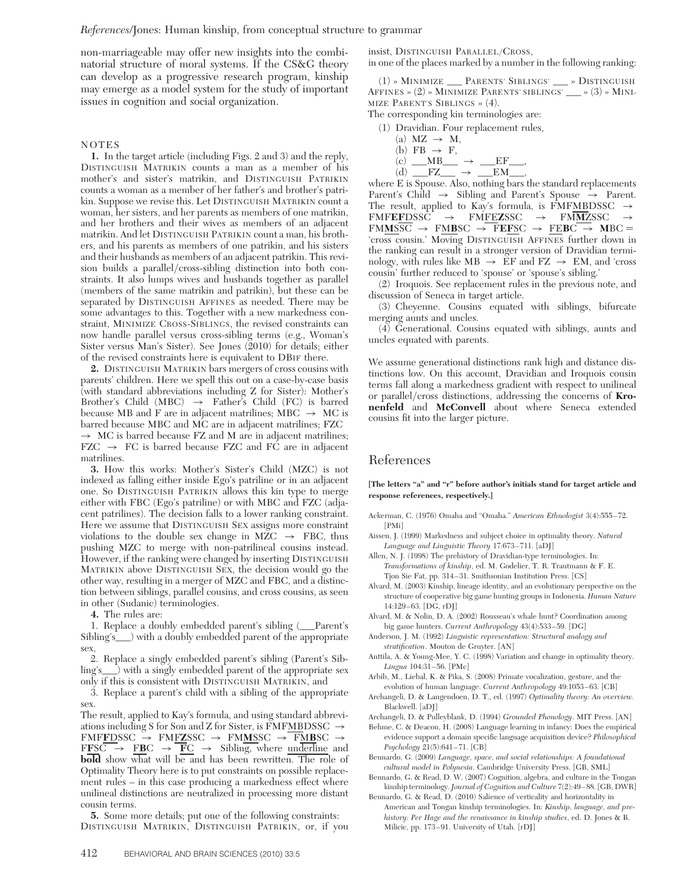non-marriageable may offer new insights into the combinatorial structure of moral systems. If the CS&G theory can develop as a progressive research program, kinship may emerge as a model system for the study of important issues in cognition and social organization.

#### NOTES

1. In the target article (including Figs. 2 and 3) and the reply, DISTINGUISH MATRIKIN counts a man as a member of his mother's and sister's matrikin, and DISTINGUISH PATRIKIN counts a woman as a member of her father's and brother's patrikin. Suppose we revise this. Let DISTINGUISH MATRIKIN count a woman, her sisters, and her parents as members of one matrikin, and her brothers and their wives as members of an adjacent matrikin. And let DISTINGUISH PATRIKIN count a man, his brothers, and his parents as members of one patrikin, and his sisters and their husbands as members of an adjacent patrikin. This revision builds a parallel/cross-sibling distinction into both constraints. It also lumps wives and husbands together as parallel (members of the same matrikin and patrikin), but these can be separated by DISTINGUISH AFFINES as needed. There may be some advantages to this. Together with a new markedness constraint, MINIMIZE CROSS-SIBLINGS, the revised constraints can now handle parallel versus cross-sibling terms (e.g., Woman's Sister versus Man's Sister). See Jones (2010) for details; either of the revised constraints here is equivalent to DBIF there.

2. DISTINGUISH MATRIKIN bars mergers of cross cousins with parents' children. Here we spell this out on a case-by-case basis (with standard abbreviations including Z for Sister): Mother's Brother's Child (MBC)  $\rightarrow$  Father's Child (FC) is barred because MB and F are in adjacent matrilines; MBC  $\rightarrow$  MC is barred because MBC and MC are in adjacent matrilines; FZC  $\rightarrow$  MC is barred because FZ and M are in adjacent matrilines;  $FZC \rightarrow FC$  is barred because FZC and FC are in adjacent matrilines.

3. How this works: Mother's Sister's Child (MZC) is not indexed as falling either inside Ego's patriline or in an adjacent one. So DISTINGUISH PATRIKIN allows this kin type to merge either with FBC (Ego's patriline) or with MBC and FZC (adjacent patrilines). The decision falls to a lower ranking constraint. Here we assume that DISTINGUISH SEX assigns more constraint violations to the double sex change in MZC  $\rightarrow$  FBC, thus pushing MZC to merge with non-patrilineal cousins instead. However, if the ranking were changed by inserting DISTINGUISH MATRIKIN above DISTINGUISH SEX, the decision would go the other way, resulting in a merger of MZC and FBC, and a distinction between siblings, parallel cousins, and cross cousins, as seen in other (Sudanic) terminologies.

4. The rules are:

1. Replace a doubly embedded parent's sibling (\_\_\_Parent's Sibling's\_\_) with a doubly embedded parent of the appropriate sex,

2. Replace a singly embedded parent's sibling (Parent's Sibling's\_\_\_) with a singly embedded parent of the appropriate sex only if this is consistent with DISTINGUISH MATRIKIN, and

3. Replace a parent's child with a sibling of the appropriate sex.

The result, applied to Kay's formula, and using standard abbreviations including S for Son and Z for Sister, is FMFMBDSSC  $\rightarrow$  $FMFFDSSC \rightarrow FMFZSSC \rightarrow FMMSSC \rightarrow FMBSC \rightarrow$  $FFSC \rightarrow FBC \rightarrow \overline{FC} \rightarrow Sibling$ , where underline and bold show what will be and has been rewritten. The role of Optimality Theory here is to put constraints on possible replacement rules – in this case producing a markedness effect where unilineal distinctions are neutralized in processing more distant cousin terms.

5. Some more details; put one of the following constraints: DISTINGUISH MATRIKIN, DISTINGUISH PATRIKIN, or, if you insist, DISTINGUISH PARALLEL/CROSS,

in one of the places marked by a number in the following ranking:

(1) » MINIMIZE \_\_\_ PARENTS' SIBLINGS' \_\_\_ » DISTINGUISH AFFINES »  $(2)$  » MINIMIZE PARENTS' SIBLINGS'  $\_\_\_\$  %  $(3)$  » MINI-MIZE PARENT'S SIBLINGS » (4).

The corresponding kin terminologies are: (1) Dravidian. Four replacement rules,

- (a)  $MZ \rightarrow M$ ,
- (b)  $FB \rightarrow F$ ,
- 
- (c)  $\underline{\hspace{1cm}}$   $MB \underline{\hspace{1cm}}$   $\rightarrow$   $\underline{\hspace{1cm}}$   $EF \underline{\hspace{1cm}}$ , (d)  $\_FZ\_ \rightarrow \_EM\_$ ,

where E is Spouse. Also, nothing bars the standard replacements Parent's Child  $\rightarrow$  Sibling and Parent's Spouse  $\rightarrow$  Parent. The result, applied to Kay's formula, is FMFMBDSSC  $\rightarrow$  $FMFEEDSSC \rightarrow FMFEZSSC \rightarrow FM\overline{MZ}SSC$  $\overline{FMMSSC}$   $\rightarrow$   $\overline{FMBSC}$   $\rightarrow$   $\overline{FEFSC}$   $\rightarrow$   $\overline{FEBC}$   $\rightarrow$   $\overline{MBC}$  = 'cross cousin.' Moving DISTINGUISH AFFINES further down in the ranking can result in a stronger version of Dravidian terminology, with rules like MB  $\rightarrow$  EF and FZ  $\rightarrow$  EM, and 'cross cousin' further reduced to 'spouse' or 'spouse's sibling.'

(2) Iroquois. See replacement rules in the previous note, and discussion of Seneca in target article.

(3) Cheyenne. Cousins equated with siblings, bifurcate merging aunts and uncles.

(4) Generational. Cousins equated with siblings, aunts and uncles equated with parents.

We assume generational distinctions rank high and distance distinctions low. On this account, Dravidian and Iroquois cousin terms fall along a markedness gradient with respect to unilineal or parallel/cross distinctions, addressing the concerns of Kronenfeld and McConvell about where Seneca extended cousins fit into the larger picture.

#### References

#### [The letters "a" and "r" before author's initials stand for target article and response references, respectively.]

- Ackerman, C. (1976) Omaha and "Omaha." American Ethnologist 3(4):555–72. [PMi]
- Aissen, J. (1999) Markedness and subject choice in optimality theory. Natural Language and Linguistic Theory 17:673–711. [aDJ]

Allen, N. J. (1998) The prehistory of Dravidian-type terminologies. In: Transformations of kinship, ed. M. Godelier, T. R. Trautmann & F. E. Tjon Sie Fat, pp. 314–31. Smithsonian Institution Press. [CS]

- Alvard, M. (2003) Kinship, lineage identity, and an evolutionary perspective on the structure of cooperative big game hunting groups in Indonesia. Human Nature 14:129–63. [DG, rDJ]
- Alvard, M. & Nolin, D. A. (2002) Rousseau's whale hunt? Coordination among big game hunters. Current Anthropology 43(4):533–59. [DG]

Anderson, J. M. (1992) Linguistic representation: Structural analogy and stratification. Mouton de Gruyter. [AN]

- Anttila, A. & Young-Mee, Y. C. (1998) Variation and change in optimality theory. Lingua 104:31–56. [PMc]
- Arbib, M., Liebal, K. & Pika, S. (2008) Primate vocalization, gesture, and the evolution of human language. Current Anthropology 49:1053–63. [CB]
- Archangeli, D. & Langendoen, D. T., ed. (1997) Optimality theory: An overview. Blackwell. [aDJ]

Archangeli, D. & Pulleyblank, D. (1994) Grounded Phonology. MIT Press. [AN]

- Behme, C. & Deacon, H. (2008) Language learning in infancy: Does the empirical evidence support a domain specific language acquisition device? Philosophical Psychology 21(5):641–71. [CB]
- Bennardo, G. (2009) Language, space, and social relationships: A foundational cultural model in Polynesia. Cambridge University Press. [GB, SML]
- Bennardo, G. & Read, D. W. (2007) Cognition, algebra, and culture in the Tongan kinship terminology. Journal of Cognition and Culture 7(2):49–88. [GB, DWR]
- Bennardo, G. & Read, D. (2010) Salience of verticality and horizontality in American and Tongan kinship terminologies. In: Kinship, language, and prehistory: Per Hage and the renaissance in kinship studies, ed. D. Jones & B. Milicic, pp. 173–91. University of Utah. [rDJ]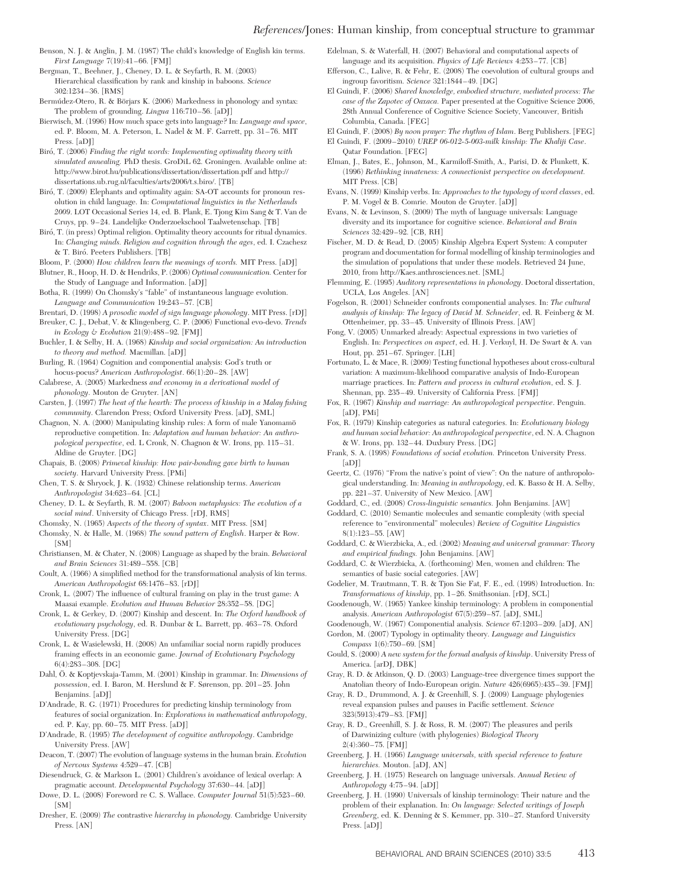- Benson, N. J. & Anglin, J. M. (1987) The child's knowledge of English kin terms. First Language 7(19):41–66. [FMJ]
- Bergman, T., Beehner, J., Cheney, D. L. & Seyfarth, R. M. (2003) Hierarchical classification by rank and kinship in baboons. Science 302:1234–36. [RMS]
- Bermúdez-Otero, R. & Börjars K. (2006) Markedness in phonology and syntax: The problem of grounding. Lingua 116:710–56. [aDJ]
- Bierwisch, M. (1996) How much space gets into language? In: Language and space, ed. P. Bloom, M. A. Peterson, L. Nadel & M. F. Garrett, pp. 31–76. MIT Press. [aDJ]
- Biró, T. (2006) Finding the right words: Implementing optimality theory with simulated annealing. PhD thesis. GroDiL 62. Groningen. Available online at: http://www.birot.hu/publications/dissertation/dissertation.pdf and http:// dissertations.ub.rug.nl/faculties/arts/2006/t.s.biro/. [TB]
- Biró, T. (2009) Elephants and optimality again: SA-OT accounts for pronoun resolution in child language. In: Computational linguistics in the Netherlands 2009. LOT Occasional Series 14, ed. B. Plank, E. Tjong Kim Sang & T. Van de Cruys, pp. 9–24. Landelijke Onderzoekschool Taalwetenschap. [TB]
- Biró, T. (in press) Optimal religion. Optimality theory accounts for ritual dynamics. In: Changing minds. Religion and cognition through the ages, ed. I. Czachesz & T. Biro´. Peeters Publishers. [TB]
- Bloom, P. (2000) How children learn the meanings of words. MIT Press. [aDJ] Blutner, R., Hoop, H. D. & Hendriks, P. (2006) Optimal communication. Center for
- the Study of Language and Information. [aDJ] Botha, R. (1999) On Chomsky's "fable" of instantaneous language evolution.
- Language and Communication 19:243–57. [CB] Brentari, D. (1998) A prosodic model of sign language phonology. MIT Press. [rDJ]
- Breuker, C. J., Debat, V. & Klingenberg, C. P. (2006) Functional evo-devo. Trends in Ecology & Evolution 21(9):488–92. [FMJ]
- Buchler, I. & Selby, H. A. (1968) Kinship and social organization: An introduction to theory and method. Macmillan. [aDJ]
- Burling, R. (1964) Cognition and componential analysis: God's truth or hocus-pocus? American Anthropologist. 66(1):20–28. [AW]
- Calabrese, A. (2005) Markedness and economy in a derivational model of phonology. Mouton de Gruyter. [AN]
- Carsten, J. (1997) The heat of the hearth: The process of kinship in a Malay fishing community. Clarendon Press; Oxford University Press. [aDJ, SML]
- Chagnon, N. A. (2000) Manipulating kinship rules: A form of male Yanomamö reproductive competition. In: Adaptation and human behavior: An anthropological perspective, ed. L Cronk, N. Chagnon & W. Irons, pp. 115–31. Aldine de Gruyter. [DG]
- Chapais, B. (2008) Primeval kinship: How pair-bonding gave birth to human society. Harvard University Press. [PMi]
- Chen, T. S. & Shryock, J. K. (1932) Chinese relationship terms. American Anthropologist 34:623–64. [CL]
- Cheney, D. L. & Seyfarth, R. M. (2007) Baboon metaphysics: The evolution of a social mind. University of Chicago Press. [rDJ, RMS]
- Chomsky, N. (1965) Aspects of the theory of syntax. MIT Press. [SM]
- Chomsky, N. & Halle, M. (1968) The sound pattern of English. Harper & Row.  $[SM]$
- Christiansen, M. & Chater, N. (2008) Language as shaped by the brain. Behavioral and Brain Sciences 31:489–558. [CB]
- Coult, A. (1966) A simplified method for the transformational analysis of kin terms. American Anthropologist 68:1476–83. [rDJ]
- Cronk, L. (2007) The influence of cultural framing on play in the trust game: A Maasai example. Evolution and Human Behavior 28:352–58. [DG]
- Cronk, L. & Gerkey, D. (2007) Kinship and descent. In: The Oxford handbook of evolutionary psychology, ed. R. Dunbar & L. Barrett, pp. 463–78. Oxford University Press. [DG]
- Cronk, L. & Wasielewski, H. (2008) An unfamiliar social norm rapidly produces framing effects in an economic game. Journal of Evolutionary Psychology 6(4):283–308. [DG]
- Dahl, Ö. & Koptjevskaja-Tamm, M. (2001) Kinship in grammar. In: Dimensions of possession, ed. I. Baron, M. Herslund & F. Sørenson, pp. 201–25. John Benjamins. [aDJ]
- D'Andrade, R. G. (1971) Procedures for predicting kinship terminology from features of social organization. In: Explorations in mathematical anthropology, ed. P. Kay, pp. 60–75. MIT Press. [aDJ]
- D'Andrade, R. (1995) The development of cognitive anthropology. Cambridge University Press. [AW]
- Deacon, T. (2007) The evolution of language systems in the human brain. Evolution of Nervous Systems 4:529–47. [CB]
- Diesendruck, G. & Markson L. (2001) Children's avoidance of lexical overlap: A pragmatic account. Developmental Psychology 37:630–44. [aDJ]
- Dowe, D. L. (2008) Foreword re C. S. Wallace. Computer Journal 51(5):523–60.  $[SM]$
- Dresher, E. (2009) The contrastive hierarchy in phonology. Cambridge University Press. [AN]
- Edelman, S. & Waterfall, H. (2007) Behavioral and computational aspects of language and its acquisition. Physics of Life Reviews 4:253–77. [CB]
- Efferson, C., Lalive, R. & Fehr, E. (2008) The coevolution of cultural groups and ingroup favoritism. Science 321:1844–49. [DG]
- El Guindi, F. (2006) Shared knowledge, embodied structure, mediated process: The case of the Zapotec of Oaxaca. Paper presented at the Cognitive Science 2006, 28th Annual Conference of Cognitive Science Society, Vancouver, British Columbia, Canada. [FEG]
- El Guindi, F. (2008) By noon prayer: The rhythm of Islam. Berg Publishers. [FEG]
- El Guindi, F. (2009–2010) UREP 06-012-5-003-milk kinship: The Khaliji Case. Qatar Foundation. [FEG]
- Elman, J., Bates, E., Johnson, M., Karmiloff-Smith, A., Parisi, D. & Plunkett, K. (1996) Rethinking innateness: A connectionist perspective on development. MIT Press. [CB]
- Evans, N. (1999) Kinship verbs. In: Approaches to the typology of word classes, ed. P. M. Vogel & B. Comrie. Mouton de Gruyter. [aDJ]
- Evans, N. & Levinson, S. (2009) The myth of language universals: Language diversity and its importance for cognitive science. Behavioral and Brain Sciences 32:429–92. [CB, RH]
- Fischer, M. D. & Read, D. (2005) Kinship Algebra Expert System: A computer program and documentation for formal modelling of kinship terminologies and the simulation of populations that under these models. Retrieved 24 June, 2010, from http://Kaes.anthrosciences.net. [SML]
- Flemming, E. (1995) Auditory representations in phonology. Doctoral dissertation, UCLA, Los Angeles. [AN]
- Fogelson, R. (2001) Schneider confronts componential analyses. In: The cultural analysis of kinship: The legacy of David M. Schneider, ed. R. Feinberg & M. Ottenheimer, pp. 33–45. University of Illinois Press. [AW]
- Fong, V. (2005) Unmarked already: Aspectual expressions in two varieties of English. In: Perspectives on aspect, ed. H. J. Verkuyl, H. De Swart & A. van Hout, pp. 251–67. Springer. [LH]
- Fortunato, L. & Mace, R. (2009) Testing functional hypotheses about cross-cultural variation: A maximum-likelihood comparative analysis of Indo-European marriage practices. In: Pattern and process in cultural evolution, ed. S. J. Shennan, pp. 235–49. University of California Press. [FMJ]
- Fox, R. (1967) Kinship and marriage: An anthropological perspective. Penguin. [aDJ, PMi]
- Fox, R. (1979) Kinship categories as natural categories. In: Evolutionary biology and human social behavior: An anthropological perspective, ed. N. A. Chagnon & W. Irons, pp. 132–44. Duxbury Press. [DG]
- Frank, S. A. (1998) Foundations of social evolution. Princeton University Press.  $[aDI]$
- Geertz, C. (1976) "From the native's point of view": On the nature of anthropological understanding. In: Meaning in anthropology, ed. K. Basso & H. A. Selby, pp. 221–37. University of New Mexico. [AW]
- Goddard, C., ed. (2008) Cross-linguistic semantics. John Benjamins. [AW]
- Goddard, C. (2010) Semantic molecules and semantic complexity (with special reference to "environmental" molecules) Review of Cognitive Linguistics 8(1):123–55. [AW]
- Goddard, C. & Wierzbicka, A., ed. (2002) Meaning and universal grammar: Theory and empirical findings. John Benjamins. [AW]
- Goddard, C. & Wierzbicka, A. (forthcoming) Men, women and children: The semantics of basic social categories. [AW]
- Godelier, M. Trautmann, T. R. & Tjon Sie Fat, F. E., ed. (1998) Introduction. In: Transformations of kinship, pp. 1–26. Smithsonian. [rDJ, SCL]
- Goodenough, W. (1965) Yankee kinship terminology: A problem in componential analysis. American Anthropologist 67(5):259–87. [aDJ, SML]
- Goodenough, W. (1967) Componential analysis. Science 67:1203–209. [aDJ, AN] Gordon, M. (2007) Typology in optimality theory. Language and Linguistics
- Compass 1(6):750–69. [SM] Gould, S. (2000) A new system for the formal analysis of kinship. University Press of America. [arDJ, DBK]
- Gray, R. D. & Atkinson, Q. D. (2003) Language-tree divergence times support the Anatolian theory of Indo-European origin. Nature 426(6965):435–39. [FMJ]
- Gray, R. D., Drummond, A. J. & Greenhill, S. J. (2009) Language phylogenies reveal expansion pulses and pauses in Pacific settlement. Science 323(5913):479–83. [FMJ]
- Gray, R. D., Greenhill, S. J. & Ross, R. M. (2007) The pleasures and perils of Darwinizing culture (with phylogenies) Biological Theory 2(4):360–75. [FMJ]
- Greenberg, J. H. (1966) Language universals, with special reference to feature hierarchies. Mouton. [aDJ, AN]
- Greenberg, J. H. (1975) Research on language universals. Annual Review of Anthropology 4:75–94. [aDJ]
- Greenberg, J. H. (1990) Universals of kinship terminology: Their nature and the problem of their explanation. In: On language: Selected writings of Joseph Greenberg, ed. K. Denning & S. Kemmer, pp. 310–27. Stanford University Press. [aDJ]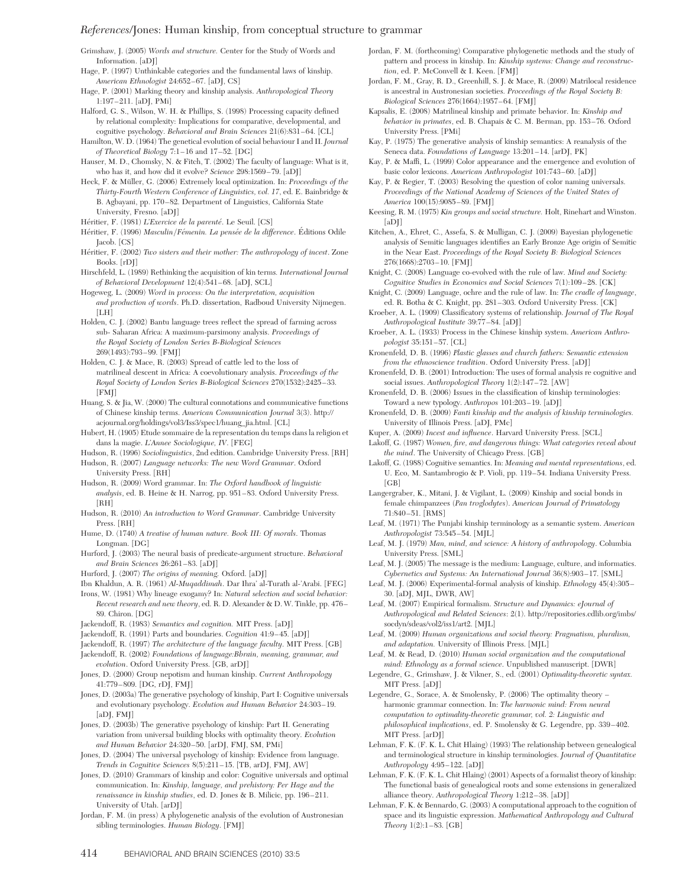# References/Jones: Human kinship, from conceptual structure to grammar

- Grimshaw, J. (2005) Words and structure. Center for the Study of Words and Information. [aDJ]
- Hage, P. (1997) Unthinkable categories and the fundamental laws of kinship. American Ethnologist 24:652–67. [aDJ, CS]
- Hage, P. (2001) Marking theory and kinship analysis. Anthropological Theory 1:197–211. [aDJ, PMi]
- Halford, G. S., Wilson, W. H. & Phillips, S. (1998) Processing capacity defined by relational complexity: Implications for comparative, developmental, and cognitive psychology. Behavioral and Brain Sciences 21(6):831–64. [CL]
- Hamilton, W. D. (1964) The genetical evolution of social behaviour I and II. Journal of Theoretical Biology 7:1–16 and 17–52. [DG]
- Hauser, M. D., Chomsky, N. & Fitch, T. (2002) The faculty of language: What is it, who has it, and how did it evolve? Science 298:1569–79. [aDJ]
- Heck, F. & Müller, G. (2006) Extremely local optimization. In: Proceedings of the Thirty-Fourth Western Conference of Linguistics, vol. 17, ed. E. Bainbridge & B. Agbayani, pp. 170–82. Department of Linguistics, California State University, Fresno. [aDJ]
- Héritier, F. (1981) L'Exercice de la parenté. Le Seuil. [CS]
- Héritier, F. (1996) Masculin/Fémenin. La pensée de la difference. Éditions Odile Jacob. [CS]
- Héritier, F. (2002) Two sisters and their mother: The anthropology of incest. Zone Books. [rDJ]
- Hirschfeld, L. (1989) Rethinking the acquisition of kin terms. International Journal of Behavioral Development 12(4):541–68. [aDJ, SCL]
- Hogeweg, L. (2009) Word in process: On the interpretation, acquisition and production of words. Ph.D. dissertation, Radboud University Nijmegen. [LH]
- Holden, C. J. (2002) Bantu language trees reflect the spread of farming across sub- Saharan Africa: A maximum-parsimony analysis. Proceedings of the Royal Society of London Series B-Biological Sciences 269(1493):793–99. [FMJ]
- Holden, C. J. & Mace, R. (2003) Spread of cattle led to the loss of matrilineal descent in Africa: A coevolutionary analysis. Proceedings of the Royal Society of London Series B-Biological Sciences 270(1532):2425–33. [FMI]
- Huang, S. & Jia, W. (2000) The cultural connotations and communicative functions of Chinese kinship terms. American Communication Journal 3(3). http:// acjournal.org/holdings/vol3/Iss3/spec1/huang\_jia.html. [CL]
- Hubert, H. (1905) Etude sommaire de la representation du temps dans la religion et dans la magie. L'Annee Sociologique, IV. [FEG]
- Hudson, R. (1996) Sociolinguistics, 2nd edition. Cambridge University Press. [RH]
- Hudson, R. (2007) Language networks: The new Word Grammar. Oxford University Press. [RH]
- Hudson, R. (2009) Word grammar. In: The Oxford handbook of linguistic analysis, ed. B. Heine & H. Narrog, pp. 951–83. Oxford University Press. [RH]
- Hudson, R. (2010) An introduction to Word Grammar. Cambridge University Press. [RH]
- Hume, D. (1740) A treatise of human nature. Book III: Of morals. Thomas Longman. [DG]
- Hurford, J. (2003) The neural basis of predicate-argument structure. Behavioral and Brain Sciences 26:261–83. [aDJ]
- Hurford, J. (2007) The origins of meaning. Oxford. [aDJ]
- Ibn Khaldun, A. R. (1961) Al-Muqaddimah. Dar Ihra' al-Turath al-'Arabi. [FEG]
- Irons, W. (1981) Why lineage exogamy? In: Natural selection and social behavior: Recent research and new theory, ed. R. D. Alexander & D. W. Tinkle, pp. 476– 89. Chiron. [DG]
- Jackendoff, R. (1983) Semantics and cognition. MIT Press. [aDJ]
- Jackendoff, R. (1991) Parts and boundaries. Cognition 41:9–45. [aDJ]
- Jackendoff, R. (1997) The architecture of the language faculty. MIT Press. [GB] Jackendoff, R. (2002) Foundations of language:Bbrain, meaning, grammar, and
- evolution. Oxford University Press. [GB, arDJ]
- Jones, D. (2000) Group nepotism and human kinship. Current Anthropology 41:779–809. [DG, rDJ, FMJ]
- Jones, D. (2003a) The generative psychology of kinship, Part I: Cognitive universals and evolutionary psychology. Evolution and Human Behavior 24:303–19.  $[aD]$ , FMJ]
- Jones, D. (2003b) The generative psychology of kinship: Part II. Generating variation from universal building blocks with optimality theory. Evolution and Human Behavior 24:320–50. [arDJ, FMJ, SM, PMi]
- Jones, D. (2004) The universal psychology of kinship: Evidence from language. Trends in Cognitive Sciences 8(5):211–15. [TB, arDJ, FMJ, AW]
- Jones, D. (2010) Grammars of kinship and color: Cognitive universals and optimal communication. In: Kinship, language, and prehistory: Per Hage and the renaissance in kinship studies, ed. D. Jones & B. Milicic, pp. 196–211. University of Utah. [arDJ]
- Jordan, F. M. (in press) A phylogenetic analysis of the evolution of Austronesian sibling terminologies. Human Biology. [FMJ]
- Jordan, F. M. (forthcoming) Comparative phylogenetic methods and the study of pattern and process in kinship. In: Kinship systems: Change and reconstruction, ed. P. McConvell & I. Keen. [FMJ]
- Jordan, F. M., Gray, R. D., Greenhill, S. J. & Mace, R. (2009) Matrilocal residence is ancestral in Austronesian societies. Proceedings of the Royal Society B: Biological Sciences 276(1664):1957–64. [FMJ]
- Kapsalis, E. (2008) Matrilineal kinship and primate behavior. In: Kinship and behavior in primates, ed. B. Chapais & C. M. Berman, pp. 153–76. Oxford University Press. [PMi]
- Kay, P. (1975) The generative analysis of kinship semantics: A reanalysis of the Seneca data. Foundations of Language 13:201–14. [arDJ, PK]
- Kay, P. & Maffi, L. (1999) Color appearance and the emergence and evolution of basic color lexicons. American Anthropologist 101:743–60. [aDJ]
- Kay, P. & Regier, T. (2003) Resolving the question of color naming universals. Proceedings of the National Academy of Sciences of the United States of America 100(15):9085–89. [FMJ]
- Keesing, R. M. (1975) Kin groups and social structure. Holt, Rinehart and Winston.  $[aDJ]$
- Kitchen, A., Ehret, C., Assefa, S. & Mulligan, C. J. (2009) Bayesian phylogenetic analysis of Semitic languages identifies an Early Bronze Age origin of Semitic in the Near East. Proceedings of the Royal Society B: Biological Sciences 276(1668):2703–10. [FMJ]
- Knight, C. (2008) Language co-evolved with the rule of law. Mind and Society: Cognitive Studies in Economics and Social Sciences 7(1):109–28. [CK]
- Knight, C. (2009) Language, ochre and the rule of law. In: The cradle of language, ed. R. Botha & C. Knight, pp. 281–303. Oxford University Press. [CK]
- Kroeber, A. L. (1909) Classificatory systems of relationship. Journal of The Royal Anthropological Institute 39:77–84. [aDJ]
- Kroeber, A. L. (1933) Process in the Chinese kinship system. American Anthropologist 35:151–57. [CL]
- Kronenfeld, D. B. (1996) Plastic glasses and church fathers: Semantic extension from the ethnoscience tradition. Oxford University Press. [aDJ]
- Kronenfeld, D. B. (2001) Introduction: The uses of formal analysis re cognitive and social issues. Anthropological Theory 1(2):147–72. [AW]
- Kronenfeld, D. B. (2006) Issues in the classification of kinship terminologies: Toward a new typology. Anthropos 101:203–19. [aDJ]
- Kronenfeld, D. B. (2009) Fanti kinship and the analysis of kinship terminologies. University of Illinois Press. [aDJ, PMc]
- Kuper, A. (2009) Incest and influence. Harvard University Press. [SCL]
- Lakoff, G. (1987) Women, fire, and dangerous things: What categories reveal about the mind. The University of Chicago Press. [GB]
- Lakoff, G. (1988) Cognitive semantics. In: Meaning and mental representations, ed. U. Eco, M. Santambrogio & P. Violi, pp. 119–54. Indiana University Press. [GB]
- Langergraber, K., Mitani, J. & Vigilant, L. (2009) Kinship and social bonds in female chimpanzees (Pan troglodytes). American Journal of Primatology 71:840–51. [RMS]
- Leaf, M. (1971) The Punjabi kinship terminology as a semantic system. American Anthropologist 73:545–54. [MJL]
- Leaf, M. J. (1979) Man, mind, and science: A history of anthropology. Columbia University Press. [SML]
- Leaf, M. J. (2005) The message is the medium: Language, culture, and informatics. Cybernetics and Systems: An International Journal 36(8):903–17. [SML]
- Leaf, M. J. (2006) Experimental-formal analysis of kinship. Ethnology 45(4):305– 30. [aDJ, MJL, DWR, AW]
- Leaf, M. (2007) Empirical formalism. Structure and Dynamics: eJournal of Anthropological and Related Sciences: 2(1). http://repositories.cdlib.org/imbs/ socdyn/sdeas/vol2/iss1/art2. [MJL]
- Leaf, M. (2009) Human organizations and social theory: Pragmatism, pluralism, and adaptation. University of Illinois Press. [MJL]
- Leaf, M. & Read, D. (2010) Human social organization and the computational mind: Ethnology as a formal science. Unpublished manuscript. [DWR]
- Legendre, G., Grimshaw, J. & Vikner, S., ed. (2001) Optimality-theoretic syntax. MIT Press. [aDJ]
- Legendre, G., Sorace, A. & Smolensky, P. (2006) The optimality theory harmonic grammar connection. In: The harmonic mind: From neural computation to optimality-theoretic grammar, vol. 2: Linguistic and philosophical implications, ed. P. Smolensky & G. Legendre, pp. 339–402. MIT Press. [arDJ]
- Lehman, F. K. (F. K. L. Chit Hlaing) (1993) The relationship between genealogical and terminological structure in kinship terminologies. Journal of Quantitative Anthropology 4:95–122. [aDJ]
- Lehman, F. K. (F. K. L. Chit Hlaing) (2001) Aspects of a formalist theory of kinship: The functional basis of genealogical roots and some extensions in generalized alliance theory. Anthropological Theory 1:212–38. [aDJ]
- Lehman, F. K. & Bennardo, G. (2003) A computational approach to the cognition of space and its linguistic expression. Mathematical Anthropology and Cultural Theory 1(2):1–83. [GB]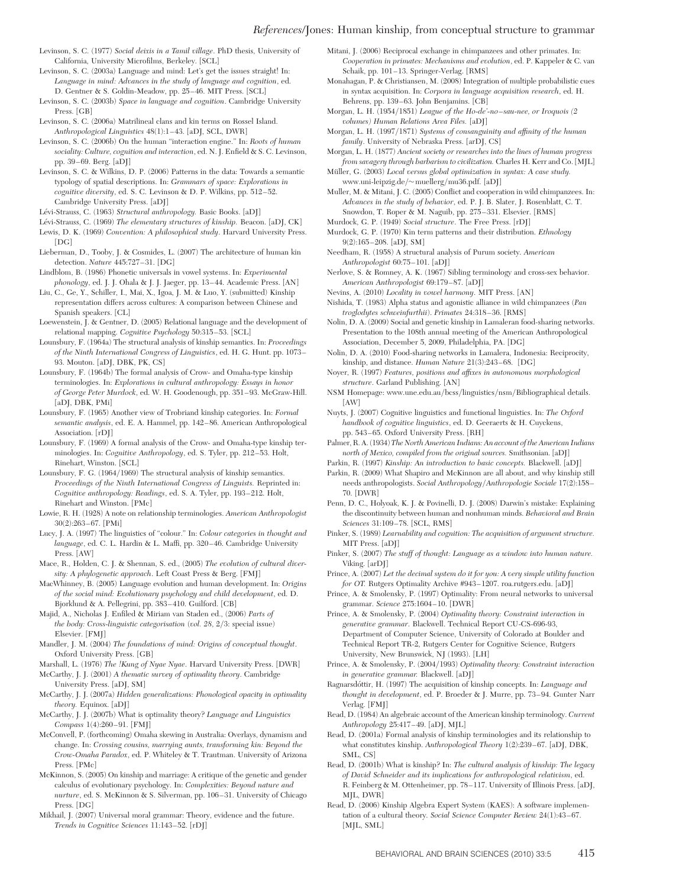- Levinson, S. C. (1977) Social deixis in a Tamil village. PhD thesis, University of California, University Microfilms, Berkeley. [SCL]
- Levinson, S. C. (2003a) Language and mind: Let's get the issues straight! In: Language in mind: Advances in the study of language and cognition, ed. D. Gentner & S. Goldin-Meadow, pp. 25–46. MIT Press. [SCL]
- Levinson, S. C. (2003b) Space in language and cognition. Cambridge University Press. [GB]
- Levinson, S. C. (2006a) Matrilineal clans and kin terms on Rossel Island. Anthropological Linguistics 48(1):1–43. [aDJ, SCL, DWR]
- Levinson, S. C. (2006b) On the human "interaction engine." In: Roots of human sociality: Culture, cognition and interaction, ed. N. J. Enfield & S. C. Levinson, pp. 39–69. Berg. [aDJ]
- Levinson, S. C. & Wilkins, D. P. (2006) Patterns in the data: Towards a semantic typology of spatial descriptions. In: Grammars of space: Explorations in cognitive diversity, ed. S. C. Levinson & D. P. Wilkins, pp. 512–52. Cambridge University Press. [aDJ]
- Lévi-Strauss, C. (1963) Structural anthropology. Basic Books. [aDJ]
- Lévi-Strauss, C. (1969) The elementary structures of kinship. Beacon. [aDJ, CK]
- Lewis, D. K. (1969) Convention: A philosophical study. Harvard University Press. [DG]
- Lieberman, D., Tooby, J. & Cosmides, L. (2007) The architecture of human kin detection. Nature 445:727–31. [DG]
- Lindblom, B. (1986) Phonetic universals in vowel systems. In: Experimental phonology, ed. J. J. Ohala & J. J. Jaeger, pp. 13–44. Academic Press. [AN]
- Liu, C., Ge, Y., Schiller, I., Mai, X., Igoa, J. M. & Luo, Y. (submitted) Kinship representation differs across cultures: A comparison between Chinese and Spanish speakers. [CL]
- Loewenstein, J. & Gentner, D. (2005) Relational language and the development of relational mapping. Cognitive Psychology 50:315–53. [SCL]
- Lounsbury, F. (1964a) The structural analysis of kinship semantics. In: Proceedings of the Ninth International Congress of Linguistics, ed. H. G. Hunt. pp. 1073– 93. Mouton. [aDJ, DBK, PK, CS]
- Lounsbury, F. (1964b) The formal analysis of Crow- and Omaha-type kinship terminologies. In: Explorations in cultural anthropology: Essays in honor of George Peter Murdock, ed. W. H. Goodenough, pp. 351–93. McGraw-Hill. [aDJ, DBK, PMi]
- Lounsbury, F. (1965) Another view of Trobriand kinship categories. In: Formal semantic analysis, ed. E. A. Hammel, pp. 142–86. American Anthropological Association. [rDJ]
- Lounsbury, F. (1969) A formal analysis of the Crow- and Omaha-type kinship terminologies. In: Cognitive Anthropology, ed. S. Tyler, pp. 212–53. Holt, Rinehart, Winston. [SCL]
- Lounsbury, F. G. (1964/1969) The structural analysis of kinship semantics. Proceedings of the Ninth International Congress of Linguists. Reprinted in: Cognitive anthropology: Readings, ed. S. A. Tyler, pp. 193–212. Holt, Rinehart and Winston. [PMc]
- Lowie, R. H. (1928) A note on relationship terminologies. American Anthropologist 30(2):263–67. [PMi]
- Lucy, J. A. (1997) The linguistics of "colour." In: Colour categories in thought and language, ed. C. L. Hardin & L. Maffi, pp. 320–46. Cambridge University Press. [AW]
- Mace, R., Holden, C. J. & Shennan, S. ed., (2005) The evolution of cultural diversity: A phylogenetic approach. Left Coast Press & Berg. [FMJ]
- MacWhinney, B. (2005) Language evolution and human development. In: Origins of the social mind: Evolutionary psychology and child development, ed. D. Bjorklund & A. Pellegrini, pp. 383–410. Guilford. [CB]
- Majid, A., Nicholas J. Enfiled & Miriam van Staden ed., (2006) Parts of the body: Cross-linguistic categorisation (vol. 28, 2/3: special issue) Elsevier. [FMJ]
- Mandler, J. M. (2004) The foundations of mind: Origins of conceptual thought. Oxford University Press. [GB]
- Marshall, L. (1976) The !Kung of Nyae Nyae. Harvard University Press. [DWR] McCarthy, J. J. (2001) A thematic survey of optimality theory. Cambridge
- University Press. [aDJ, SM] McCarthy, J. J. (2007a) Hidden generalizations: Phonological opacity in optimality theory. Equinox. [aDJ]
- McCarthy, J. J. (2007b) What is optimality theory? Language and Linguistics Compass 1(4):260–91. [FMJ]
- McConvell, P. (forthcoming) Omaha skewing in Australia: Overlays, dynamism and change. In: Crossing cousins, marrying aunts, transforming kin: Beyond the Crow-Omaha Paradox, ed. P. Whiteley & T. Trautman. University of Arizona Press. [PMc]
- McKinnon, S. (2005) On kinship and marriage: A critique of the genetic and gender calculus of evolutionary psychology. In: Complexities: Beyond nature and nurture, ed. S. McKinnon & S. Silverman, pp. 106–31. University of Chicago Press. [DG]
- Mikhail, J. (2007) Universal moral grammar: Theory, evidence and the future. Trends in Cognitive Sciences 11:143–52. [rDJ]
- Mitani, J. (2006) Reciprocal exchange in chimpanzees and other primates. In: Cooperation in primates: Mechanisms and evolution, ed. P. Kappeler & C. van Schaik, pp. 101–13. Springer-Verlag. [RMS]
- Monahagan, P. & Christiansen, M. (2008) Integration of multiple probabilistic cues in syntax acquisition. In: Corpora in language acquisition research, ed. H. Behrens, pp. 139–63. John Benjamins. [CB]
- Morgan, L. H. (1954/1851) League of the Ho-de'-no sau-nee, or Iroquois (2 volumes) Human Relations Area Files. [aDJ]
- Morgan, L. H. (1997/1871) Systems of consanguinity and affinity of the human family. University of Nebraska Press. [arDJ, CS]
- Morgan, L. H. (1877) Ancient society or researches into the lines of human progress from savagery through barbarism to civilization. Charles H. Kerr and Co. [MJL]
- Müller, G. (2003) Local versus global optimization in syntax: A case study. www.uni-leipzig.de/-muellerg/mu36.pdf. [aDJ]
- Muller, M. & Mitani, J. C. (2005) Conflict and cooperation in wild chimpanzees. In: Advances in the study of behavior, ed. P. J. B. Slater, J. Rosenblatt, C. T. Snowdon, T. Roper & M. Naguib, pp. 275–331. Elsevier. [RMS]
- Murdock, G. P. (1949) Social structure. The Free Press. [rDJ]
- Murdock, G. P. (1970) Kin term patterns and their distribution. Ethnology 9(2):165–208. [aDJ, SM]
- Needham, R. (1958) A structural analysis of Purum society. American Anthropologist 60:75–101. [aDJ]
- Nerlove, S. & Romney, A. K. (1967) Sibling terminology and cross-sex behavior. American Anthropologist 69:179–87. [aDJ]
- Nevins, A. (2010) Locality in vowel harmony. MIT Press. [AN]
- Nishida, T. (1983) Alpha status and agonistic alliance in wild chimpanzees (Pan troglodytes schweinfurthii). Primates 24:318–36. [RMS]
- Nolin, D. A. (2009) Social and genetic kinship in Lamaleran food-sharing networks. Presentation to the 108th annual meeting of the American Anthropological Association, December 5, 2009, Philadelphia, PA. [DG]
- Nolin, D. A. (2010) Food-sharing networks in Lamalera, Indonesia: Reciprocity, kinship, and distance. Human Nature 21(3):243–68. [DG]
- Noyer, R. (1997) Features, positions and affixes in autonomous morphological structure. Garland Publishing. [AN]
- NSM Homepage: www.une.edu.au/bcss/linguistics/nsm/Bibliographical details. [AW]
- Nuyts, J. (2007) Cognitive linguistics and functional linguistics. In: The Oxford handbook of cognitive linguistics, ed. D. Geeraerts & H. Cuyckens, pp. 543–65. Oxford University Press. [RH]
- Palmer, R. A. (1934) The North American Indians: An account of the American Indians north of Mexico, compiled from the original sources. Smithsonian. [aDJ]
- Parkin, R. (1997) Kinship: An introduction to basic concepts. Blackwell. [aDJ]
- Parkin, R. (2009) What Shapiro and McKinnon are all about, and why kinship still needs anthropologists. Social Anthropology/Anthropologie Sociale 17(2):158– 70. [DWR]
- Penn, D. C., Holyoak, K. J. & Povinelli, D. J. (2008) Darwin's mistake: Explaining the discontinuity between human and nonhuman minds. Behavioral and Brain Sciences 31:109–78. [SCL, RMS]
- Pinker, S. (1989) Learnability and cognition: The acquisition of argument structure. MIT Press. [aDJ]
- Pinker, S. (2007) The stuff of thought: Language as a window into human nature. Viking. [arDJ]
- Prince, A. (2007) Let the decimal system do it for you: A very simple utility function for OT. Rutgers Optimality Archive #943–1207. roa.rutgers.edu. [aDJ]
- Prince, A. & Smolensky, P. (1997) Optimality: From neural networks to universal grammar. Science 275:1604–10. [DWR]
- Prince, A. & Smolensky, P. (2004) Optimality theory: Constraint interaction in generative grammar. Blackwell. Technical Report CU-CS-696-93, Department of Computer Science, University of Colorado at Boulder and Technical Report TR-2, Rutgers Center for Cognitive Science, Rutgers University, New Brunswick, NJ (1993). [LH]
- Prince, A. & Smolensky, P. (2004/1993) Optimality theory: Constraint interaction in generative grammar. Blackwell. [aDJ]
- Ragnarsdóttir, H. (1997) The acquisition of kinship concepts. In: Language and thought in development, ed. P. Broeder & J. Murre, pp. 73–94. Gunter Narr Verlag. [FMJ]
- Read, D. (1984) An algebraic account of the American kinship terminology. Current Anthropology 25:417–49. [aDJ, MJL]
- Read, D. (2001a) Formal analysis of kinship terminologies and its relationship to what constitutes kinship. Anthropological Theory 1(2):239–67. [aDJ, DBK, SML, CS]
- Read, D. (2001b) What is kinship? In: The cultural analysis of kinship: The legacy of David Schneider and its implications for anthropological relativism, ed. R. Feinberg & M. Ottenheimer, pp. 78–117. University of Illinois Press. [aDJ, MIL, DWR]
- Read, D. (2006) Kinship Algebra Expert System (KAES): A software implementation of a cultural theory. Social Science Computer Review 24(1):43–67. [MJL, SML]